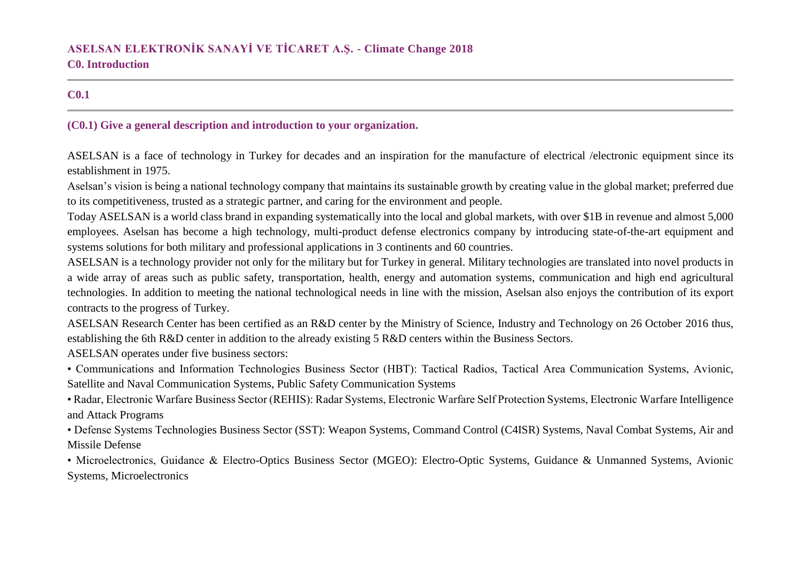## **C0.1**

### **(C0.1) Give a general description and introduction to your organization.**

ASELSAN is a face of technology in Turkey for decades and an inspiration for the manufacture of electrical /electronic equipment since its establishment in 1975.

Aselsan's vision is being a national technology company that maintains its sustainable growth by creating value in the global market; preferred due to its competitiveness, trusted as a strategic partner, and caring for the environment and people.

Today ASELSAN is a world class brand in expanding systematically into the local and global markets, with over \$1B in revenue and almost 5,000 employees. Aselsan has become a high technology, multi-product defense electronics company by introducing state-of-the-art equipment and systems solutions for both military and professional applications in 3 continents and 60 countries.

ASELSAN is a technology provider not only for the military but for Turkey in general. Military technologies are translated into novel products in a wide array of areas such as public safety, transportation, health, energy and automation systems, communication and high end agricultural technologies. In addition to meeting the national technological needs in line with the mission, Aselsan also enjoys the contribution of its export contracts to the progress of Turkey.

ASELSAN Research Center has been certified as an R&D center by the Ministry of Science, Industry and Technology on 26 October 2016 thus, establishing the 6th R&D center in addition to the already existing 5 R&D centers within the Business Sectors.

ASELSAN operates under five business sectors:

• Communications and Information Technologies Business Sector (HBT): Tactical Radios, Tactical Area Communication Systems, Avionic, Satellite and Naval Communication Systems, Public Safety Communication Systems

• Radar, Electronic Warfare Business Sector (REHIS): Radar Systems, Electronic Warfare Self Protection Systems, Electronic Warfare Intelligence and Attack Programs

• Defense Systems Technologies Business Sector (SST): Weapon Systems, Command Control (C4ISR) Systems, Naval Combat Systems, Air and Missile Defense

• Microelectronics, Guidance & Electro-Optics Business Sector (MGEO): Electro-Optic Systems, Guidance & Unmanned Systems, Avionic Systems, Microelectronics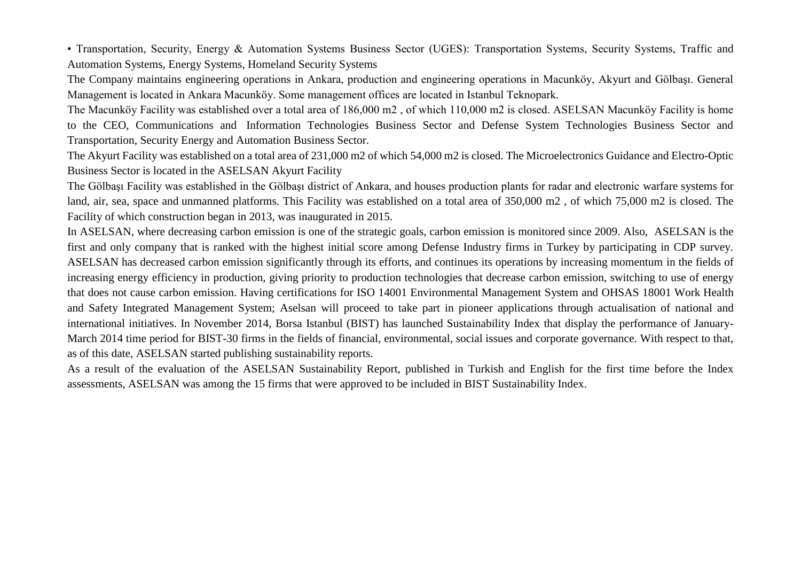• Transportation, Security, Energy & Automation Systems Business Sector (UGES): Transportation Systems, Security Systems, Traffic and Automation Systems, Energy Systems, Homeland Security Systems

The Company maintains engineering operations in Ankara, production and engineering operations in Macunköy, Akyurt and Gölbaşı. General Management is located in Ankara Macunköy. Some management offices are located in Istanbul Teknopark.

The Macunköy Facility was established over a total area of 186,000 m2 , of which 110,000 m2 is closed. ASELSAN Macunköy Facility is home to the CEO, Communications and Information Technologies Business Sector and Defense System Technologies Business Sector and Transportation, Security Energy and Automation Business Sector.

The Akyurt Facility was established on a total area of 231,000 m2 of which 54,000 m2 is closed. The Microelectronics Guidance and Electro-Optic Business Sector is located in the ASELSAN Akyurt Facility

The Gölbaşı Facility was established in the Gölbaşı district of Ankara, and houses production plants for radar and electronic warfare systems for land, air, sea, space and unmanned platforms. This Facility was established on a total area of 350,000 m2 , of which 75,000 m2 is closed. The Facility of which construction began in 2013, was inaugurated in 2015.

In ASELSAN, where decreasing carbon emission is one of the strategic goals, carbon emission is monitored since 2009. Also, ASELSAN is the first and only company that is ranked with the highest initial score among Defense Industry firms in Turkey by participating in CDP survey. ASELSAN has decreased carbon emission significantly through its efforts, and continues its operations by increasing momentum in the fields of increasing energy efficiency in production, giving priority to production technologies that decrease carbon emission, switching to use of energy that does not cause carbon emission. Having certifications for ISO 14001 Environmental Management System and OHSAS 18001 Work Health and Safety Integrated Management System; Aselsan will proceed to take part in pioneer applications through actualisation of national and international initiatives. In November 2014, Borsa Istanbul (BIST) has launched Sustainability Index that display the performance of January-March 2014 time period for BIST-30 firms in the fields of financial, environmental, social issues and corporate governance. With respect to that, as of this date, ASELSAN started publishing sustainability reports.

As a result of the evaluation of the ASELSAN Sustainability Report, published in Turkish and English for the first time before the Index assessments, ASELSAN was among the 15 firms that were approved to be included in BIST Sustainability Index.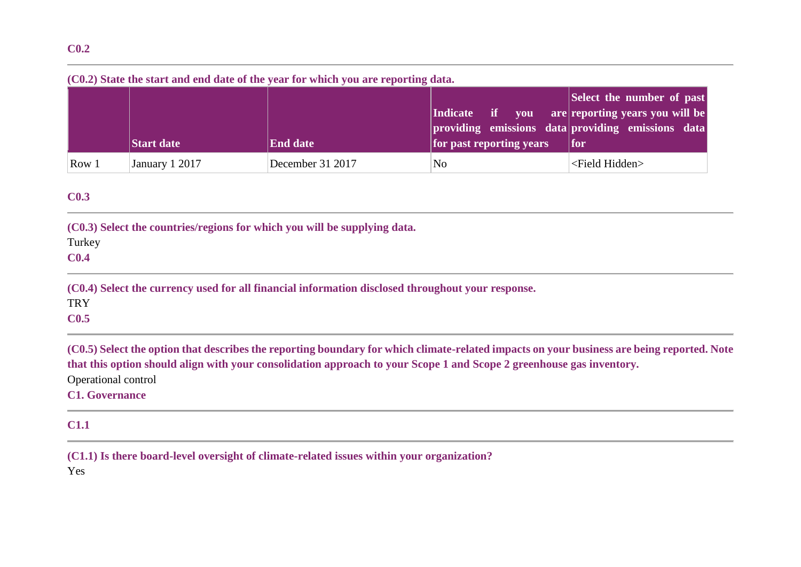### **(C0.2) State the start and end date of the year for which you are reporting data.**

|       |                   |                  |                          | Select the number of past                         |
|-------|-------------------|------------------|--------------------------|---------------------------------------------------|
|       |                   |                  | Indicate if you          | are reporting years you will be                   |
|       |                   |                  |                          | providing emissions data providing emissions data |
|       | <b>Start date</b> | <b>End date</b>  | for past reporting years | for                                               |
| Row 1 | January 1 2017    | December 31 2017 | No                       | <field hidden=""></field>                         |

## **C0.3**

| (C0.3) Select the countries/regions for which you will be supplying data. |  |
|---------------------------------------------------------------------------|--|
| Turkey                                                                    |  |
| $\alpha$                                                                  |  |

**C0.4**

**(C0.4) Select the currency used for all financial information disclosed throughout your response. TRY** 

**C0.5**

**(C0.5) Select the option that describes the reporting boundary for which climate-related impacts on your business are being reported. Note that this option should align with your consolidation approach to your Scope 1 and Scope 2 greenhouse gas inventory.** Operational control

### **C1. Governance**

### **C1.1**

**(C1.1) Is there board-level oversight of climate-related issues within your organization?**

Yes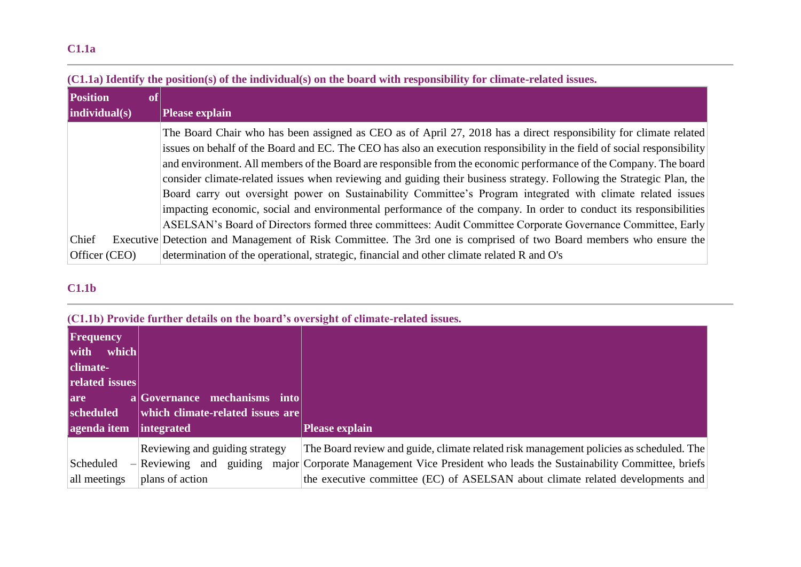# **C1.1a**

|                 |                 | <u>ULLE THE POSITORS OF THE MANDS OF THE HISTORIC CONTROL OF THE CONTROL OF THE CONTROL OF CHARGE ISSUES.</u>            |
|-----------------|-----------------|--------------------------------------------------------------------------------------------------------------------------|
| <b>Position</b> | $ o\mathbf{f} $ |                                                                                                                          |
| indivial(s)     |                 | <b>Please explain</b>                                                                                                    |
|                 |                 | The Board Chair who has been assigned as CEO as of April 27, 2018 has a direct responsibility for climate related        |
|                 |                 | issues on behalf of the Board and EC. The CEO has also an execution responsibility in the field of social responsibility |
|                 |                 | and environment. All members of the Board are responsible from the economic performance of the Company. The board        |
|                 |                 | consider climate-related issues when reviewing and guiding their business strategy. Following the Strategic Plan, the    |
|                 |                 | Board carry out oversight power on Sustainability Committee's Program integrated with climate related issues             |
|                 |                 | impacting economic, social and environmental performance of the company. In order to conduct its responsibilities        |
|                 |                 | ASELSAN's Board of Directors formed three committees: Audit Committee Corporate Governance Committee, Early              |
| Chief           |                 | Executive Detection and Management of Risk Committee. The 3rd one is comprised of two Board members who ensure the       |
| Officer (CEO)   |                 | determination of the operational, strategic, financial and other climate related R and O's                               |

### **(C1.1a) Identify the position(s) of the individual(s) on the board with responsibility for climate-related issues.**

## **C1.1b**

### **(C1.1b) Provide further details on the board's oversight of climate-related issues.**

|                                               | <u>CITED</u> I LOTIMO IMI GIOI MOGGIUS UN GIO DUMEM S'OTOLSILITO DI GINNANO I CAMBON ASSAU |                                                                                          |
|-----------------------------------------------|--------------------------------------------------------------------------------------------|------------------------------------------------------------------------------------------|
| <b>Frequency</b><br>which<br>with<br>climate- |                                                                                            |                                                                                          |
| related issues                                |                                                                                            |                                                                                          |
| <b>lare</b>                                   | a Governance mechanisms into                                                               |                                                                                          |
| scheduled                                     | which climate-related issues are                                                           |                                                                                          |
| agenda item                                   | <i>integrated</i>                                                                          | <b>Please explain</b>                                                                    |
|                                               | Reviewing and guiding strategy                                                             | The Board review and guide, climate related risk management policies as scheduled. The   |
| Scheduled<br>$\overline{\phantom{0}}$         | Reviewing and guiding                                                                      | major Corporate Management Vice President who leads the Sustainability Committee, briefs |
| all meetings                                  | plans of action                                                                            | the executive committee (EC) of ASELSAN about climate related developments and           |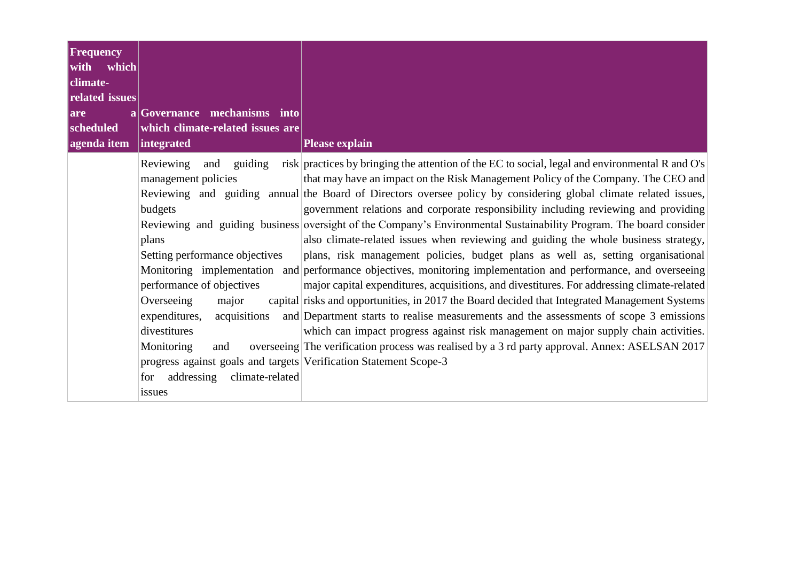| <b>Frequency</b><br>with which<br><b>climate-</b><br>related issues |                                                                                                                                                                                                                                                                                                                                                           |                                                                                                                                                                                                                                                                                                                                                                                                                                                                                                                                                                                                                                                                                                                                                                                                                                                                                                                                                                                                                                                                                                                                                                                                                                                                                                       |
|---------------------------------------------------------------------|-----------------------------------------------------------------------------------------------------------------------------------------------------------------------------------------------------------------------------------------------------------------------------------------------------------------------------------------------------------|-------------------------------------------------------------------------------------------------------------------------------------------------------------------------------------------------------------------------------------------------------------------------------------------------------------------------------------------------------------------------------------------------------------------------------------------------------------------------------------------------------------------------------------------------------------------------------------------------------------------------------------------------------------------------------------------------------------------------------------------------------------------------------------------------------------------------------------------------------------------------------------------------------------------------------------------------------------------------------------------------------------------------------------------------------------------------------------------------------------------------------------------------------------------------------------------------------------------------------------------------------------------------------------------------------|
| $ {\bf a} $<br><b>lare</b>                                          | Governance mechanisms into                                                                                                                                                                                                                                                                                                                                |                                                                                                                                                                                                                                                                                                                                                                                                                                                                                                                                                                                                                                                                                                                                                                                                                                                                                                                                                                                                                                                                                                                                                                                                                                                                                                       |
| scheduled<br>agenda item                                            | which climate-related issues are<br>integrated                                                                                                                                                                                                                                                                                                            | <b>Please explain</b>                                                                                                                                                                                                                                                                                                                                                                                                                                                                                                                                                                                                                                                                                                                                                                                                                                                                                                                                                                                                                                                                                                                                                                                                                                                                                 |
|                                                                     | Reviewing<br>guiding<br>and<br>management policies<br>budgets<br>plans<br>Setting performance objectives<br>performance of objectives<br>Overseeing<br>major<br>expenditures,<br>acquisitions<br>divestitures<br>Monitoring<br>and<br>progress against goals and targets Verification Statement Scope-3<br>addressing<br>climate-related<br>for<br>issues | risk practices by bringing the attention of the EC to social, legal and environmental R and O's<br>that may have an impact on the Risk Management Policy of the Company. The CEO and<br>Reviewing and guiding annual the Board of Directors oversee policy by considering global climate related issues,<br>government relations and corporate responsibility including reviewing and providing<br>Reviewing and guiding business oversight of the Company's Environmental Sustainability Program. The board consider<br>also climate-related issues when reviewing and guiding the whole business strategy,<br>plans, risk management policies, budget plans as well as, setting organisational<br>Monitoring implementation and performance objectives, monitoring implementation and performance, and overseeing<br>major capital expenditures, acquisitions, and divestitures. For addressing climate-related<br>capital risks and opportunities, in 2017 the Board decided that Integrated Management Systems<br>and Department starts to realise measurements and the assessments of scope 3 emissions<br>which can impact progress against risk management on major supply chain activities.<br>overseeing The verification process was realised by a 3 rd party approval. Annex: ASELSAN 2017 |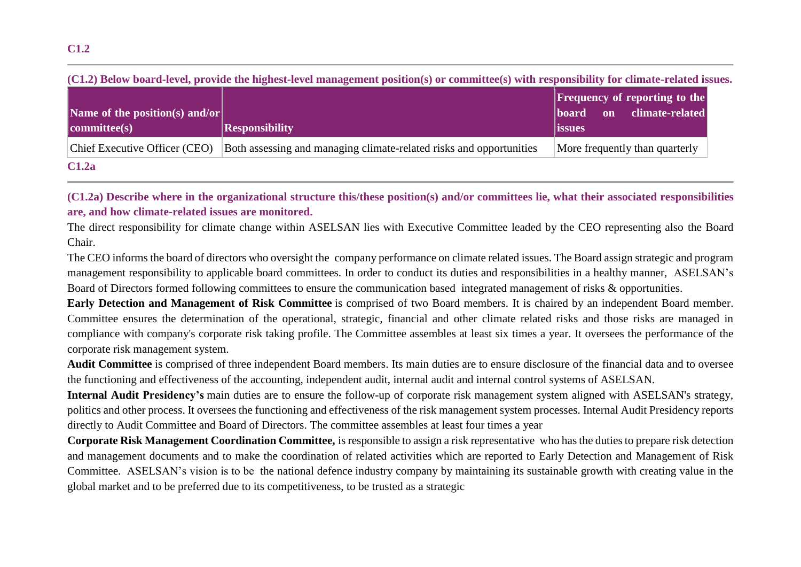| Name of the position(s) and/or | (СБЭ) DUOW DOAFG-IUVU, PFOVIUU ПИ ШЕНИЯ-IUVU ШАНАЕСНИН РОЗПОНДУ ОГ СОНШНИСЦУ WIII ГИЯРОНЗЮШУ ГОГ СПИАКТ СГАНИ БЭС | <b>Frequency of reporting to the</b><br>climate-related<br> board <br>on |
|--------------------------------|-------------------------------------------------------------------------------------------------------------------|--------------------------------------------------------------------------|
| committee(s)                   | <b>Responsibility</b>                                                                                             | <i>issues</i>                                                            |
| Chief Executive Officer (CEO)  | Both assessing and managing climate-related risks and opportunities                                               | More frequently than quarterly                                           |
| C1.2a                          |                                                                                                                   |                                                                          |

**(C1.2) Below board-level, provide the highest-level management position(s) or committee(s) with responsibility for climate-related issues.**

**(C1.2a) Describe where in the organizational structure this/these position(s) and/or committees lie, what their associated responsibilities are, and how climate-related issues are monitored.**

The direct responsibility for climate change within ASELSAN lies with Executive Committee leaded by the CEO representing also the Board Chair.

The CEO informs the board of directors who oversight the company performance on climate related issues. The Board assign strategic and program management responsibility to applicable board committees. In order to conduct its duties and responsibilities in a healthy manner, ASELSAN's Board of Directors formed following committees to ensure the communication based integrated management of risks & opportunities.

**Early Detection and Management of Risk Committee** is comprised of two Board members. It is chaired by an independent Board member. Committee ensures the determination of the operational, strategic, financial and other climate related risks and those risks are managed in compliance with company's corporate risk taking profile. The Committee assembles at least six times a year. It oversees the performance of the corporate risk management system.

**Audit Committee** is comprised of three independent Board members. Its main duties are to ensure disclosure of the financial data and to oversee the functioning and effectiveness of the accounting, independent audit, internal audit and internal control systems of ASELSAN.

**Internal Audit Presidency's** main duties are to ensure the follow-up of corporate risk management system aligned with ASELSAN's strategy, politics and other process. It oversees the functioning and effectiveness of the risk management system processes. Internal Audit Presidency reports directly to Audit Committee and Board of Directors. The committee assembles at least four times a year

**Corporate Risk Management Coordination Committee,** is responsible to assign a risk representative who has the duties to prepare risk detection and management documents and to make the coordination of related activities which are reported to Early Detection and Management of Risk Committee. ASELSAN's vision is to be the national defence industry company by maintaining its sustainable growth with creating value in the global market and to be preferred due to its competitiveness, to be trusted as a strategic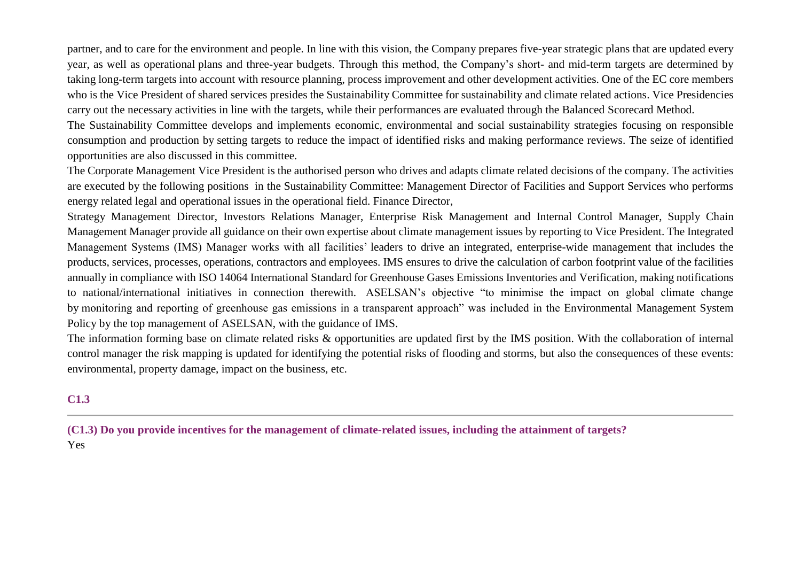partner, and to care for the environment and people. In line with this vision, the Company prepares five-year strategic plans that are updated every year, as well as operational plans and three-year budgets. Through this method, the Company's short- and mid-term targets are determined by taking long-term targets into account with resource planning, process improvement and other development activities. One of the EC core members who is the Vice President of shared services presides the Sustainability Committee for sustainability and climate related actions. Vice Presidencies carry out the necessary activities in line with the targets, while their performances are evaluated through the Balanced Scorecard Method.

The Sustainability Committee develops and implements economic, environmental and social sustainability strategies focusing on responsible consumption and production by setting targets to reduce the impact of identified risks and making performance reviews. The seize of identified opportunities are also discussed in this committee.

The Corporate Management Vice President is the authorised person who drives and adapts climate related decisions of the company. The activities are executed by the following positions in the Sustainability Committee: Management Director of Facilities and Support Services who performs energy related legal and operational issues in the operational field. Finance Director,

Strategy Management Director, Investors Relations Manager, Enterprise Risk Management and Internal Control Manager, Supply Chain Management Manager provide all guidance on their own expertise about climate management issues by reporting to Vice President. The Integrated Management Systems (IMS) Manager works with all facilities' leaders to drive an integrated, enterprise-wide management that includes the products, services, processes, operations, contractors and employees. IMS ensures to drive the calculation of carbon footprint value of the facilities annually in compliance with ISO 14064 International Standard for Greenhouse Gases Emissions Inventories and Verification, making notifications to national/international initiatives in connection therewith. ASELSAN's objective "to minimise the impact on global climate change by monitoring and reporting of greenhouse gas emissions in a transparent approach" was included in the Environmental Management System Policy by the top management of ASELSAN, with the guidance of IMS.

The information forming base on climate related risks & opportunities are updated first by the IMS position. With the collaboration of internal control manager the risk mapping is updated for identifying the potential risks of flooding and storms, but also the consequences of these events: environmental, property damage, impact on the business, etc.

# **C1.3**

**(C1.3) Do you provide incentives for the management of climate-related issues, including the attainment of targets?** Yes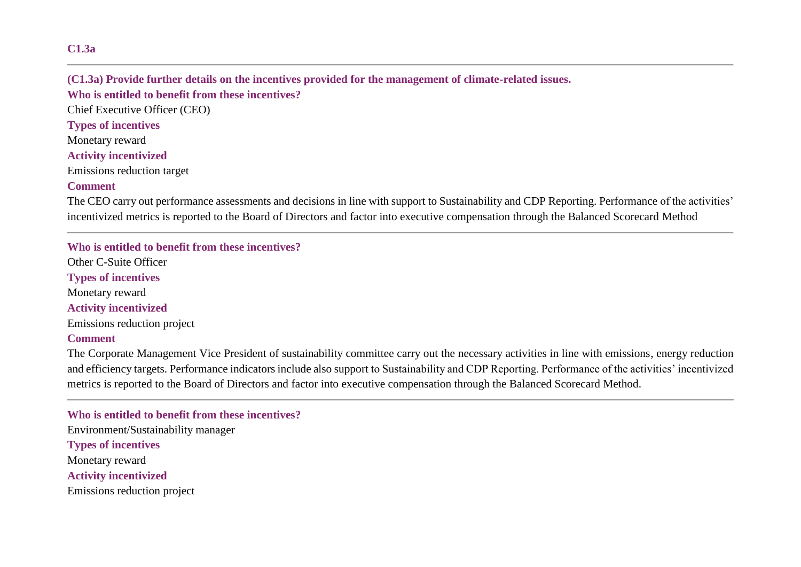### **C1.3a**

**(C1.3a) Provide further details on the incentives provided for the management of climate-related issues. Who is entitled to benefit from these incentives?** Chief Executive Officer (CEO) **Types of incentives** Monetary reward **Activity incentivized** Emissions reduction target **Comment**

The CEO carry out performance assessments and decisions in line with support to Sustainability and CDP Reporting. Performance of the activities' incentivized metrics is reported to the Board of Directors and factor into executive compensation through the Balanced Scorecard Method

**Who is entitled to benefit from these incentives?** Other C-Suite Officer **Types of incentives** Monetary reward **Activity incentivized** Emissions reduction project **Comment**

The Corporate Management Vice President of sustainability committee carry out the necessary activities in line with emissions, energy reduction and efficiency targets. Performance indicators include also support to Sustainability and CDP Reporting. Performance of the activities' incentivized metrics is reported to the Board of Directors and factor into executive compensation through the Balanced Scorecard Method.

**Who is entitled to benefit from these incentives?** Environment/Sustainability manager **Types of incentives** Monetary reward **Activity incentivized** Emissions reduction project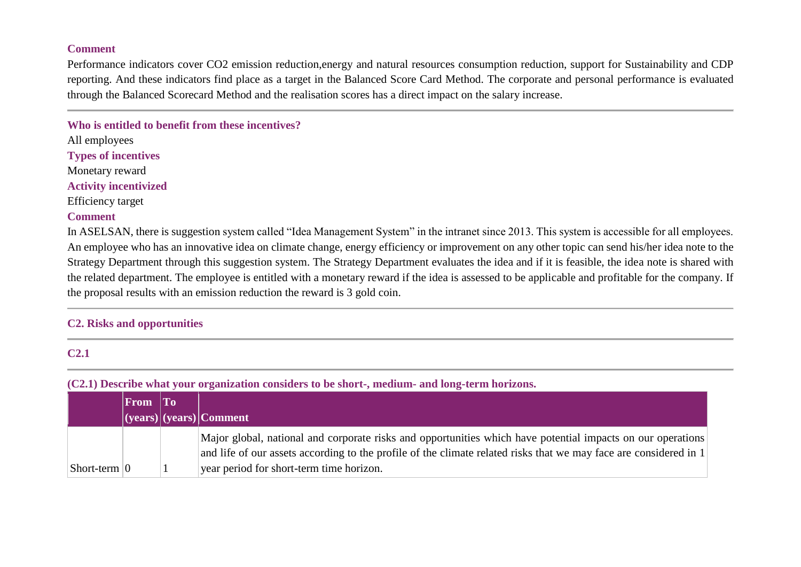#### **Comment**

Performance indicators cover CO2 emission reduction,energy and natural resources consumption reduction, support for Sustainability and CDP reporting. And these indicators find place as a target in the Balanced Score Card Method. The corporate and personal performance is evaluated through the Balanced Scorecard Method and the realisation scores has a direct impact on the salary increase.

**Who is entitled to benefit from these incentives?**

All employees **Types of incentives** Monetary reward **Activity incentivized**

Efficiency target

## **Comment**

In ASELSAN, there is suggestion system called "Idea Management System" in the intranet since 2013. This system is accessible for all employees. An employee who has an innovative idea on climate change, energy efficiency or improvement on any other topic can send his/her idea note to the Strategy Department through this suggestion system. The Strategy Department evaluates the idea and if it is feasible, the idea note is shared with the related department. The employee is entitled with a monetary reward if the idea is assessed to be applicable and profitable for the company. If the proposal results with an emission reduction the reward is 3 gold coin.

### **C2. Risks and opportunities**

### **C2.1**

**(C2.1) Describe what your organization considers to be short-, medium- and long-term horizons.**

|                              | $ $ From $ $ To |                                                                                                                                                                                                                                  |
|------------------------------|-----------------|----------------------------------------------------------------------------------------------------------------------------------------------------------------------------------------------------------------------------------|
|                              |                 | $ (years) (years) $ Comment                                                                                                                                                                                                      |
|                              |                 | Major global, national and corporate risks and opportunities which have potential impacts on our operations<br>and life of our assets according to the profile of the climate related risks that we may face are considered in 1 |
| $\vert$ Short-term $\vert$ 0 |                 | year period for short-term time horizon.                                                                                                                                                                                         |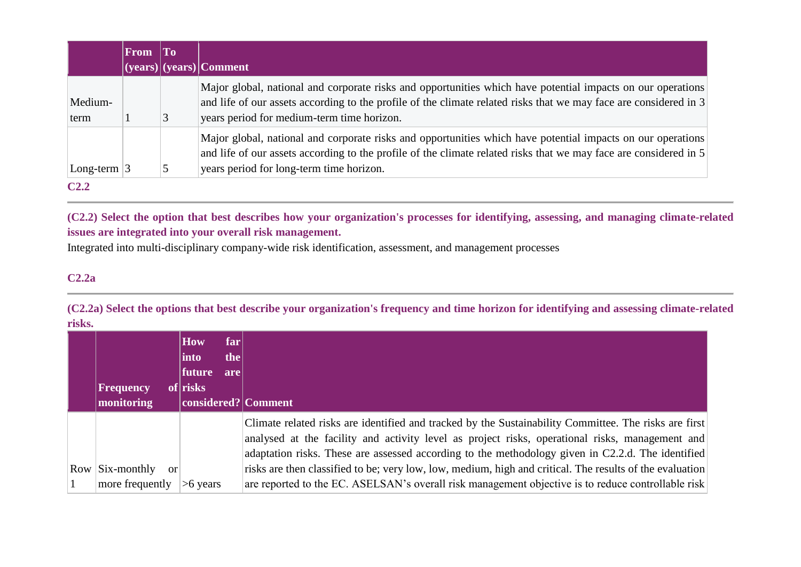|                  | <b>From</b> | To |                                                                                                                                                                                                                                                                                |
|------------------|-------------|----|--------------------------------------------------------------------------------------------------------------------------------------------------------------------------------------------------------------------------------------------------------------------------------|
|                  |             |    | $(c)$ (years) $(c)$ comment                                                                                                                                                                                                                                                    |
| Medium-<br>term  |             |    | Major global, national and corporate risks and opportunities which have potential impacts on our operations<br>and life of our assets according to the profile of the climate related risks that we may face are considered in 3<br>years period for medium-term time horizon. |
| Long-term $ 3$   |             |    | Major global, national and corporate risks and opportunities which have potential impacts on our operations<br>and life of our assets according to the profile of the climate related risks that we may face are considered in 5<br>years period for long-term time horizon.   |
| C <sub>2.2</sub> |             |    |                                                                                                                                                                                                                                                                                |

**(C2.2) Select the option that best describes how your organization's processes for identifying, assessing, and managing climate-related issues are integrated into your overall risk management.**

Integrated into multi-disciplinary company-wide risk identification, assessment, and management processes

# **C2.2a**

**(C2.2a) Select the options that best describe your organization's frequency and time horizon for identifying and assessing climate-related risks.**

| <b>Frequency</b><br>monitoring             | <b>How</b><br>far<br>the<br>$ $ into<br> future <br>are<br>of risks<br>considered? Comment |                                                                                                                                                                                                                                                                                                                                                                                                                                                                                                                                 |
|--------------------------------------------|--------------------------------------------------------------------------------------------|---------------------------------------------------------------------------------------------------------------------------------------------------------------------------------------------------------------------------------------------------------------------------------------------------------------------------------------------------------------------------------------------------------------------------------------------------------------------------------------------------------------------------------|
| $Row$ Six-monthly<br>or<br>more frequently | $>6$ years                                                                                 | Climate related risks are identified and tracked by the Sustainability Committee. The risks are first<br>analysed at the facility and activity level as project risks, operational risks, management and<br>adaptation risks. These are assessed according to the methodology given in C2.2.d. The identified<br>risks are then classified to be; very low, low, medium, high and critical. The results of the evaluation<br>are reported to the EC. ASELSAN's overall risk management objective is to reduce controllable risk |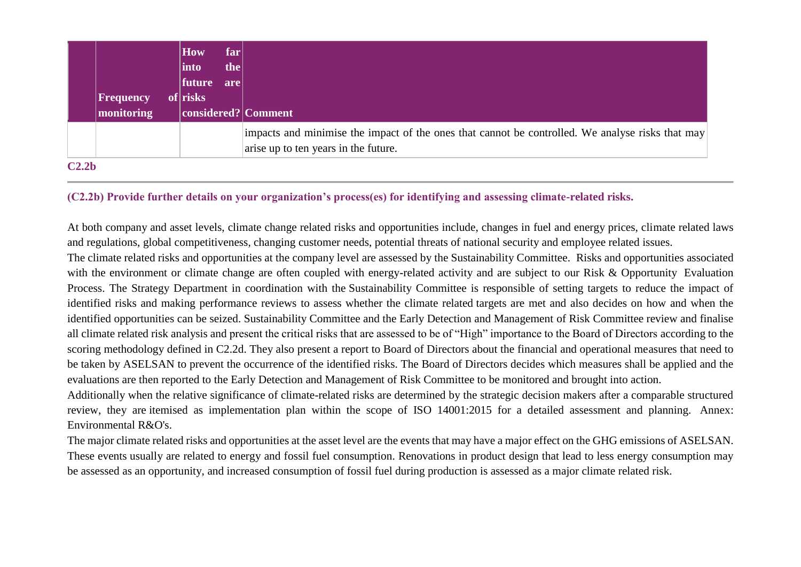|                   | Frequency<br>monitoring | How<br> into<br> future<br>of risks | far<br>the<br>are | considered? Comment                                                                                                                      |
|-------------------|-------------------------|-------------------------------------|-------------------|------------------------------------------------------------------------------------------------------------------------------------------|
|                   |                         |                                     |                   | impacts and minimise the impact of the ones that cannot be controlled. We analyse risks that may<br>arise up to ten years in the future. |
| C2.2 <sub>b</sub> |                         |                                     |                   |                                                                                                                                          |

### **(C2.2b) Provide further details on your organization's process(es) for identifying and assessing climate-related risks.**

At both company and asset levels, climate change related risks and opportunities include, changes in fuel and energy prices, climate related laws and regulations, global competitiveness, changing customer needs, potential threats of national security and employee related issues.

The climate related risks and opportunities at the company level are assessed by the Sustainability Committee. Risks and opportunities associated with the environment or climate change are often coupled with energy-related activity and are subject to our Risk & Opportunity Evaluation Process. The Strategy Department in coordination with the Sustainability Committee is responsible of setting targets to reduce the impact of identified risks and making performance reviews to assess whether the climate related targets are met and also decides on how and when the identified opportunities can be seized. Sustainability Committee and the Early Detection and Management of Risk Committee review and finalise all climate related risk analysis and present the critical risks that are assessed to be of "High" importance to the Board of Directors according to the scoring methodology defined in C2.2d. They also present a report to Board of Directors about the financial and operational measures that need to be taken by ASELSAN to prevent the occurrence of the identified risks. The Board of Directors decides which measures shall be applied and the evaluations are then reported to the Early Detection and Management of Risk Committee to be monitored and brought into action.

Additionally when the relative significance of climate-related risks are determined by the strategic decision makers after a comparable structured review, they are itemised as implementation plan within the scope of ISO 14001:2015 for a detailed assessment and planning. Annex: Environmental R&O's.

The major climate related risks and opportunities at the asset level are the events that may have a major effect on the GHG emissions of ASELSAN. These events usually are related to energy and fossil fuel consumption. Renovations in product design that lead to less energy consumption may be assessed as an opportunity, and increased consumption of fossil fuel during production is assessed as a major climate related risk.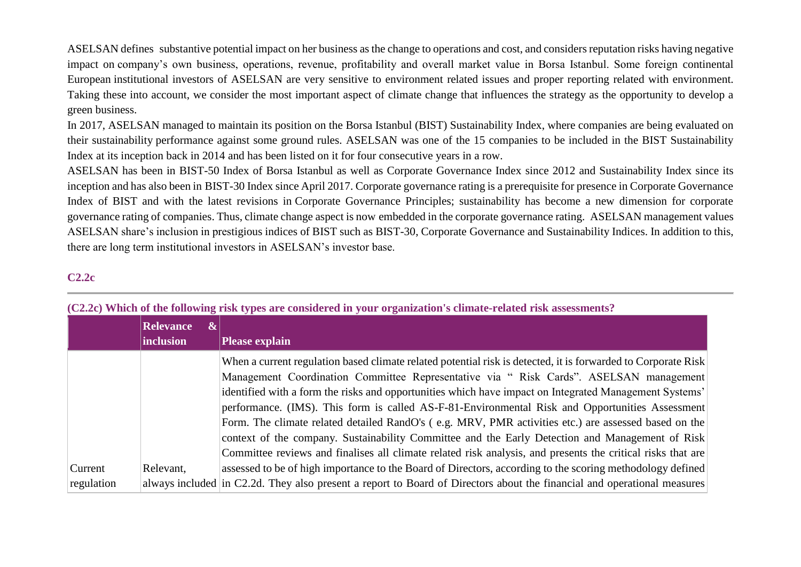ASELSAN definessubstantive potential impact on her business as the change to operations and cost, and considers reputation risks having negative impact on company's own business, operations, revenue, profitability and overall market value in Borsa Istanbul. Some foreign continental European institutional investors of ASELSAN are very sensitive to environment related issues and proper reporting related with environment. Taking these into account, we consider the most important aspect of climate change that influences the strategy as the opportunity to develop a green business.

In 2017, ASELSAN managed to maintain its position on the Borsa Istanbul (BIST) Sustainability Index, where companies are being evaluated on their sustainability performance against some ground rules. ASELSAN was one of the 15 companies to be included in the BIST Sustainability Index at its inception back in 2014 and has been listed on it for four consecutive years in a row.

ASELSAN has been in BIST-50 Index of Borsa Istanbul as well as Corporate Governance Index since 2012 and Sustainability Index since its inception and has also been in BIST-30 Index since April 2017. Corporate governance rating is a prerequisite for presence in Corporate Governance Index of BIST and with the latest revisions in Corporate Governance Principles; sustainability has become a new dimension for corporate governance rating of companies. Thus, climate change aspect is now embedded in the corporate governance rating. ASELSAN management values ASELSAN share's inclusion in prestigious indices of BIST such as BIST-30, Corporate Governance and Sustainability Indices. In addition to this, there are long term institutional investors in ASELSAN's investor base.

## **C2.2c**

|            | <b>Relevance</b><br>$\boldsymbol{\alpha}$<br>inclusion | <b>Please explain</b>                                                                                                                                                                                                                                                                                                                                                                                                                                                                                                                                                                                                                                                                                                                          |
|------------|--------------------------------------------------------|------------------------------------------------------------------------------------------------------------------------------------------------------------------------------------------------------------------------------------------------------------------------------------------------------------------------------------------------------------------------------------------------------------------------------------------------------------------------------------------------------------------------------------------------------------------------------------------------------------------------------------------------------------------------------------------------------------------------------------------------|
|            |                                                        | When a current regulation based climate related potential risk is detected, it is forwarded to Corporate Risk<br>Management Coordination Committee Representative via " Risk Cards". ASELSAN management<br>identified with a form the risks and opportunities which have impact on Integrated Management Systems'<br>performance. (IMS). This form is called AS-F-81-Environmental Risk and Opportunities Assessment<br>Form. The climate related detailed RandO's (e.g. MRV, PMR activities etc.) are assessed based on the<br>context of the company. Sustainability Committee and the Early Detection and Management of Risk<br>Committee reviews and finalises all climate related risk analysis, and presents the critical risks that are |
| Current    | Relevant,                                              | assessed to be of high importance to the Board of Directors, according to the scoring methodology defined                                                                                                                                                                                                                                                                                                                                                                                                                                                                                                                                                                                                                                      |
| regulation |                                                        | always included in C2.2d. They also present a report to Board of Directors about the financial and operational measures                                                                                                                                                                                                                                                                                                                                                                                                                                                                                                                                                                                                                        |

#### **(C2.2c) Which of the following risk types are considered in your organization's climate-related risk assessments?**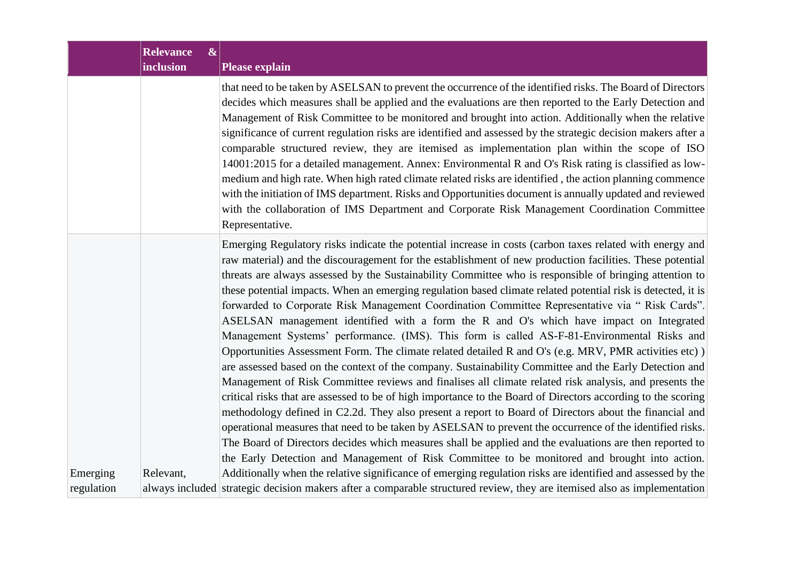| <b>Relevance</b><br>$\boldsymbol{\&}$<br>inclusion | <b>Please explain</b>                                                                                                                                                                                                                                                                                                                                                                                                                                                                                                                                                                                                                                                                                                                                                                                                                                                                                                                                                                                                                                                                                                                                                                                                                                                                                                                                                                                                                                                                                                                                                                                                      |
|----------------------------------------------------|----------------------------------------------------------------------------------------------------------------------------------------------------------------------------------------------------------------------------------------------------------------------------------------------------------------------------------------------------------------------------------------------------------------------------------------------------------------------------------------------------------------------------------------------------------------------------------------------------------------------------------------------------------------------------------------------------------------------------------------------------------------------------------------------------------------------------------------------------------------------------------------------------------------------------------------------------------------------------------------------------------------------------------------------------------------------------------------------------------------------------------------------------------------------------------------------------------------------------------------------------------------------------------------------------------------------------------------------------------------------------------------------------------------------------------------------------------------------------------------------------------------------------------------------------------------------------------------------------------------------------|
|                                                    | that need to be taken by ASELSAN to prevent the occurrence of the identified risks. The Board of Directors<br>decides which measures shall be applied and the evaluations are then reported to the Early Detection and<br>Management of Risk Committee to be monitored and brought into action. Additionally when the relative<br>significance of current regulation risks are identified and assessed by the strategic decision makers after a<br>comparable structured review, they are itemised as implementation plan within the scope of ISO<br>14001:2015 for a detailed management. Annex: Environmental R and O's Risk rating is classified as low-<br>medium and high rate. When high rated climate related risks are identified, the action planning commence<br>with the initiation of IMS department. Risks and Opportunities document is annually updated and reviewed<br>with the collaboration of IMS Department and Corporate Risk Management Coordination Committee<br>Representative.                                                                                                                                                                                                                                                                                                                                                                                                                                                                                                                                                                                                                    |
|                                                    | Emerging Regulatory risks indicate the potential increase in costs (carbon taxes related with energy and<br>raw material) and the discouragement for the establishment of new production facilities. These potential<br>threats are always assessed by the Sustainability Committee who is responsible of bringing attention to<br>these potential impacts. When an emerging regulation based climate related potential risk is detected, it is<br>forwarded to Corporate Risk Management Coordination Committee Representative via "Risk Cards".<br>ASELSAN management identified with a form the R and O's which have impact on Integrated<br>Management Systems' performance. (IMS). This form is called AS-F-81-Environmental Risks and<br>Opportunities Assessment Form. The climate related detailed R and O's (e.g. MRV, PMR activities etc))<br>are assessed based on the context of the company. Sustainability Committee and the Early Detection and<br>Management of Risk Committee reviews and finalises all climate related risk analysis, and presents the<br>critical risks that are assessed to be of high importance to the Board of Directors according to the scoring<br>methodology defined in C2.2d. They also present a report to Board of Directors about the financial and<br>operational measures that need to be taken by ASELSAN to prevent the occurrence of the identified risks.<br>The Board of Directors decides which measures shall be applied and the evaluations are then reported to<br>the Early Detection and Management of Risk Committee to be monitored and brought into action. |
| Relevant,                                          | Additionally when the relative significance of emerging regulation risks are identified and assessed by the<br>always included strategic decision makers after a comparable structured review, they are itemised also as implementation                                                                                                                                                                                                                                                                                                                                                                                                                                                                                                                                                                                                                                                                                                                                                                                                                                                                                                                                                                                                                                                                                                                                                                                                                                                                                                                                                                                    |
|                                                    |                                                                                                                                                                                                                                                                                                                                                                                                                                                                                                                                                                                                                                                                                                                                                                                                                                                                                                                                                                                                                                                                                                                                                                                                                                                                                                                                                                                                                                                                                                                                                                                                                            |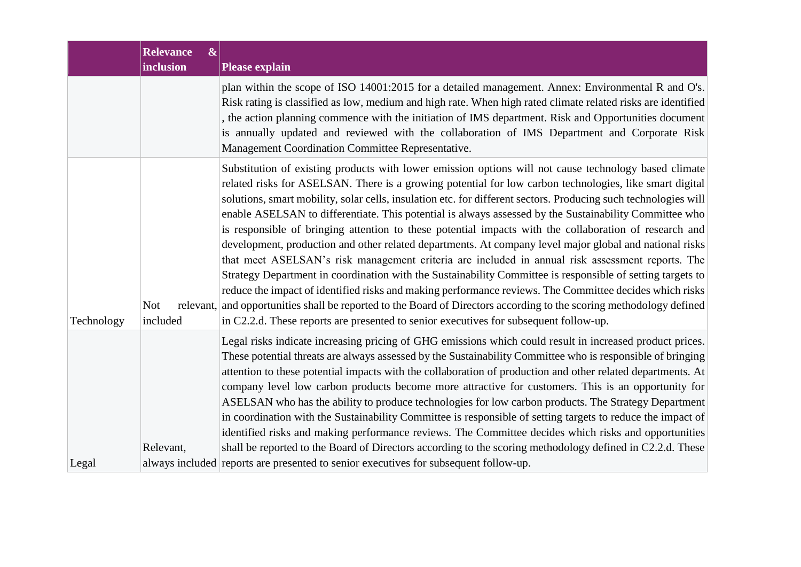|            | <b>Relevance</b><br>$\vert\mathbf{r}\vert$<br>inclusion | <b>Please explain</b>                                                                                                                                                                                                                                                                                                                                                                                                                                                                                                                                                                                                                                                                                                                                                                                                                                                                                                                                                                                                                                                                                                                                                                                            |  |
|------------|---------------------------------------------------------|------------------------------------------------------------------------------------------------------------------------------------------------------------------------------------------------------------------------------------------------------------------------------------------------------------------------------------------------------------------------------------------------------------------------------------------------------------------------------------------------------------------------------------------------------------------------------------------------------------------------------------------------------------------------------------------------------------------------------------------------------------------------------------------------------------------------------------------------------------------------------------------------------------------------------------------------------------------------------------------------------------------------------------------------------------------------------------------------------------------------------------------------------------------------------------------------------------------|--|
|            |                                                         | plan within the scope of ISO 14001:2015 for a detailed management. Annex: Environmental R and O's.<br>Risk rating is classified as low, medium and high rate. When high rated climate related risks are identified<br>the action planning commence with the initiation of IMS department. Risk and Opportunities document<br>is annually updated and reviewed with the collaboration of IMS Department and Corporate Risk<br>Management Coordination Committee Representative.                                                                                                                                                                                                                                                                                                                                                                                                                                                                                                                                                                                                                                                                                                                                   |  |
| Technology | <b>Not</b><br>included                                  | Substitution of existing products with lower emission options will not cause technology based climate<br>related risks for ASELSAN. There is a growing potential for low carbon technologies, like smart digital<br>solutions, smart mobility, solar cells, insulation etc. for different sectors. Producing such technologies will<br>enable ASELSAN to differentiate. This potential is always assessed by the Sustainability Committee who<br>is responsible of bringing attention to these potential impacts with the collaboration of research and<br>development, production and other related departments. At company level major global and national risks<br>that meet ASELSAN's risk management criteria are included in annual risk assessment reports. The<br>Strategy Department in coordination with the Sustainability Committee is responsible of setting targets to<br>reduce the impact of identified risks and making performance reviews. The Committee decides which risks<br>relevant, and opportunities shall be reported to the Board of Directors according to the scoring methodology defined<br>in C2.2.d. These reports are presented to senior executives for subsequent follow-up. |  |
| Legal      | Relevant,                                               | Legal risks indicate increasing pricing of GHG emissions which could result in increased product prices.<br>These potential threats are always assessed by the Sustainability Committee who is responsible of bringing<br>attention to these potential impacts with the collaboration of production and other related departments. At<br>company level low carbon products become more attractive for customers. This is an opportunity for<br>ASELSAN who has the ability to produce technologies for low carbon products. The Strategy Department<br>in coordination with the Sustainability Committee is responsible of setting targets to reduce the impact of<br>identified risks and making performance reviews. The Committee decides which risks and opportunities<br>shall be reported to the Board of Directors according to the scoring methodology defined in C2.2.d. These<br>always included reports are presented to senior executives for subsequent follow-up.                                                                                                                                                                                                                                  |  |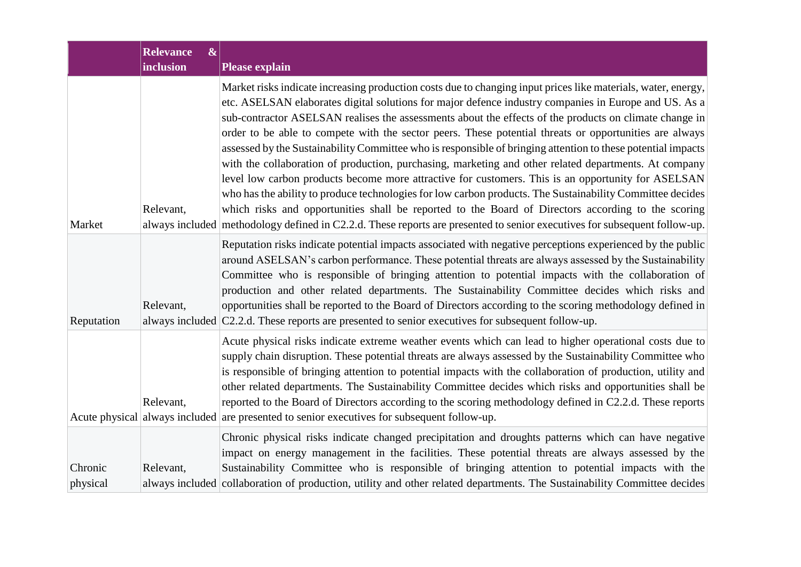|                     | <b>Relevance</b><br>$\boldsymbol{\alpha}$<br><b>inclusion</b> | <b>Please explain</b>                                                                                                                                                                                                                                                                                                                                                                                                                                                                                                                                                                                                                                                                                                                                                                                                                                                                                                                                                                                                                                                                                                     |
|---------------------|---------------------------------------------------------------|---------------------------------------------------------------------------------------------------------------------------------------------------------------------------------------------------------------------------------------------------------------------------------------------------------------------------------------------------------------------------------------------------------------------------------------------------------------------------------------------------------------------------------------------------------------------------------------------------------------------------------------------------------------------------------------------------------------------------------------------------------------------------------------------------------------------------------------------------------------------------------------------------------------------------------------------------------------------------------------------------------------------------------------------------------------------------------------------------------------------------|
| Market              | Relevant,                                                     | Market risks indicate increasing production costs due to changing input prices like materials, water, energy,<br>etc. ASELSAN elaborates digital solutions for major defence industry companies in Europe and US. As a<br>sub-contractor ASELSAN realises the assessments about the effects of the products on climate change in<br>order to be able to compete with the sector peers. These potential threats or opportunities are always<br>assessed by the Sustainability Committee who is responsible of bringing attention to these potential impacts<br>with the collaboration of production, purchasing, marketing and other related departments. At company<br>level low carbon products become more attractive for customers. This is an opportunity for ASELSAN<br>who has the ability to produce technologies for low carbon products. The Sustainability Committee decides<br>which risks and opportunities shall be reported to the Board of Directors according to the scoring<br>always included methodology defined in C2.2.d. These reports are presented to senior executives for subsequent follow-up. |
| Reputation          | Relevant,                                                     | Reputation risks indicate potential impacts associated with negative perceptions experienced by the public<br>around ASELSAN's carbon performance. These potential threats are always assessed by the Sustainability<br>Committee who is responsible of bringing attention to potential impacts with the collaboration of<br>production and other related departments. The Sustainability Committee decides which risks and<br>opportunities shall be reported to the Board of Directors according to the scoring methodology defined in<br>always included $ C2.2.d$ . These reports are presented to senior executives for subsequent follow-up.                                                                                                                                                                                                                                                                                                                                                                                                                                                                        |
|                     | Relevant,                                                     | Acute physical risks indicate extreme weather events which can lead to higher operational costs due to<br>supply chain disruption. These potential threats are always assessed by the Sustainability Committee who<br>is responsible of bringing attention to potential impacts with the collaboration of production, utility and<br>other related departments. The Sustainability Committee decides which risks and opportunities shall be<br>reported to the Board of Directors according to the scoring methodology defined in C2.2.d. These reports<br>Acute physical always included are presented to senior executives for subsequent follow-up.                                                                                                                                                                                                                                                                                                                                                                                                                                                                    |
| Chronic<br>physical | Relevant,                                                     | Chronic physical risks indicate changed precipitation and droughts patterns which can have negative<br>impact on energy management in the facilities. These potential threats are always assessed by the<br>Sustainability Committee who is responsible of bringing attention to potential impacts with the<br>always included collaboration of production, utility and other related departments. The Sustainability Committee decides                                                                                                                                                                                                                                                                                                                                                                                                                                                                                                                                                                                                                                                                                   |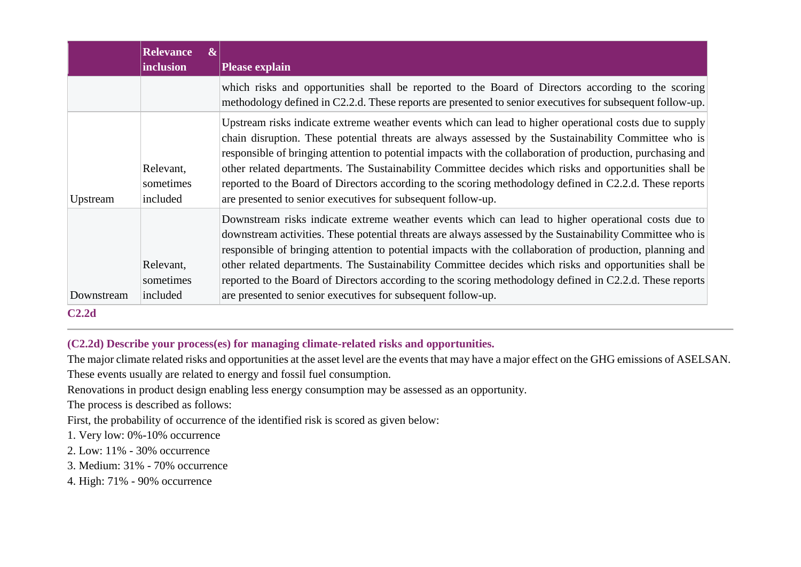|            | <b>Relevance</b><br>$\boldsymbol{\alpha}$<br><i>inclusion</i> | <b>Please explain</b>                                                                                                                                                                                                                                                                                                                                                                                                                                                                                                                                                                                                |  |
|------------|---------------------------------------------------------------|----------------------------------------------------------------------------------------------------------------------------------------------------------------------------------------------------------------------------------------------------------------------------------------------------------------------------------------------------------------------------------------------------------------------------------------------------------------------------------------------------------------------------------------------------------------------------------------------------------------------|--|
|            |                                                               | which risks and opportunities shall be reported to the Board of Directors according to the scoring<br>methodology defined in C2.2.d. These reports are presented to senior executives for subsequent follow-up.                                                                                                                                                                                                                                                                                                                                                                                                      |  |
| Upstream   | Relevant,<br>sometimes<br>included                            | Upstream risks indicate extreme weather events which can lead to higher operational costs due to supply<br>chain disruption. These potential threats are always assessed by the Sustainability Committee who is<br>responsible of bringing attention to potential impacts with the collaboration of production, purchasing and<br>other related departments. The Sustainability Committee decides which risks and opportunities shall be<br>reported to the Board of Directors according to the scoring methodology defined in C2.2.d. These reports<br>are presented to senior executives for subsequent follow-up. |  |
| Downstream | Relevant,<br>sometimes<br>included                            | Downstream risks indicate extreme weather events which can lead to higher operational costs due to<br>downstream activities. These potential threats are always assessed by the Sustainability Committee who is<br>responsible of bringing attention to potential impacts with the collaboration of production, planning and<br>other related departments. The Sustainability Committee decides which risks and opportunities shall be<br>reported to the Board of Directors according to the scoring methodology defined in C2.2.d. These reports<br>are presented to senior executives for subsequent follow-up.   |  |

#### **C2.2d**

# **(C2.2d) Describe your process(es) for managing climate-related risks and opportunities.**

The major climate related risks and opportunities at the asset level are the events that may have a major effect on the GHG emissions of ASELSAN.

These events usually are related to energy and fossil fuel consumption.

Renovations in product design enabling less energy consumption may be assessed as an opportunity.

The process is described as follows:

First, the probability of occurrence of the identified risk is scored as given below:

- 1. Very low: 0%-10% occurrence
- 2. Low: 11% 30% occurrence
- 3. Medium: 31% 70% occurrence
- 4. High: 71% 90% occurrence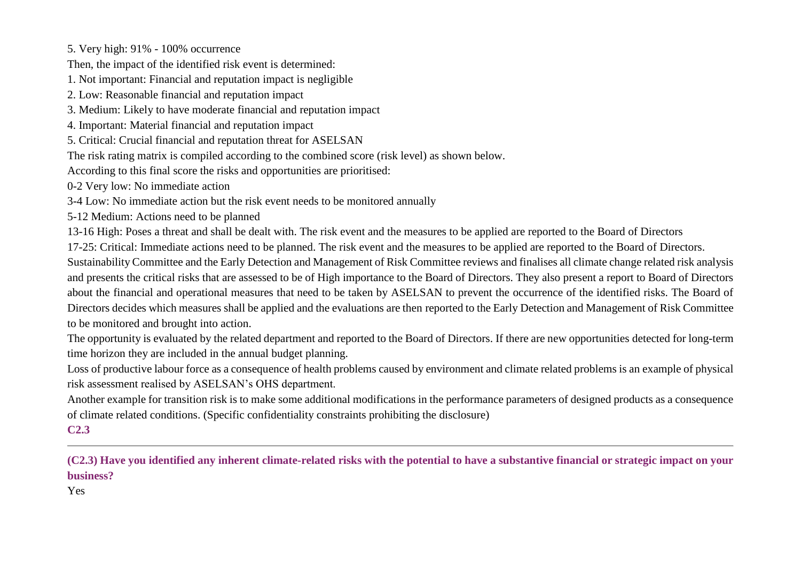5. Very high: 91% - 100% occurrence

Then, the impact of the identified risk event is determined:

1. Not important: Financial and reputation impact is negligible

2. Low: Reasonable financial and reputation impact

3. Medium: Likely to have moderate financial and reputation impact

4. Important: Material financial and reputation impact

5. Critical: Crucial financial and reputation threat for ASELSAN

The risk rating matrix is compiled according to the combined score (risk level) as shown below.

According to this final score the risks and opportunities are prioritised:

0-2 Very low: No immediate action

3-4 Low: No immediate action but the risk event needs to be monitored annually

5-12 Medium: Actions need to be planned

13-16 High: Poses a threat and shall be dealt with. The risk event and the measures to be applied are reported to the Board of Directors

17-25: Critical: Immediate actions need to be planned. The risk event and the measures to be applied are reported to the Board of Directors.

Sustainability Committee and the Early Detection and Management of Risk Committee reviews and finalises all climate change related risk analysis and presents the critical risks that are assessed to be of High importance to the Board of Directors. They also present a report to Board of Directors about the financial and operational measures that need to be taken by ASELSAN to prevent the occurrence of the identified risks. The Board of Directors decides which measures shall be applied and the evaluations are then reported to the Early Detection and Management of Risk Committee to be monitored and brought into action.

The opportunity is evaluated by the related department and reported to the Board of Directors. If there are new opportunities detected for long-term time horizon they are included in the annual budget planning.

Loss of productive labour force as a consequence of health problems caused by environment and climate related problems is an example of physical risk assessment realised by ASELSAN's OHS department.

Another example for transition risk is to make some additional modifications in the performance parameters of designed products as a consequence of climate related conditions. (Specific confidentiality constraints prohibiting the disclosure)

# **C2.3**

**(C2.3) Have you identified any inherent climate-related risks with the potential to have a substantive financial or strategic impact on your business?**

Yes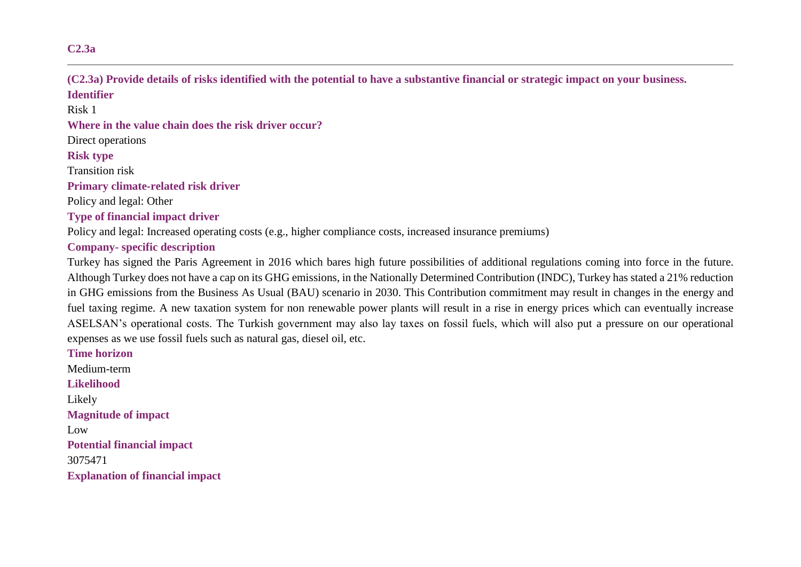### **C2.3a**

**(C2.3a) Provide details of risks identified with the potential to have a substantive financial or strategic impact on your business. Identifier**

Risk 1

**Where in the value chain does the risk driver occur?**

Direct operations

#### **Risk type**

Transition risk

**Primary climate-related risk driver**

Policy and legal: Other

**Type of financial impact driver**

Policy and legal: Increased operating costs (e.g., higher compliance costs, increased insurance premiums)

### **Company- specific description**

Turkey has signed the Paris Agreement in 2016 which bares high future possibilities of additional regulations coming into force in the future. Although Turkey does not have a cap on its GHG emissions, in the Nationally Determined Contribution (INDC), Turkey has stated a 21% reduction in GHG emissions from the Business As Usual (BAU) scenario in 2030. This Contribution commitment may result in changes in the energy and fuel taxing regime. A new taxation system for non renewable power plants will result in a rise in energy prices which can eventually increase ASELSAN's operational costs. The Turkish government may also lay taxes on fossil fuels, which will also put a pressure on our operational expenses as we use fossil fuels such as natural gas, diesel oil, etc.

**Time horizon** Medium-term **Likelihood** Likely **Magnitude of impact** Low **Potential financial impact** 3075471 **Explanation of financial impact**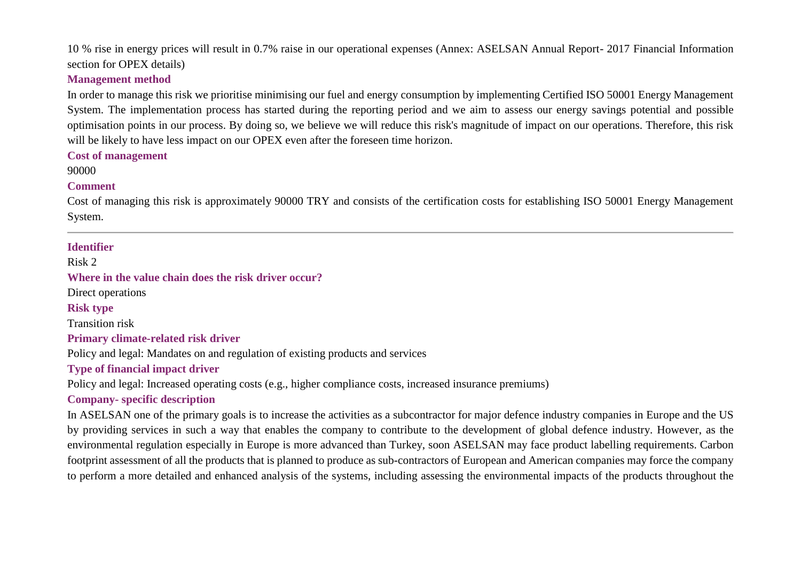10 % rise in energy prices will result in 0.7% raise in our operational expenses (Annex: ASELSAN Annual Report- 2017 Financial Information section for OPEX details)

#### **Management method**

In order to manage this risk we prioritise minimising our fuel and energy consumption by implementing Certified ISO 50001 Energy Management System. The implementation process has started during the reporting period and we aim to assess our energy savings potential and possible optimisation points in our process. By doing so, we believe we will reduce this risk's magnitude of impact on our operations. Therefore, this risk will be likely to have less impact on our OPEX even after the foreseen time horizon.

#### **Cost of management**

90000

#### **Comment**

Cost of managing this risk is approximately 90000 TRY and consists of the certification costs for establishing ISO 50001 Energy Management System.

#### **Identifier**

Risk 2

**Where in the value chain does the risk driver occur?**

Direct operations

**Risk type**

Transition risk

#### **Primary climate-related risk driver**

Policy and legal: Mandates on and regulation of existing products and services

#### **Type of financial impact driver**

Policy and legal: Increased operating costs (e.g., higher compliance costs, increased insurance premiums)

### **Company- specific description**

In ASELSAN one of the primary goals is to increase the activities as a subcontractor for major defence industry companies in Europe and the US by providing services in such a way that enables the company to contribute to the development of global defence industry. However, as the environmental regulation especially in Europe is more advanced than Turkey, soon ASELSAN may face product labelling requirements. Carbon footprint assessment of all the products that is planned to produce as sub-contractors of European and American companies may force the company to perform a more detailed and enhanced analysis of the systems, including assessing the environmental impacts of the products throughout the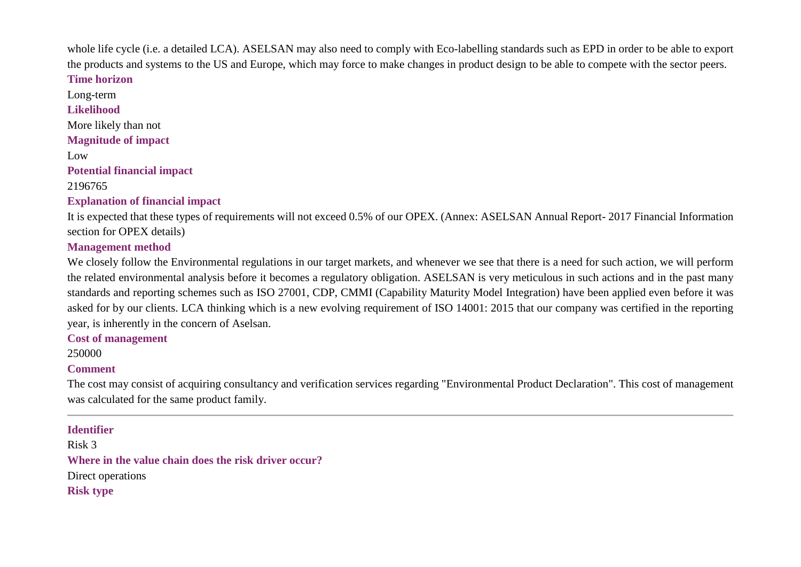whole life cycle (i.e. a detailed LCA). ASELSAN may also need to comply with Eco-labelling standards such as EPD in order to be able to export the products and systems to the US and Europe, which may force to make changes in product design to be able to compete with the sector peers.

### **Time horizon**

Long-term **Likelihood** More likely than not **Magnitude of impact** Low **Potential financial impact** 2196765

# **Explanation of financial impact**

It is expected that these types of requirements will not exceed 0.5% of our OPEX. (Annex: ASELSAN Annual Report- 2017 Financial Information section for OPEX details)

# **Management method**

We closely follow the Environmental regulations in our target markets, and whenever we see that there is a need for such action, we will perform the related environmental analysis before it becomes a regulatory obligation. ASELSAN is very meticulous in such actions and in the past many standards and reporting schemes such as ISO 27001, CDP, CMMI (Capability Maturity Model Integration) have been applied even before it was asked for by our clients. LCA thinking which is a new evolving requirement of ISO 14001: 2015 that our company was certified in the reporting year, is inherently in the concern of Aselsan.

**Cost of management**

# 250000

# **Comment**

The cost may consist of acquiring consultancy and verification services regarding "Environmental Product Declaration". This cost of management was calculated for the same product family.

# **Identifier**

Risk 3 **Where in the value chain does the risk driver occur?** Direct operations

**Risk type**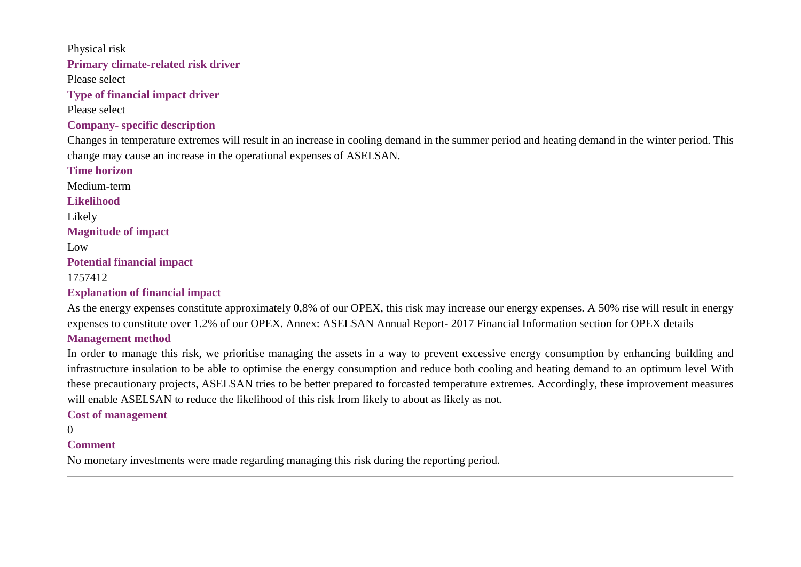Physical risk **Primary climate-related risk driver** Please select **Type of financial impact driver** Please select **Company- specific description** Changes in temperature extremes will result in an increase in cooling demand in the summer period and heating demand in the winter period. This change may cause an increase in the operational expenses of ASELSAN. **Time horizon** Medium-term **Likelihood** Likely **Magnitude of impact** Low **Potential financial impact** 1757412 **Explanation of financial impact**

As the energy expenses constitute approximately 0,8% of our OPEX, this risk may increase our energy expenses. A 50% rise will result in energy expenses to constitute over 1.2% of our OPEX. Annex: ASELSAN Annual Report- 2017 Financial Information section for OPEX details **Management method**

In order to manage this risk, we prioritise managing the assets in a way to prevent excessive energy consumption by enhancing building and infrastructure insulation to be able to optimise the energy consumption and reduce both cooling and heating demand to an optimum level With these precautionary projects, ASELSAN tries to be better prepared to forcasted temperature extremes. Accordingly, these improvement measures will enable ASELSAN to reduce the likelihood of this risk from likely to about as likely as not.

**Cost of management**

 $\Omega$ 

#### **Comment**

No monetary investments were made regarding managing this risk during the reporting period.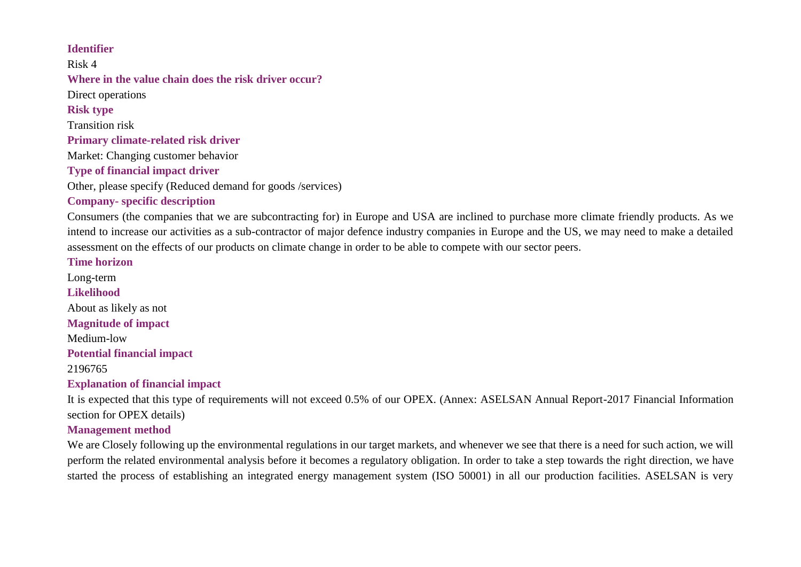### **Identifier**

Risk 4 **Where in the value chain does the risk driver occur?** Direct operations **Risk type** Transition risk **Primary climate-related risk driver** Market: Changing customer behavior **Type of financial impact driver** Other, please specify (Reduced demand for goods /services) **Company- specific description**

Consumers (the companies that we are subcontracting for) in Europe and USA are inclined to purchase more climate friendly products. As we intend to increase our activities as a sub-contractor of major defence industry companies in Europe and the US, we may need to make a detailed assessment on the effects of our products on climate change in order to be able to compete with our sector peers.

**Time horizon**

Long-term **Likelihood** About as likely as not **Magnitude of impact** Medium-low **Potential financial impact** 2196765 **Explanation of financial impact**

It is expected that this type of requirements will not exceed 0.5% of our OPEX. (Annex: ASELSAN Annual Report-2017 Financial Information section for OPEX details)

#### **Management method**

We are Closely following up the environmental regulations in our target markets, and whenever we see that there is a need for such action, we will perform the related environmental analysis before it becomes a regulatory obligation. In order to take a step towards the right direction, we have started the process of establishing an integrated energy management system (ISO 50001) in all our production facilities. ASELSAN is very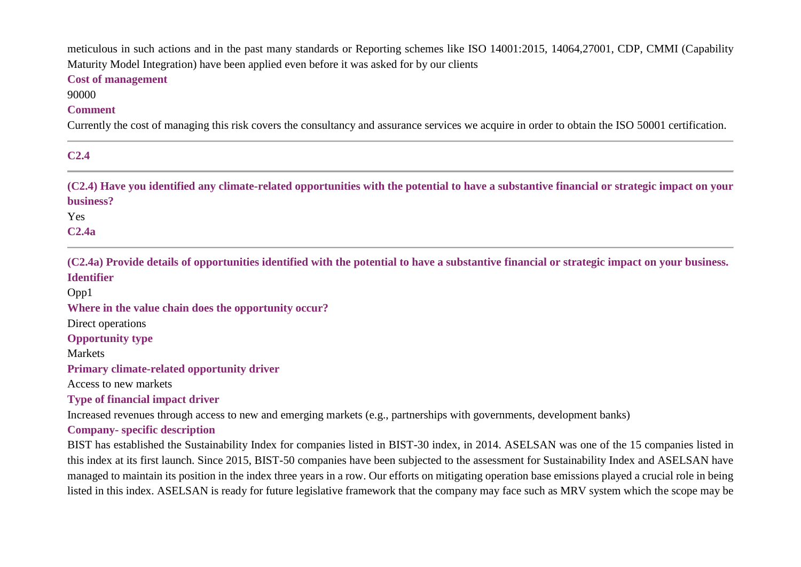meticulous in such actions and in the past many standards or Reporting schemes like ISO 14001:2015, 14064,27001, CDP, CMMI (Capability Maturity Model Integration) have been applied even before it was asked for by our clients

#### **Cost of management**

90000

#### **Comment**

Currently the cost of managing this risk covers the consultancy and assurance services we acquire in order to obtain the ISO 50001 certification.

| $\sim$<br>۰. |  |
|--------------|--|

**(C2.4) Have you identified any climate-related opportunities with the potential to have a substantive financial or strategic impact on your business?**

Yes

**C2.4a**

**(C2.4a) Provide details of opportunities identified with the potential to have a substantive financial or strategic impact on your business. Identifier**

Opp1

**Where in the value chain does the opportunity occur?**

Direct operations

**Opportunity type**

Markets

**Primary climate-related opportunity driver**

Access to new markets

**Type of financial impact driver**

Increased revenues through access to new and emerging markets (e.g., partnerships with governments, development banks)

### **Company- specific description**

BIST has established the Sustainability Index for companies listed in BIST-30 index, in 2014. ASELSAN was one of the 15 companies listed in this index at its first launch. Since 2015, BIST-50 companies have been subjected to the assessment for Sustainability Index and ASELSAN have managed to maintain its position in the index three years in a row. Our efforts on mitigating operation base emissions played a crucial role in being listed in this index. ASELSAN is ready for future legislative framework that the company may face such as MRV system which the scope may be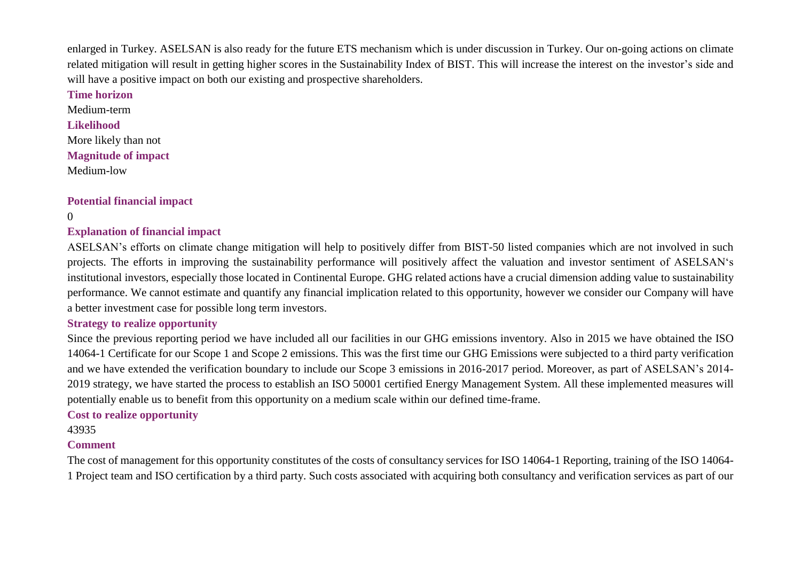enlarged in Turkey. ASELSAN is also ready for the future ETS mechanism which is under discussion in Turkey. Our on-going actions on climate related mitigation will result in getting higher scores in the Sustainability Index of BIST. This will increase the interest on the investor's side and will have a positive impact on both our existing and prospective shareholders.

**Time horizon** Medium-term **Likelihood** More likely than not **Magnitude of impact** Medium-low

### **Potential financial impact**

 $\Omega$ 

### **Explanation of financial impact**

ASELSAN's efforts on climate change mitigation will help to positively differ from BIST-50 listed companies which are not involved in such projects. The efforts in improving the sustainability performance will positively affect the valuation and investor sentiment of ASELSAN's institutional investors, especially those located in Continental Europe. GHG related actions have a crucial dimension adding value to sustainability performance. We cannot estimate and quantify any financial implication related to this opportunity, however we consider our Company will have a better investment case for possible long term investors.

#### **Strategy to realize opportunity**

Since the previous reporting period we have included all our facilities in our GHG emissions inventory. Also in 2015 we have obtained the ISO 14064-1 Certificate for our Scope 1 and Scope 2 emissions. This was the first time our GHG Emissions were subjected to a third party verification and we have extended the verification boundary to include our Scope 3 emissions in 2016-2017 period. Moreover, as part of ASELSAN's 2014- 2019 strategy, we have started the process to establish an ISO 50001 certified Energy Management System. All these implemented measures will potentially enable us to benefit from this opportunity on a medium scale within our defined time-frame.

#### **Cost to realize opportunity**

43935

### **Comment**

The cost of management for this opportunity constitutes of the costs of consultancy services for ISO 14064-1 Reporting, training of the ISO 14064- 1 Project team and ISO certification by a third party. Such costs associated with acquiring both consultancy and verification services as part of our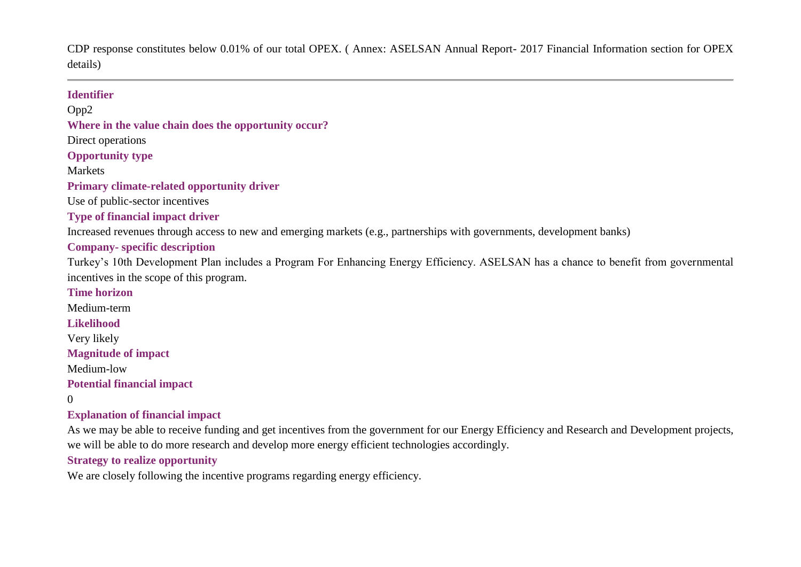CDP response constitutes below 0.01% of our total OPEX. ( Annex: ASELSAN Annual Report- 2017 Financial Information section for OPEX details)

#### **Identifier**

Opp2 **Where in the value chain does the opportunity occur?**

Direct operations

**Opportunity type**

**Markets** 

#### **Primary climate-related opportunity driver**

Use of public-sector incentives

### **Type of financial impact driver**

Increased revenues through access to new and emerging markets (e.g., partnerships with governments, development banks)

### **Company- specific description**

Turkey's 10th Development Plan includes a Program For Enhancing Energy Efficiency. ASELSAN has a chance to benefit from governmental incentives in the scope of this program.

#### **Time horizon**

Medium-term

**Likelihood**

Very likely

**Magnitude of impact**

Medium-low

**Potential financial impact**

0

### **Explanation of financial impact**

As we may be able to receive funding and get incentives from the government for our Energy Efficiency and Research and Development projects, we will be able to do more research and develop more energy efficient technologies accordingly.

### **Strategy to realize opportunity**

We are closely following the incentive programs regarding energy efficiency.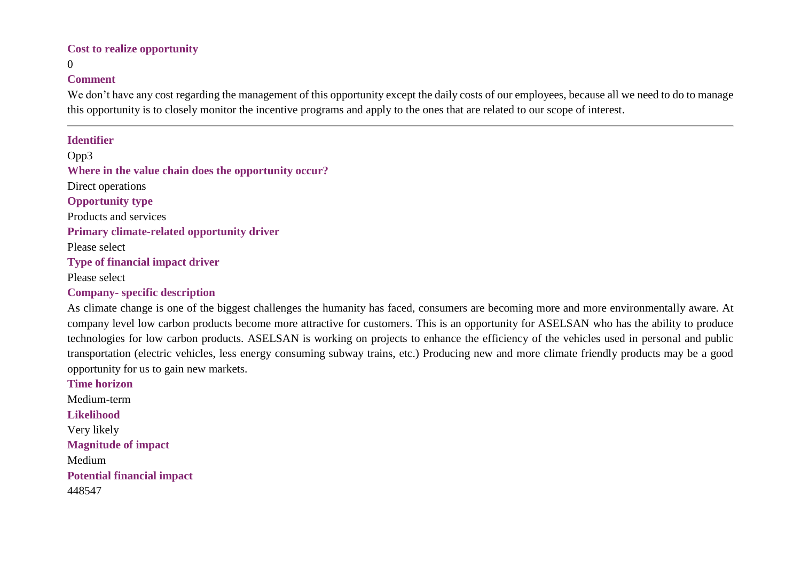#### **Cost to realize opportunity**

#### 0

#### **Comment**

We don't have any cost regarding the management of this opportunity except the daily costs of our employees, because all we need to do to manage this opportunity is to closely monitor the incentive programs and apply to the ones that are related to our scope of interest.

#### **Identifier**

Opp3 **Where in the value chain does the opportunity occur?** Direct operations **Opportunity type** Products and services **Primary climate-related opportunity driver** Please select **Type of financial impact driver** Please select

**Company- specific description**

As climate change is one of the biggest challenges the humanity has faced, consumers are becoming more and more environmentally aware. At company level low carbon products become more attractive for customers. This is an opportunity for ASELSAN who has the ability to produce technologies for low carbon products. ASELSAN is working on projects to enhance the efficiency of the vehicles used in personal and public transportation (electric vehicles, less energy consuming subway trains, etc.) Producing new and more climate friendly products may be a good opportunity for us to gain new markets.

**Time horizon** Medium-term **Likelihood** Very likely **Magnitude of impact** Medium **Potential financial impact** 448547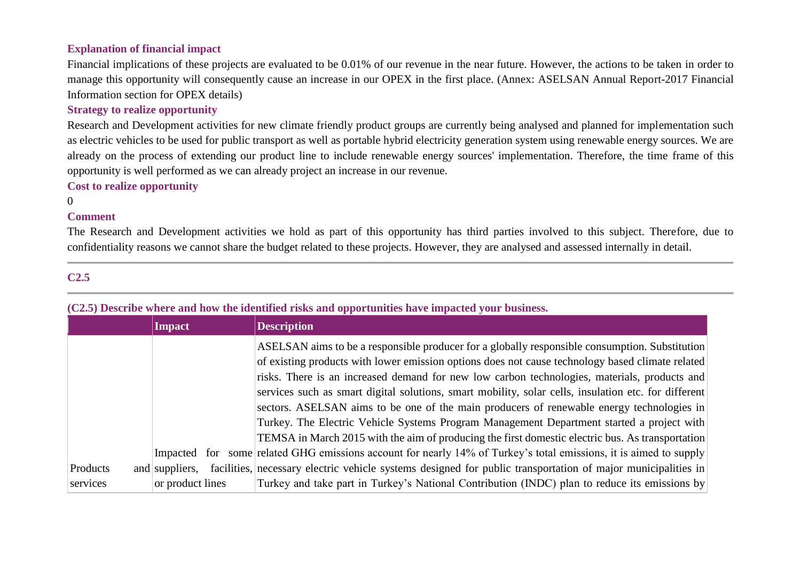### **Explanation of financial impact**

Financial implications of these projects are evaluated to be 0.01% of our revenue in the near future. However, the actions to be taken in order to manage this opportunity will consequently cause an increase in our OPEX in the first place. (Annex: ASELSAN Annual Report-2017 Financial Information section for OPEX details)

#### **Strategy to realize opportunity**

Research and Development activities for new climate friendly product groups are currently being analysed and planned for implementation such as electric vehicles to be used for public transport as well as portable hybrid electricity generation system using renewable energy sources. We are already on the process of extending our product line to include renewable energy sources' implementation. Therefore, the time frame of this opportunity is well performed as we can already project an increase in our revenue.

#### **Cost to realize opportunity**

0

#### **Comment**

The Research and Development activities we hold as part of this opportunity has third parties involved to this subject. Therefore, due to confidentiality reasons we cannot share the budget related to these projects. However, they are analysed and assessed internally in detail.

### **C2.5**

# **(C2.5) Describe where and how the identified risks and opportunities have impacted your business.**

|          | <b>Impact</b>                                                                                                     | <b>Description</b>                                                                                                                                                                                                                                                                                                                                                                                                                                                                                                                                                                                                                                                                                       |  |  |
|----------|-------------------------------------------------------------------------------------------------------------------|----------------------------------------------------------------------------------------------------------------------------------------------------------------------------------------------------------------------------------------------------------------------------------------------------------------------------------------------------------------------------------------------------------------------------------------------------------------------------------------------------------------------------------------------------------------------------------------------------------------------------------------------------------------------------------------------------------|--|--|
|          |                                                                                                                   | ASELSAN aims to be a responsible producer for a globally responsible consumption. Substitution<br>of existing products with lower emission options does not cause technology based climate related<br>risks. There is an increased demand for new low carbon technologies, materials, products and<br>services such as smart digital solutions, smart mobility, solar cells, insulation etc. for different<br>sectors. ASELSAN aims to be one of the main producers of renewable energy technologies in<br>Turkey. The Electric Vehicle Systems Program Management Department started a project with<br>TEMSA in March 2015 with the aim of producing the first domestic electric bus. As transportation |  |  |
|          | Impacted for                                                                                                      | some related GHG emissions account for nearly 14% of Turkey's total emissions, it is aimed to supply                                                                                                                                                                                                                                                                                                                                                                                                                                                                                                                                                                                                     |  |  |
| Products | and suppliers.                                                                                                    | facilities, necessary electric vehicle systems designed for public transportation of major municipalities in                                                                                                                                                                                                                                                                                                                                                                                                                                                                                                                                                                                             |  |  |
| services | Turkey and take part in Turkey's National Contribution (INDC) plan to reduce its emissions by<br>or product lines |                                                                                                                                                                                                                                                                                                                                                                                                                                                                                                                                                                                                                                                                                                          |  |  |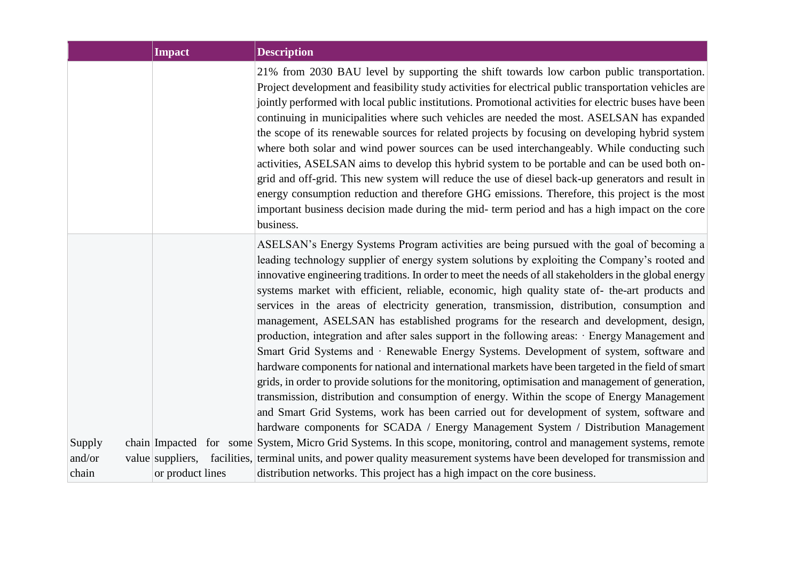|                  | <b>Impact</b>    | <b>Description</b>                                                                                                                                                                                                                                                                                                                                                                                                                                                                                                                                                                                                                                                                                                                                                                                                                                                                                                                                                                                                                                                                                                                                                                                                                                                                                                                                                                                                                                                                                                                                    |
|------------------|------------------|-------------------------------------------------------------------------------------------------------------------------------------------------------------------------------------------------------------------------------------------------------------------------------------------------------------------------------------------------------------------------------------------------------------------------------------------------------------------------------------------------------------------------------------------------------------------------------------------------------------------------------------------------------------------------------------------------------------------------------------------------------------------------------------------------------------------------------------------------------------------------------------------------------------------------------------------------------------------------------------------------------------------------------------------------------------------------------------------------------------------------------------------------------------------------------------------------------------------------------------------------------------------------------------------------------------------------------------------------------------------------------------------------------------------------------------------------------------------------------------------------------------------------------------------------------|
|                  |                  | 21% from 2030 BAU level by supporting the shift towards low carbon public transportation.<br>Project development and feasibility study activities for electrical public transportation vehicles are<br>jointly performed with local public institutions. Promotional activities for electric buses have been<br>continuing in municipalities where such vehicles are needed the most. ASELSAN has expanded<br>the scope of its renewable sources for related projects by focusing on developing hybrid system<br>where both solar and wind power sources can be used interchangeably. While conducting such<br>activities, ASELSAN aims to develop this hybrid system to be portable and can be used both on-<br>grid and off-grid. This new system will reduce the use of diesel back-up generators and result in<br>energy consumption reduction and therefore GHG emissions. Therefore, this project is the most<br>important business decision made during the mid- term period and has a high impact on the core<br>business.                                                                                                                                                                                                                                                                                                                                                                                                                                                                                                                    |
| Supply<br>and/or |                  | ASELSAN's Energy Systems Program activities are being pursued with the goal of becoming a<br>leading technology supplier of energy system solutions by exploiting the Company's rooted and<br>innovative engineering traditions. In order to meet the needs of all stakeholders in the global energy<br>systems market with efficient, reliable, economic, high quality state of- the-art products and<br>services in the areas of electricity generation, transmission, distribution, consumption and<br>management, ASELSAN has established programs for the research and development, design,<br>production, integration and after sales support in the following areas: · Energy Management and<br>Smart Grid Systems and · Renewable Energy Systems. Development of system, software and<br>hardware components for national and international markets have been targeted in the field of smart<br>grids, in order to provide solutions for the monitoring, optimisation and management of generation,<br>transmission, distribution and consumption of energy. Within the scope of Energy Management<br>and Smart Grid Systems, work has been carried out for development of system, software and<br>hardware components for SCADA / Energy Management System / Distribution Management<br>chain Impacted for some System, Micro Grid Systems. In this scope, monitoring, control and management systems, remote<br>value suppliers, facilities, terminal units, and power quality measurement systems have been developed for transmission and |
| chain            | or product lines | distribution networks. This project has a high impact on the core business.                                                                                                                                                                                                                                                                                                                                                                                                                                                                                                                                                                                                                                                                                                                                                                                                                                                                                                                                                                                                                                                                                                                                                                                                                                                                                                                                                                                                                                                                           |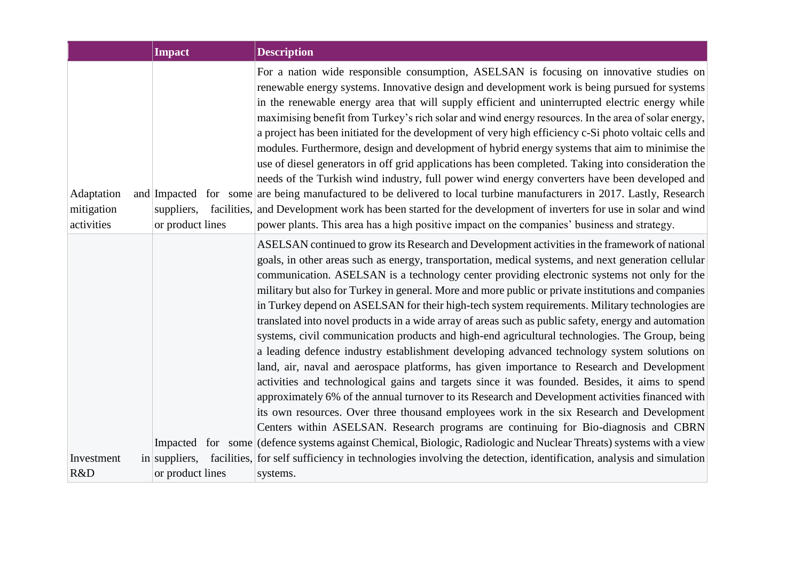|                                        | <b>Impact</b>                  | <b>Description</b>                                                                                                                                                                                                                                                                                                                                                                                                                                                                                                                                                                                                                                                                                                                                                                                                                                                                                                                                                                                                                                                                                                                                                                                                                                                                                                                                                                                                                   |
|----------------------------------------|--------------------------------|--------------------------------------------------------------------------------------------------------------------------------------------------------------------------------------------------------------------------------------------------------------------------------------------------------------------------------------------------------------------------------------------------------------------------------------------------------------------------------------------------------------------------------------------------------------------------------------------------------------------------------------------------------------------------------------------------------------------------------------------------------------------------------------------------------------------------------------------------------------------------------------------------------------------------------------------------------------------------------------------------------------------------------------------------------------------------------------------------------------------------------------------------------------------------------------------------------------------------------------------------------------------------------------------------------------------------------------------------------------------------------------------------------------------------------------|
| Adaptation<br>mitigation<br>activities | suppliers,<br>or product lines | For a nation wide responsible consumption, ASELSAN is focusing on innovative studies on<br>renewable energy systems. Innovative design and development work is being pursued for systems<br>in the renewable energy area that will supply efficient and uninterrupted electric energy while<br>maximising benefit from Turkey's rich solar and wind energy resources. In the area of solar energy,<br>a project has been initiated for the development of very high efficiency c-Si photo voltaic cells and<br>modules. Furthermore, design and development of hybrid energy systems that aim to minimise the<br>use of diesel generators in off grid applications has been completed. Taking into consideration the<br>needs of the Turkish wind industry, full power wind energy converters have been developed and<br>and Impacted for some are being manufactured to be delivered to local turbine manufacturers in 2017. Lastly, Research<br>facilities, and Development work has been started for the development of inverters for use in solar and wind<br>power plants. This area has a high positive impact on the companies' business and strategy.                                                                                                                                                                                                                                                                        |
|                                        |                                | ASELSAN continued to grow its Research and Development activities in the framework of national<br>goals, in other areas such as energy, transportation, medical systems, and next generation cellular<br>communication. ASELSAN is a technology center providing electronic systems not only for the<br>military but also for Turkey in general. More and more public or private institutions and companies<br>in Turkey depend on ASELSAN for their high-tech system requirements. Military technologies are<br>translated into novel products in a wide array of areas such as public safety, energy and automation<br>systems, civil communication products and high-end agricultural technologies. The Group, being<br>a leading defence industry establishment developing advanced technology system solutions on<br>land, air, naval and aerospace platforms, has given importance to Research and Development<br>activities and technological gains and targets since it was founded. Besides, it aims to spend<br>approximately 6% of the annual turnover to its Research and Development activities financed with<br>its own resources. Over three thousand employees work in the six Research and Development<br>Centers within ASELSAN. Research programs are continuing for Bio-diagnosis and CBRN<br>Impacted for some (defence systems against Chemical, Biologic, Radiologic and Nuclear Threats) systems with a view |
| Investment<br>R&D                      | or product lines               | in suppliers, facilities, for self sufficiency in technologies involving the detection, identification, analysis and simulation<br>systems.                                                                                                                                                                                                                                                                                                                                                                                                                                                                                                                                                                                                                                                                                                                                                                                                                                                                                                                                                                                                                                                                                                                                                                                                                                                                                          |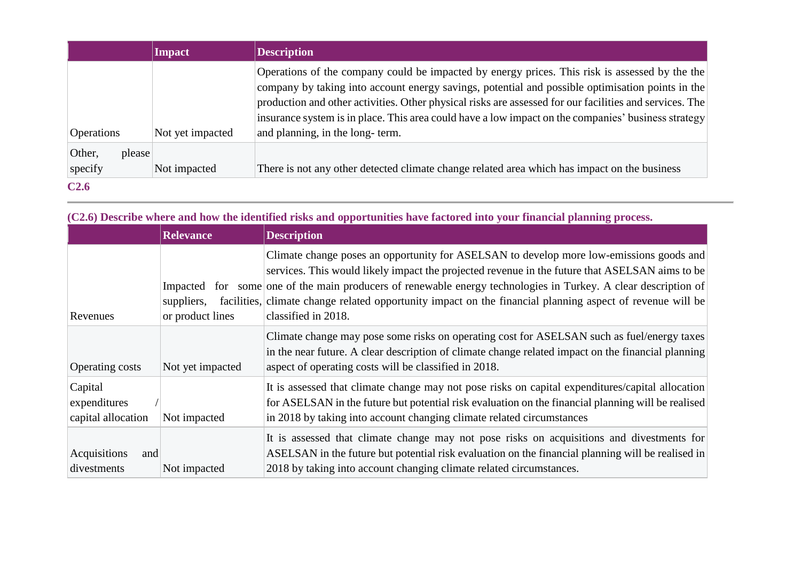|                             | <b>Impact</b>    | <b>Description</b>                                                                                                                                                                                                                                                                                                                                                                                                                                      |
|-----------------------------|------------------|---------------------------------------------------------------------------------------------------------------------------------------------------------------------------------------------------------------------------------------------------------------------------------------------------------------------------------------------------------------------------------------------------------------------------------------------------------|
| <b>Operations</b>           | Not yet impacted | Operations of the company could be impacted by energy prices. This risk is assessed by the the<br>company by taking into account energy savings, potential and possible optimisation points in the<br>production and other activities. Other physical risks are assessed for our facilities and services. The<br>insurance system is in place. This area could have a low impact on the companies' business strategy<br>and planning, in the long-term. |
| Other,<br>please<br>specify | Not impacted     | There is not any other detected climate change related area which has impact on the business                                                                                                                                                                                                                                                                                                                                                            |
| C <sub>2.6</sub>            |                  |                                                                                                                                                                                                                                                                                                                                                                                                                                                         |

|                                               | <b>Relevance</b>               | <b>Description</b>                                                                                                                                                                                                                                                                                                                                                                                                                              |
|-----------------------------------------------|--------------------------------|-------------------------------------------------------------------------------------------------------------------------------------------------------------------------------------------------------------------------------------------------------------------------------------------------------------------------------------------------------------------------------------------------------------------------------------------------|
| Revenues                                      | suppliers,<br>or product lines | Climate change poses an opportunity for ASELSAN to develop more low-emissions goods and<br>services. This would likely impact the projected revenue in the future that ASELSAN aims to be<br>Impacted for some one of the main producers of renewable energy technologies in Turkey. A clear description of<br>facilities, climate change related opportunity impact on the financial planning aspect of revenue will be<br>classified in 2018. |
| <b>Operating costs</b>                        | Not yet impacted               | Climate change may pose some risks on operating cost for ASELSAN such as fuel/energy taxes<br>in the near future. A clear description of climate change related impact on the financial planning<br>aspect of operating costs will be classified in 2018.                                                                                                                                                                                       |
| Capital<br>expenditures<br>capital allocation | Not impacted                   | It is assessed that climate change may not pose risks on capital expenditures/capital allocation<br>for ASELSAN in the future but potential risk evaluation on the financial planning will be realised<br>in 2018 by taking into account changing climate related circumstances                                                                                                                                                                 |
| Acquisitions<br>and<br>divestments            | Not impacted                   | It is assessed that climate change may not pose risks on acquisitions and divestments for<br>ASELSAN in the future but potential risk evaluation on the financial planning will be realised in<br>2018 by taking into account changing climate related circumstances.                                                                                                                                                                           |

**(C2.6) Describe where and how the identified risks and opportunities have factored into your financial planning process.**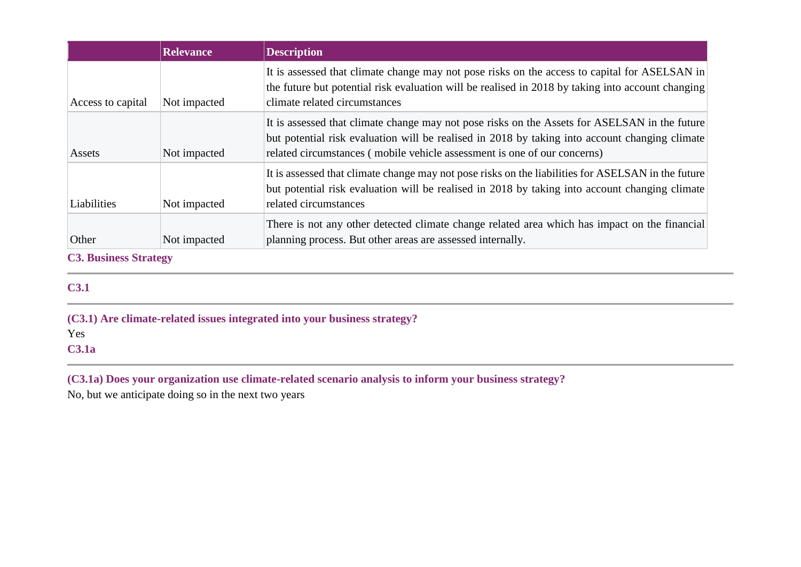|                   | <b>Relevance</b> | <b>Description</b>                                                                                                                                                                                                                                                          |  |
|-------------------|------------------|-----------------------------------------------------------------------------------------------------------------------------------------------------------------------------------------------------------------------------------------------------------------------------|--|
| Access to capital | Not impacted     | It is assessed that climate change may not pose risks on the access to capital for ASELSAN in<br>the future but potential risk evaluation will be realised in 2018 by taking into account changing<br>climate related circumstances                                         |  |
| Assets            | Not impacted     | It is assessed that climate change may not pose risks on the Assets for ASELSAN in the future<br>but potential risk evaluation will be realised in 2018 by taking into account changing climate<br>related circumstances (mobile vehicle assessment is one of our concerns) |  |
| Liabilities       | Not impacted     | It is assessed that climate change may not pose risks on the liabilities for ASELSAN in the future<br>but potential risk evaluation will be realised in 2018 by taking into account changing climate<br>related circumstances                                               |  |
| Other             | Not impacted     | There is not any other detected climate change related area which has impact on the financial<br>planning process. But other areas are assessed internally.                                                                                                                 |  |

**C3. Business Strategy**

# **C3.1**

**(C3.1) Are climate-related issues integrated into your business strategy?**

Yes

**C3.1a**

**(C3.1a) Does your organization use climate-related scenario analysis to inform your business strategy?**

No, but we anticipate doing so in the next two years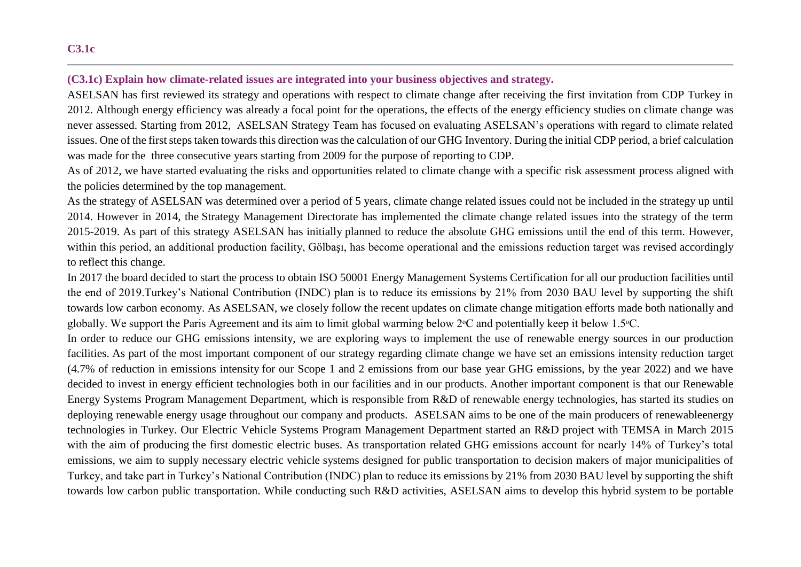### **(C3.1c) Explain how climate-related issues are integrated into your business objectives and strategy.**

ASELSAN has first reviewed its strategy and operations with respect to climate change after receiving the first invitation from CDP Turkey in 2012. Although energy efficiency was already a focal point for the operations, the effects of the energy efficiency studies on climate change was never assessed. Starting from 2012, ASELSAN Strategy Team has focused on evaluating ASELSAN's operations with regard to climate related issues. One of the first steps taken towards this direction was the calculation of our GHG Inventory. During the initial CDP period, a brief calculation was made for the three consecutive years starting from 2009 for the purpose of reporting to CDP.

As of 2012, we have started evaluating the risks and opportunities related to climate change with a specific risk assessment process aligned with the policies determined by the top management.

As the strategy of ASELSAN was determined over a period of 5 years, climate change related issues could not be included in the strategy up until 2014. However in 2014, the Strategy Management Directorate has implemented the climate change related issues into the strategy of the term 2015-2019. As part of this strategy ASELSAN has initially planned to reduce the absolute GHG emissions until the end of this term. However, within this period, an additional production facility, Gölbaşı, has become operational and the emissions reduction target was revised accordingly to reflect this change.

In 2017 the board decided to start the process to obtain ISO 50001 Energy Management Systems Certification for all our production facilities until the end of 2019.Turkey's National Contribution (INDC) plan is to reduce its emissions by 21% from 2030 BAU level by supporting the shift towards low carbon economy. As ASELSAN, we closely follow the recent updates on climate change mitigation efforts made both nationally and globally. We support the Paris Agreement and its aim to limit global warming below 2<sup>o</sup>C and potentially keep it below 1.5<sup>o</sup>C.

In order to reduce our GHG emissions intensity, we are exploring ways to implement the use of renewable energy sources in our production facilities. As part of the most important component of our strategy regarding climate change we have set an emissions intensity reduction target (4.7% of reduction in emissions intensity for our Scope 1 and 2 emissions from our base year GHG emissions, by the year 2022) and we have decided to invest in energy efficient technologies both in our facilities and in our products. Another important component is that our Renewable Energy Systems Program Management Department, which is responsible from R&D of renewable energy technologies, has started its studies on deploying renewable energy usage throughout our company and products. ASELSAN aims to be one of the main producers of renewableenergy technologies in Turkey. Our Electric Vehicle Systems Program Management Department started an R&D project with TEMSA in March 2015 with the aim of producing the first domestic electric buses. As transportation related GHG emissions account for nearly 14% of Turkey's total emissions, we aim to supply necessary electric vehicle systems designed for public transportation to decision makers of major municipalities of Turkey, and take part in Turkey's National Contribution (INDC) plan to reduce its emissions by 21% from 2030 BAU level by supporting the shift towards low carbon public transportation. While conducting such R&D activities, ASELSAN aims to develop this hybrid system to be portable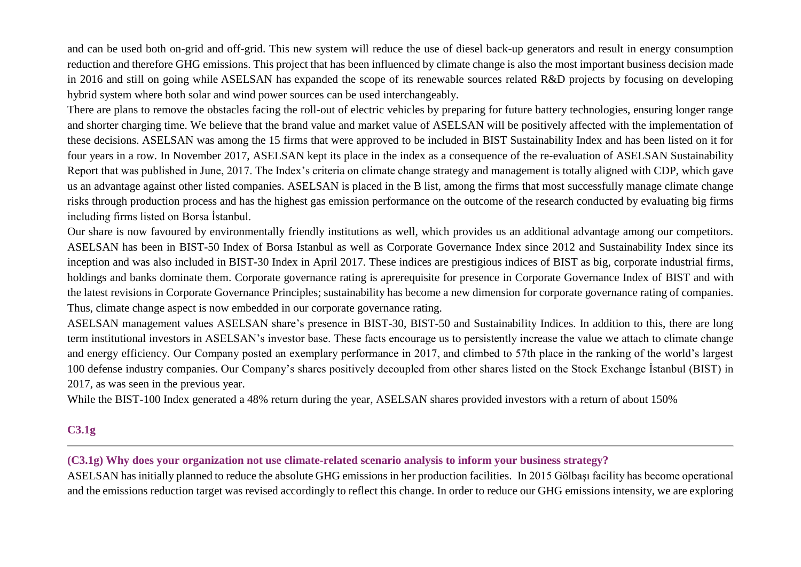and can be used both on-grid and off-grid. This new system will reduce the use of diesel back-up generators and result in energy consumption reduction and therefore GHG emissions. This project that has been influenced by climate change is also the most important business decision made in 2016 and still on going while ASELSAN has expanded the scope of its renewable sources related R&D projects by focusing on developing hybrid system where both solar and wind power sources can be used interchangeably.

There are plans to remove the obstacles facing the roll-out of electric vehicles by preparing for future battery technologies, ensuring longer range and shorter charging time. We believe that the brand value and market value of ASELSAN will be positively affected with the implementation of these decisions. ASELSAN was among the 15 firms that were approved to be included in BIST Sustainability Index and has been listed on it for four years in a row. In November 2017, ASELSAN kept its place in the index as a consequence of the re-evaluation of ASELSAN Sustainability Report that was published in June, 2017. The Index's criteria on climate change strategy and management is totally aligned with CDP, which gave us an advantage against other listed companies. ASELSAN is placed in the B list, among the firms that most successfully manage climate change risks through production process and has the highest gas emission performance on the outcome of the research conducted by evaluating big firms including firms listed on Borsa İstanbul.

Our share is now favoured by environmentally friendly institutions as well, which provides us an additional advantage among our competitors. ASELSAN has been in BIST-50 Index of Borsa Istanbul as well as Corporate Governance Index since 2012 and Sustainability Index since its inception and was also included in BIST-30 Index in April 2017. These indices are prestigious indices of BIST as big, corporate industrial firms, holdings and banks dominate them. Corporate governance rating is aprerequisite for presence in Corporate Governance Index of BIST and with the latest revisions in Corporate Governance Principles; sustainability has become a new dimension for corporate governance rating of companies. Thus, climate change aspect is now embedded in our corporate governance rating.

ASELSAN management values ASELSAN share's presence in BIST-30, BIST-50 and Sustainability Indices. In addition to this, there are long term institutional investors in ASELSAN's investor base. These facts encourage us to persistently increase the value we attach to climate change and energy efficiency. Our Company posted an exemplary performance in 2017, and climbed to 57th place in the ranking of the world's largest 100 defense industry companies. Our Company's shares positively decoupled from other shares listed on the Stock Exchange İstanbul (BIST) in 2017, as was seen in the previous year.

While the BIST-100 Index generated a 48% return during the year, ASELSAN shares provided investors with a return of about 150%

# **C3.1g**

#### **(C3.1g) Why does your organization not use climate-related scenario analysis to inform your business strategy?**

ASELSAN has initially planned to reduce the absolute GHG emissions in her production facilities. In 2015 Gölbaşı facility has become operational and the emissions reduction target was revised accordingly to reflect this change. In order to reduce our GHG emissions intensity, we are exploring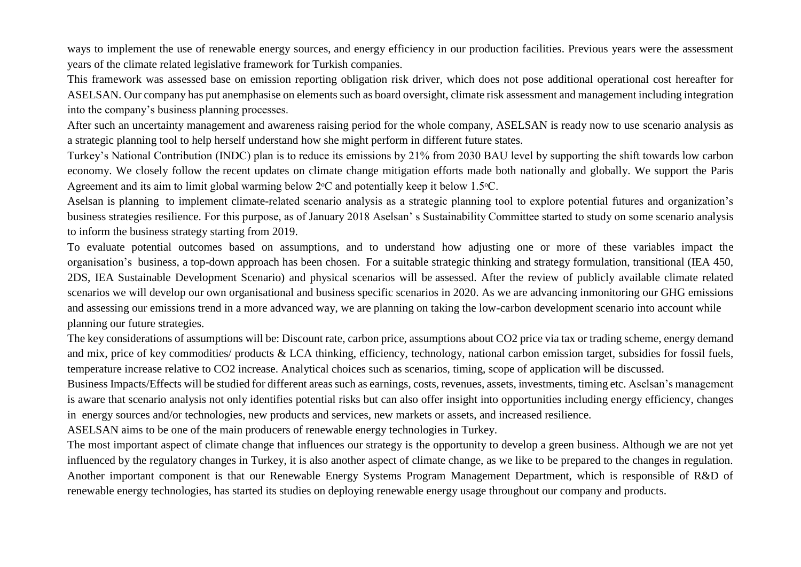ways to implement the use of renewable energy sources, and energy efficiency in our production facilities. Previous years were the assessment years of the climate related legislative framework for Turkish companies.

This framework was assessed base on emission reporting obligation risk driver, which does not pose additional operational cost hereafter for ASELSAN. Our company has put anemphasise on elements such as board oversight, climate risk assessment and management including integration into the company's business planning processes.

After such an uncertainty management and awareness raising period for the whole company, ASELSAN is ready now to use scenario analysis as a strategic planning tool to help herself understand how she might perform in different future states.

Turkey's National Contribution (INDC) plan is to reduce its emissions by 21% from 2030 BAU level by supporting the shift towards low carbon economy. We closely follow the recent updates on climate change mitigation efforts made both nationally and globally. We support the Paris Agreement and its aim to limit global warming below  $2^{\circ}$ C and potentially keep it below 1.5 $^{\circ}$ C.

Aselsan is planning to implement climate-related scenario analysis as a strategic planning tool to explore potential futures and organization's business strategies resilience. For this purpose, as of January 2018 Aselsan' s Sustainability Committee started to study on some scenario analysis to inform the business strategy starting from 2019.

To evaluate potential outcomes based on assumptions, and to understand how adjusting one or more of these variables impact the organisation's business, a top-down approach has been chosen. For a suitable strategic thinking and strategy formulation, transitional (IEA 450, 2DS, IEA Sustainable Development Scenario) and physical scenarios will be assessed. After the review of publicly available climate related scenarios we will develop our own organisational and business specific scenarios in 2020. As we are advancing inmonitoring our GHG emissions and assessing our emissions trend in a more advanced way, we are planning on taking the low-carbon development scenario into account while planning our future strategies.

The key considerations of assumptions will be: Discount rate, carbon price, assumptions about CO2 price via tax or trading scheme, energy demand and mix, price of key commodities/ products & LCA thinking, efficiency, technology, national carbon emission target, subsidies for fossil fuels, temperature increase relative to CO2 increase. Analytical choices such as scenarios, timing, scope of application will be discussed.

Business Impacts/Effects will be studied for different areas such as earnings, costs, revenues, assets, investments, timing etc. Aselsan's management is aware that scenario analysis not only identifies potential risks but can also offer insight into opportunities including energy efficiency, changes in energy sources and/or technologies, new products and services, new markets or assets, and increased resilience.

ASELSAN aims to be one of the main producers of renewable energy technologies in Turkey.

The most important aspect of climate change that influences our strategy is the opportunity to develop a green business. Although we are not yet influenced by the regulatory changes in Turkey, it is also another aspect of climate change, as we like to be prepared to the changes in regulation. Another important component is that our Renewable Energy Systems Program Management Department, which is responsible of R&D of renewable energy technologies, has started its studies on deploying renewable energy usage throughout our company and products.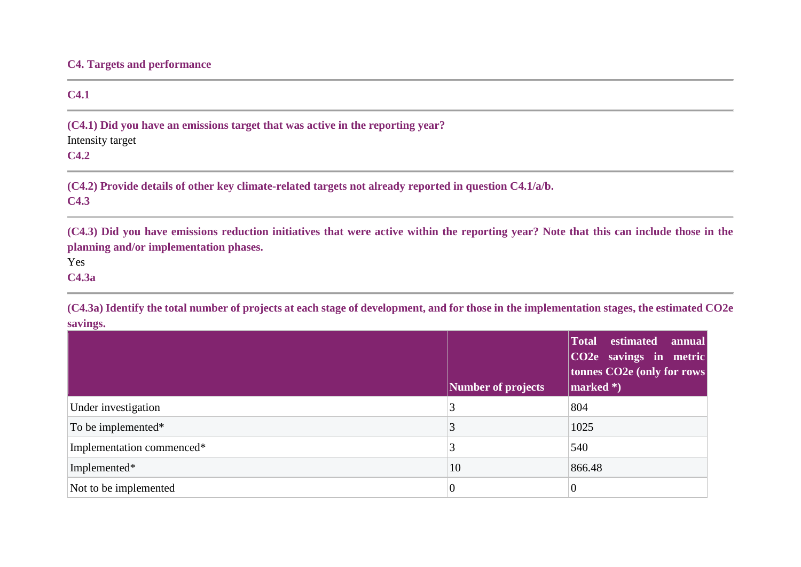### **C4. Targets and performance**

#### **C4.1**

**(C4.1) Did you have an emissions target that was active in the reporting year?**

Intensity target

# **C4.2**

**(C4.2) Provide details of other key climate-related targets not already reported in question C4.1/a/b.**

### **C4.3**

**(C4.3) Did you have emissions reduction initiatives that were active within the reporting year? Note that this can include those in the planning and/or implementation phases.**

Yes

**C4.3a**

**(C4.3a) Identify the total number of projects at each stage of development, and for those in the implementation stages, the estimated CO2e savings.**

,我们也不能在这里的时候,我们也不能会在这里,我们也不能会在这里的时候,我们也不能会在这里的时候,我们也不能会在这里的时候,我们也不能会在这里的时候,我们也不能

|                           | Number of projects | Total estimated<br>annual<br>CO2e savings in metric<br>tonnes CO2e (only for rows<br>marked *) |
|---------------------------|--------------------|------------------------------------------------------------------------------------------------|
| Under investigation       | 3                  | 804                                                                                            |
| To be implemented*        | 3                  | 1025                                                                                           |
| Implementation commenced* | 3                  | 540                                                                                            |
| Implemented*              | 10                 | 866.48                                                                                         |
| Not to be implemented     | O                  | $\theta$                                                                                       |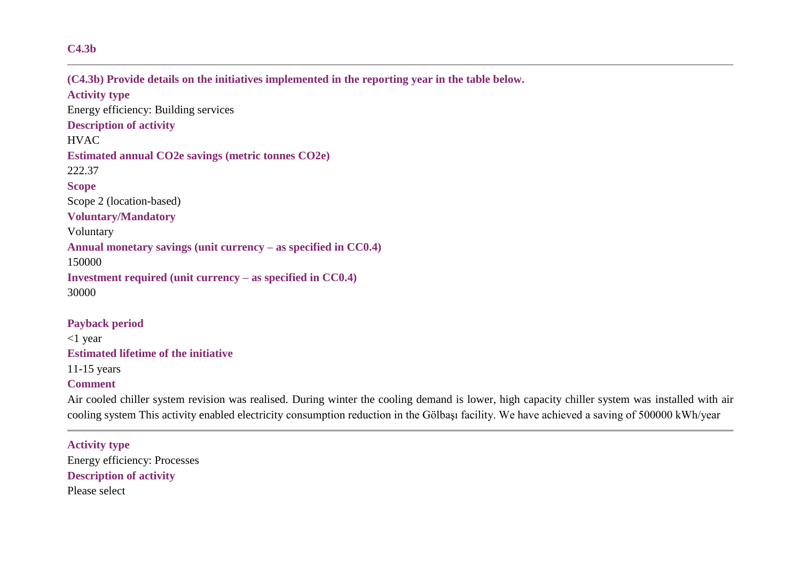#### **C4.3b**

**(C4.3b) Provide details on the initiatives implemented in the reporting year in the table below. Activity type** Energy efficiency: Building services **Description of activity HVAC Estimated annual CO2e savings (metric tonnes CO2e)** 222.37 **Scope** Scope 2 (location-based) **Voluntary/Mandatory** Voluntary **Annual monetary savings (unit currency – as specified in CC0.4)** 150000 **Investment required (unit currency – as specified in CC0.4)** 30000

**Payback period** <1 year **Estimated lifetime of the initiative** 11-15 years **Comment**

Air cooled chiller system revision was realised. During winter the cooling demand is lower, high capacity chiller system was installed with air cooling system This activity enabled electricity consumption reduction in the Gölbaşı facility. We have achieved a saving of 500000 kWh/year

**Activity type** Energy efficiency: Processes **Description of activity** Please select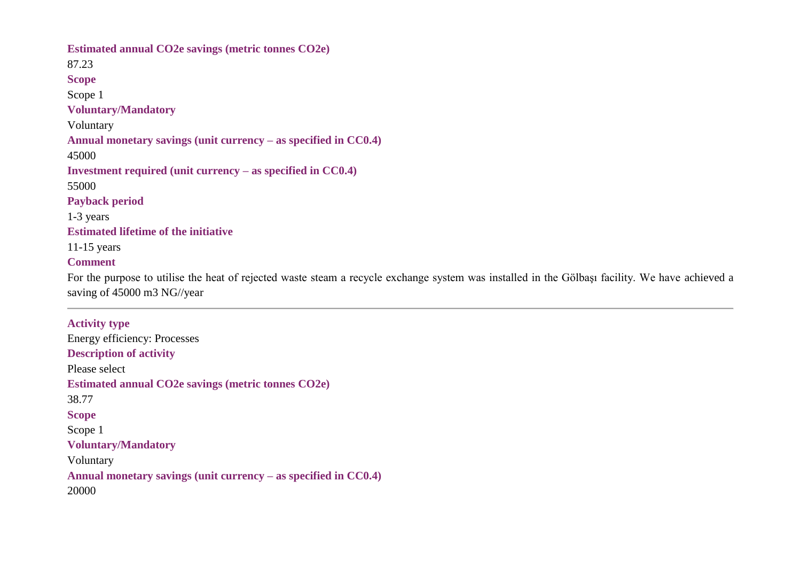**Estimated annual CO2e savings (metric tonnes CO2e)** 87.23 **Scope** Scope 1 **Voluntary/Mandatory** Voluntary **Annual monetary savings (unit currency – as specified in CC0.4)** 45000 **Investment required (unit currency – as specified in CC0.4)** 55000 **Payback period** 1-3 years **Estimated lifetime of the initiative** 11-15 years **Comment**

For the purpose to utilise the heat of rejected waste steam a recycle exchange system was installed in the Gölbaşı facility. We have achieved a saving of 45000 m3 NG//year

**Activity type** Energy efficiency: Processes **Description of activity** Please select **Estimated annual CO2e savings (metric tonnes CO2e)** 38.77 **Scope** Scope 1 **Voluntary/Mandatory** Voluntary **Annual monetary savings (unit currency – as specified in CC0.4)** 20000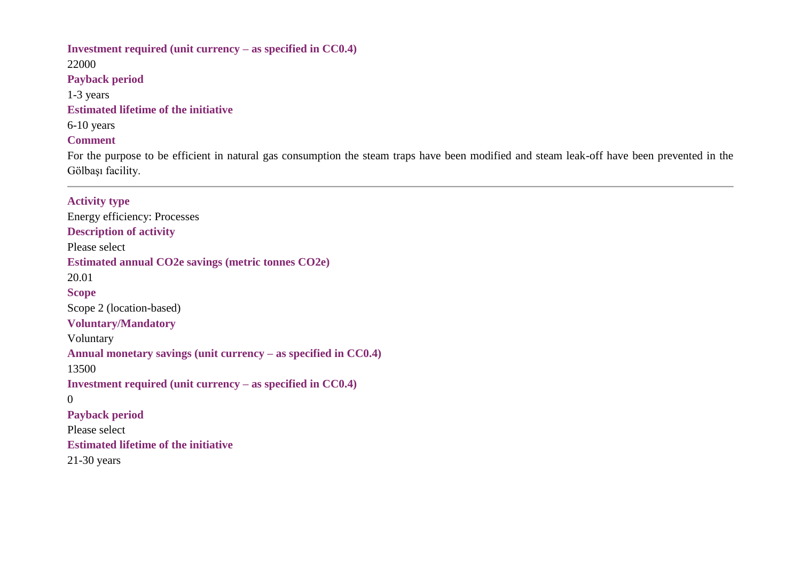# **Investment required (unit currency – as specified in CC0.4)** 22000 **Payback period** 1-3 years **Estimated lifetime of the initiative** 6-10 years **Comment** For the purpose to be efficient in natural gas consumption the steam traps have been modified and steam leak-off have been prevented in the Gölbaşı facility.

### **Activity type**

Energy efficiency: Processes **Description of activity** Please select **Estimated annual CO2e savings (metric tonnes CO2e)** 20.01 **Scope** Scope 2 (location-based) **Voluntary/Mandatory** Voluntary **Annual monetary savings (unit currency – as specified in CC0.4)** 13500 **Investment required (unit currency – as specified in CC0.4)** 0 **Payback period** Please select **Estimated lifetime of the initiative** 21-30 years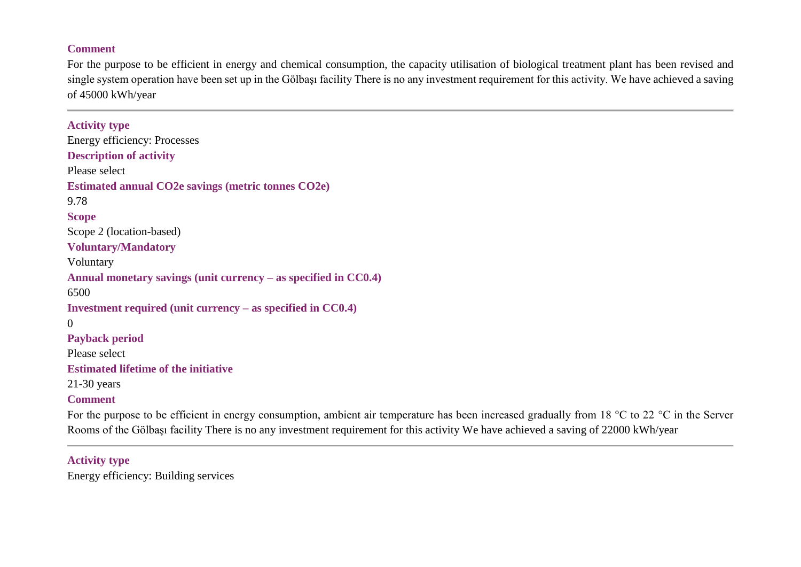### **Comment**

For the purpose to be efficient in energy and chemical consumption, the capacity utilisation of biological treatment plant has been revised and single system operation have been set up in the Gölbaşı facility There is no any investment requirement for this activity. We have achieved a saving of 45000 kWh/year

# **Activity type** Energy efficiency: Processes **Description of activity** Please select **Estimated annual CO2e savings (metric tonnes CO2e)** 9.78 **Scope** Scope 2 (location-based) **Voluntary/Mandatory** Voluntary **Annual monetary savings (unit currency – as specified in CC0.4)** 6500 **Investment required (unit currency – as specified in CC0.4)**  $\Omega$ **Payback period** Please select **Estimated lifetime of the initiative** 21-30 years **Comment**

For the purpose to be efficient in energy consumption, ambient air temperature has been increased gradually from 18 °C to 22 °C in the Server Rooms of the Gölbaşı facility There is no any investment requirement for this activity We have achieved a saving of 22000 kWh/year

## **Activity type**

Energy efficiency: Building services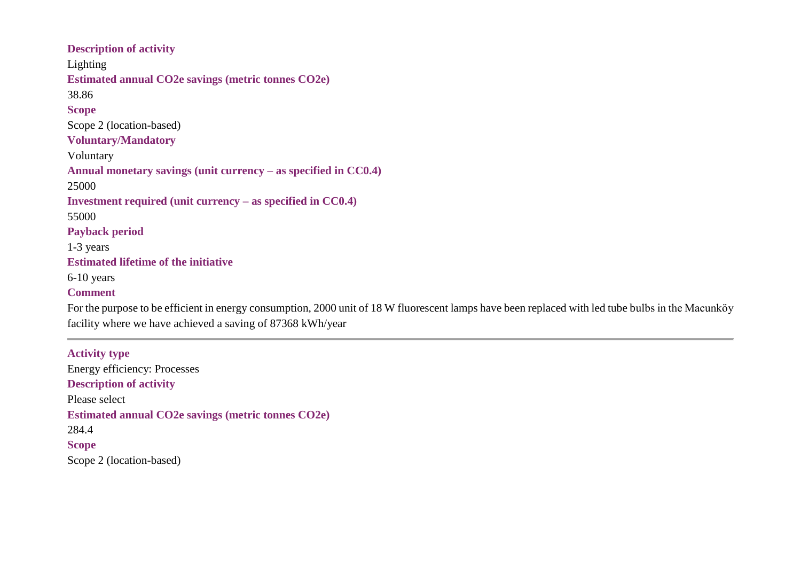**Description of activity** Lighting **Estimated annual CO2e savings (metric tonnes CO2e)** 38.86 **Scope** Scope 2 (location-based) **Voluntary/Mandatory** Voluntary **Annual monetary savings (unit currency – as specified in CC0.4)** 25000 **Investment required (unit currency – as specified in CC0.4)** 55000 **Payback period** 1-3 years **Estimated lifetime of the initiative** 6-10 years **Comment**

For the purpose to be efficient in energy consumption, 2000 unit of 18 W fluorescent lamps have been replaced with led tube bulbs in the Macunköy facility where we have achieved a saving of 87368 kWh/year

**Activity type** Energy efficiency: Processes **Description of activity** Please select **Estimated annual CO2e savings (metric tonnes CO2e)** 284.4 **Scope** Scope 2 (location-based)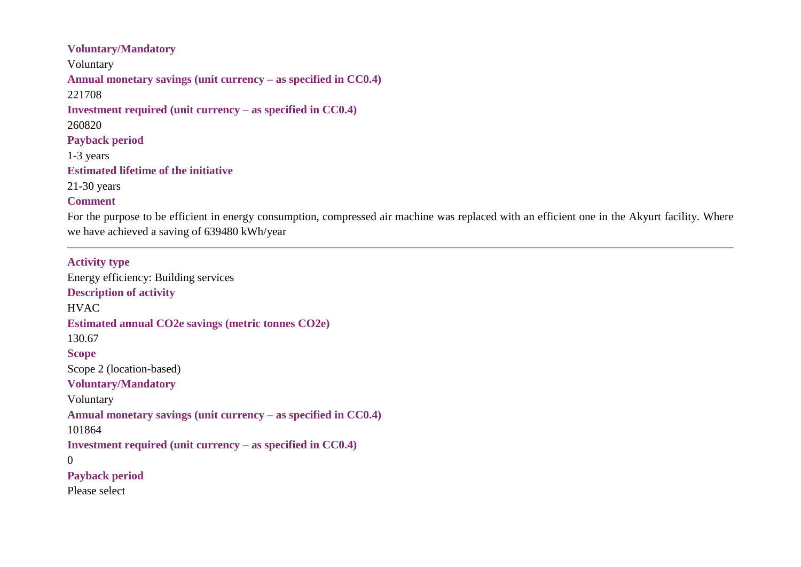# **Voluntary/Mandatory** Voluntary **Annual monetary savings (unit currency – as specified in CC0.4)** 221708 **Investment required (unit currency – as specified in CC0.4)** 260820 **Payback period** 1-3 years **Estimated lifetime of the initiative** 21-30 years **Comment**

For the purpose to be efficient in energy consumption, compressed air machine was replaced with an efficient one in the Akyurt facility. Where we have achieved a saving of 639480 kWh/year

# **Activity type**

Energy efficiency: Building services **Description of activity** HVAC **Estimated annual CO2e savings (metric tonnes CO2e)** 130.67 **Scope** Scope 2 (location-based) **Voluntary/Mandatory** Voluntary **Annual monetary savings (unit currency – as specified in CC0.4)** 101864 **Investment required (unit currency – as specified in CC0.4)**  $\Omega$ **Payback period** Please select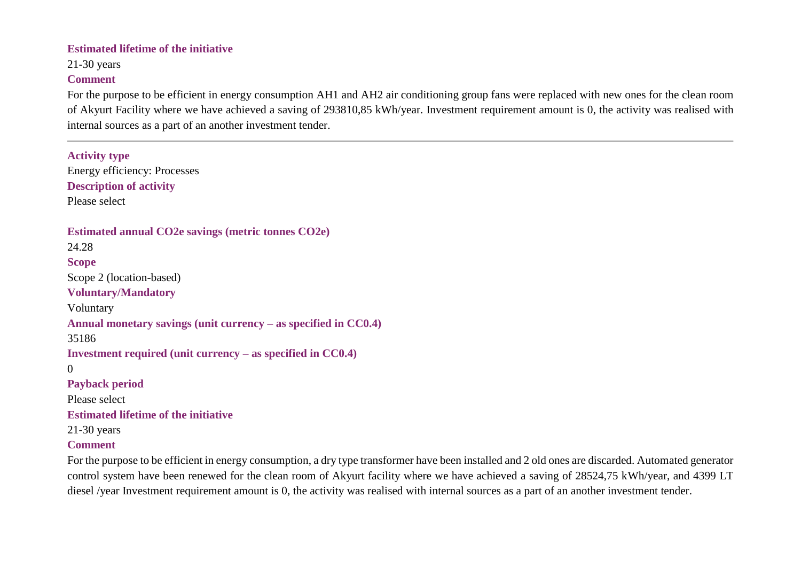### **Estimated lifetime of the initiative**

21-30 years

### **Comment**

For the purpose to be efficient in energy consumption AH1 and AH2 air conditioning group fans were replaced with new ones for the clean room of Akyurt Facility where we have achieved a saving of 293810,85 kWh/year. Investment requirement amount is 0, the activity was realised with internal sources as a part of an another investment tender.

**Activity type** Energy efficiency: Processes **Description of activity** Please select **Estimated annual CO2e savings (metric tonnes CO2e)** 24.28 **Scope** Scope 2 (location-based) **Voluntary/Mandatory** Voluntary **Annual monetary savings (unit currency – as specified in CC0.4)** 35186 **Investment required (unit currency – as specified in CC0.4)** 0 **Payback period** Please select **Estimated lifetime of the initiative** 21-30 years **Comment**

For the purpose to be efficient in energy consumption, a dry type transformer have been installed and 2 old ones are discarded. Automated generator control system have been renewed for the clean room of Akyurt facility where we have achieved a saving of 28524,75 kWh/year, and 4399 LT diesel /year Investment requirement amount is 0, the activity was realised with internal sources as a part of an another investment tender.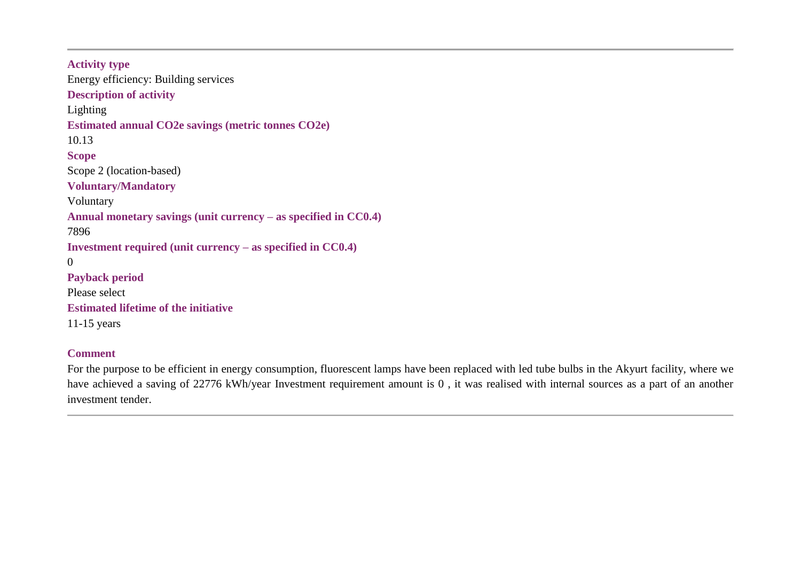**Activity type** Energy efficiency: Building services **Description of activity** Lighting **Estimated annual CO2e savings (metric tonnes CO2e)** 10.13 **Scope** Scope 2 (location-based) **Voluntary/Mandatory** Voluntary **Annual monetary savings (unit currency – as specified in CC0.4)** 7896 **Investment required (unit currency – as specified in CC0.4)** 0 **Payback period** Please select **Estimated lifetime of the initiative** 11-15 years

## **Comment**

For the purpose to be efficient in energy consumption, fluorescent lamps have been replaced with led tube bulbs in the Akyurt facility, where we have achieved a saving of 22776 kWh/year Investment requirement amount is 0 , it was realised with internal sources as a part of an another investment tender.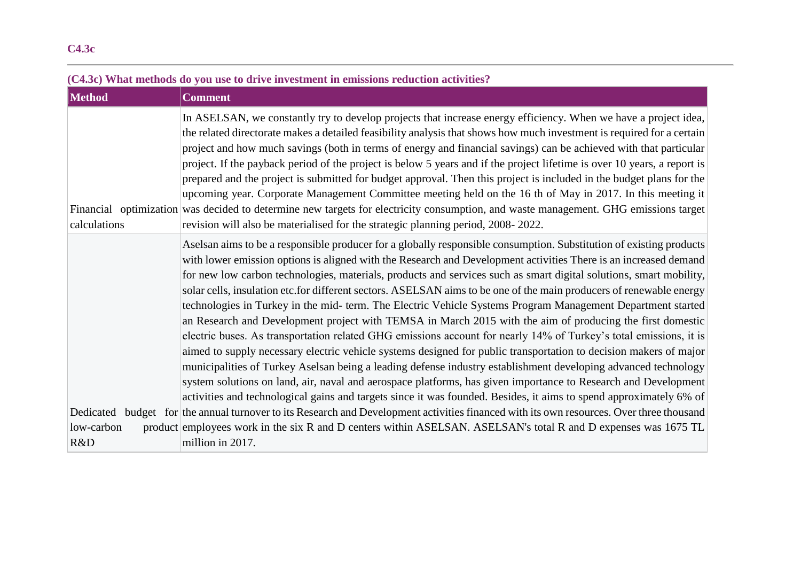# **(C4.3c) What methods do you use to drive investment in emissions reduction activities? Method Comment** In ASELSAN, we constantly try to develop projects that increase energy efficiency. When we have a project idea, the related directorate makes a detailed feasibility analysis that shows how much investment is required for a certain project and how much savings (both in terms of energy and financial savings) can be achieved with that particular project. If the payback period of the project is below 5 years and if the project lifetime is over 10 years, a report is prepared and the project is submitted for budget approval. Then this project is included in the budget plans for the upcoming year. Corporate Management Committee meeting held on the 16 th of May in 2017. In this meeting it

Financial optimization was decided to determine new targets for electricity consumption, and waste management. GHG emissions target calculations revision will also be materialised for the strategic planning period, 2008- 2022. Dedicated budget for the annual turnover to its Research and Development activities financed with its own resources. Over three thousand low-carbon R&D Aselsan aims to be a responsible producer for a globally responsible consumption. Substitution of existing products with lower emission options is aligned with the Research and Development activities There is an increased demand for new low carbon technologies, materials, products and services such as smart digital solutions, smart mobility, solar cells, insulation etc.for different sectors. ASELSAN aims to be one of the main producers of renewable energy technologies in Turkey in the mid- term. The Electric Vehicle Systems Program Management Department started an Research and Development project with TEMSA in March 2015 with the aim of producing the first domestic electric buses. As transportation related GHG emissions account for nearly 14% of Turkey's total emissions, it is aimed to supply necessary electric vehicle systems designed for public transportation to decision makers of major municipalities of Turkey Aselsan being a leading defense industry establishment developing advanced technology system solutions on land, air, naval and aerospace platforms, has given importance to Research and Development activities and technological gains and targets since it was founded. Besides, it aims to spend approximately 6% of employees work in the six R and D centers within ASELSAN. ASELSAN's total R and D expenses was 1675 TL million in 2017.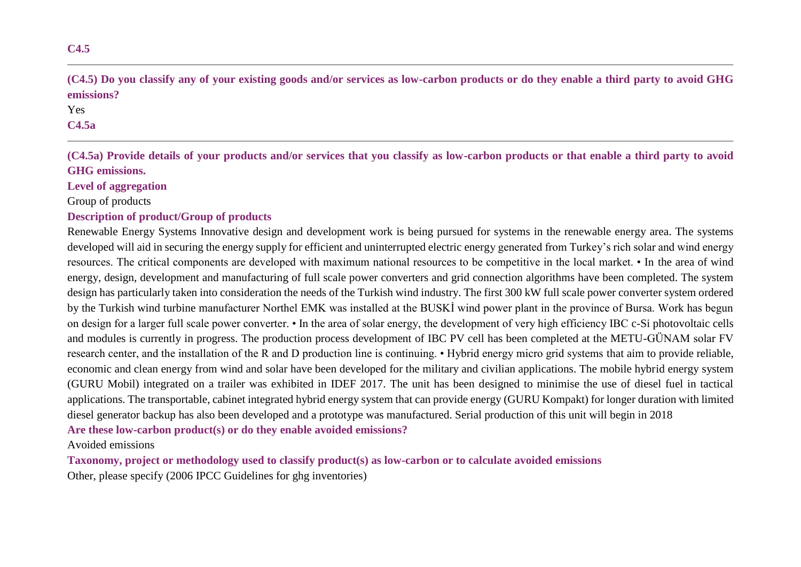# **(C4.5) Do you classify any of your existing goods and/or services as low-carbon products or do they enable a third party to avoid GHG emissions?**

### Yes **C4.5a**

**(C4.5a) Provide details of your products and/or services that you classify as low-carbon products or that enable a third party to avoid GHG emissions.**

### **Level of aggregation**

Group of products

### **Description of product/Group of products**

Renewable Energy Systems Innovative design and development work is being pursued for systems in the renewable energy area. The systems developed will aid in securing the energy supply for efficient and uninterrupted electric energy generated from Turkey's rich solar and wind energy resources. The critical components are developed with maximum national resources to be competitive in the local market. • In the area of wind energy, design, development and manufacturing of full scale power converters and grid connection algorithms have been completed. The system design has particularly taken into consideration the needs of the Turkish wind industry. The first 300 kW full scale power converter system ordered by the Turkish wind turbine manufacturer Northel EMK was installed at the BUSKİ wind power plant in the province of Bursa. Work has begun on design for a larger full scale power converter. • In the area of solar energy, the development of very high efficiency IBC c-Si photovoltaic cells and modules is currently in progress. The production process development of IBC PV cell has been completed at the METU-GÜNAM solar FV research center, and the installation of the R and D production line is continuing. • Hybrid energy micro grid systems that aim to provide reliable, economic and clean energy from wind and solar have been developed for the military and civilian applications. The mobile hybrid energy system (GURU Mobil) integrated on a trailer was exhibited in IDEF 2017. The unit has been designed to minimise the use of diesel fuel in tactical applications. The transportable, cabinet integrated hybrid energy system that can provide energy (GURU Kompakt) for longer duration with limited diesel generator backup has also been developed and a prototype was manufactured. Serial production of this unit will begin in 2018 **Are these low-carbon product(s) or do they enable avoided emissions?**

### Avoided emissions

**Taxonomy, project or methodology used to classify product(s) as low-carbon or to calculate avoided emissions** Other, please specify (2006 IPCC Guidelines for ghg inventories)

**C4.5**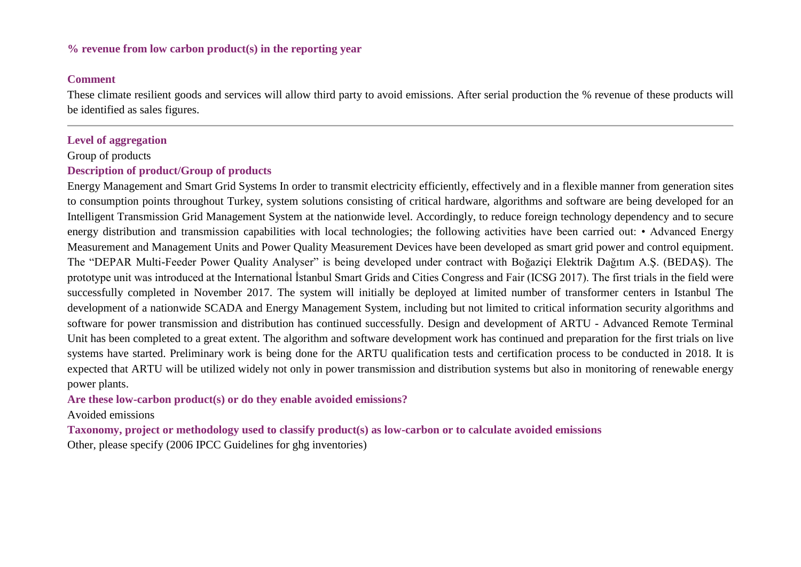### **% revenue from low carbon product(s) in the reporting year**

### **Comment**

These climate resilient goods and services will allow third party to avoid emissions. After serial production the % revenue of these products will be identified as sales figures.

### **Level of aggregation**

### Group of products

### **Description of product/Group of products**

Energy Management and Smart Grid Systems In order to transmit electricity efficiently, effectively and in a flexible manner from generation sites to consumption points throughout Turkey, system solutions consisting of critical hardware, algorithms and software are being developed for an Intelligent Transmission Grid Management System at the nationwide level. Accordingly, to reduce foreign technology dependency and to secure energy distribution and transmission capabilities with local technologies; the following activities have been carried out: • Advanced Energy Measurement and Management Units and Power Quality Measurement Devices have been developed as smart grid power and control equipment. The "DEPAR Multi-Feeder Power Quality Analyser" is being developed under contract with Boğaziçi Elektrik Dağıtım A.Ş. (BEDAŞ). The prototype unit was introduced at the International İstanbul Smart Grids and Cities Congress and Fair (ICSG 2017). The first trials in the field were successfully completed in November 2017. The system will initially be deployed at limited number of transformer centers in Istanbul The development of a nationwide SCADA and Energy Management System, including but not limited to critical information security algorithms and software for power transmission and distribution has continued successfully. Design and development of ARTU - Advanced Remote Terminal Unit has been completed to a great extent. The algorithm and software development work has continued and preparation for the first trials on live systems have started. Preliminary work is being done for the ARTU qualification tests and certification process to be conducted in 2018. It is expected that ARTU will be utilized widely not only in power transmission and distribution systems but also in monitoring of renewable energy power plants.

## **Are these low-carbon product(s) or do they enable avoided emissions?**

### Avoided emissions

**Taxonomy, project or methodology used to classify product(s) as low-carbon or to calculate avoided emissions** Other, please specify (2006 IPCC Guidelines for ghg inventories)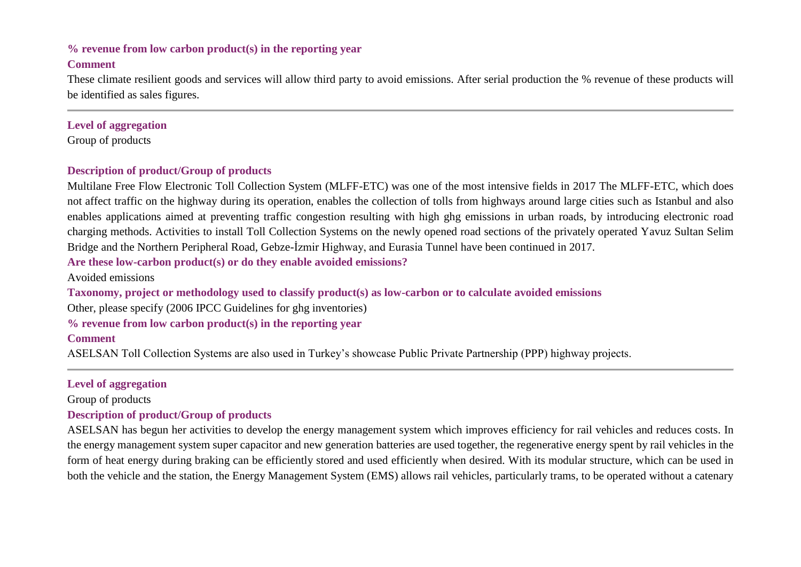## **% revenue from low carbon product(s) in the reporting year Comment**

These climate resilient goods and services will allow third party to avoid emissions. After serial production the % revenue of these products will be identified as sales figures.

## **Level of aggregation**

Group of products

# **Description of product/Group of products**

Multilane Free Flow Electronic Toll Collection System (MLFF-ETC) was one of the most intensive fields in 2017 The MLFF-ETC, which does not affect traffic on the highway during its operation, enables the collection of tolls from highways around large cities such as Istanbul and also enables applications aimed at preventing traffic congestion resulting with high ghg emissions in urban roads, by introducing electronic road charging methods. Activities to install Toll Collection Systems on the newly opened road sections of the privately operated Yavuz Sultan Selim Bridge and the Northern Peripheral Road, Gebze-İzmir Highway, and Eurasia Tunnel have been continued in 2017.

**Are these low-carbon product(s) or do they enable avoided emissions?**

Avoided emissions

**Taxonomy, project or methodology used to classify product(s) as low-carbon or to calculate avoided emissions**

Other, please specify (2006 IPCC Guidelines for ghg inventories)

**% revenue from low carbon product(s) in the reporting year**

# **Comment**

ASELSAN Toll Collection Systems are also used in Turkey's showcase Public Private Partnership (PPP) highway projects.

# **Level of aggregation**

Group of products

# **Description of product/Group of products**

ASELSAN has begun her activities to develop the energy management system which improves efficiency for rail vehicles and reduces costs. In the energy management system super capacitor and new generation batteries are used together, the regenerative energy spent by rail vehicles in the form of heat energy during braking can be efficiently stored and used efficiently when desired. With its modular structure, which can be used in both the vehicle and the station, the Energy Management System (EMS) allows rail vehicles, particularly trams, to be operated without a catenary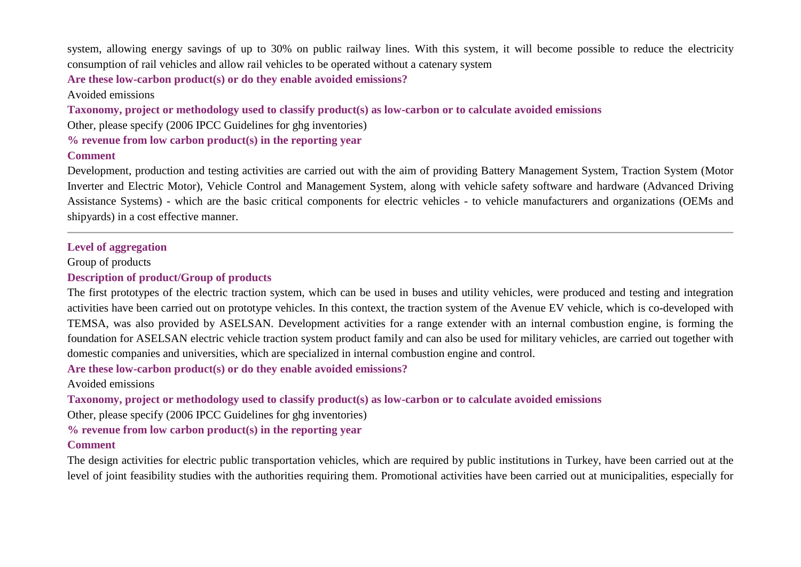system, allowing energy savings of up to 30% on public railway lines. With this system, it will become possible to reduce the electricity consumption of rail vehicles and allow rail vehicles to be operated without a catenary system

**Are these low-carbon product(s) or do they enable avoided emissions?**

Avoided emissions

**Taxonomy, project or methodology used to classify product(s) as low-carbon or to calculate avoided emissions**

Other, please specify (2006 IPCC Guidelines for ghg inventories)

**% revenue from low carbon product(s) in the reporting year**

### **Comment**

Development, production and testing activities are carried out with the aim of providing Battery Management System, Traction System (Motor Inverter and Electric Motor), Vehicle Control and Management System, along with vehicle safety software and hardware (Advanced Driving Assistance Systems) - which are the basic critical components for electric vehicles - to vehicle manufacturers and organizations (OEMs and shipyards) in a cost effective manner.

## **Level of aggregation**

Group of products

# **Description of product/Group of products**

The first prototypes of the electric traction system, which can be used in buses and utility vehicles, were produced and testing and integration activities have been carried out on prototype vehicles. In this context, the traction system of the Avenue EV vehicle, which is co-developed with TEMSA, was also provided by ASELSAN. Development activities for a range extender with an internal combustion engine, is forming the foundation for ASELSAN electric vehicle traction system product family and can also be used for military vehicles, are carried out together with domestic companies and universities, which are specialized in internal combustion engine and control.

**Are these low-carbon product(s) or do they enable avoided emissions?**

Avoided emissions

**Taxonomy, project or methodology used to classify product(s) as low-carbon or to calculate avoided emissions**

Other, please specify (2006 IPCC Guidelines for ghg inventories)

**% revenue from low carbon product(s) in the reporting year**

## **Comment**

The design activities for electric public transportation vehicles, which are required by public institutions in Turkey, have been carried out at the level of joint feasibility studies with the authorities requiring them. Promotional activities have been carried out at municipalities, especially for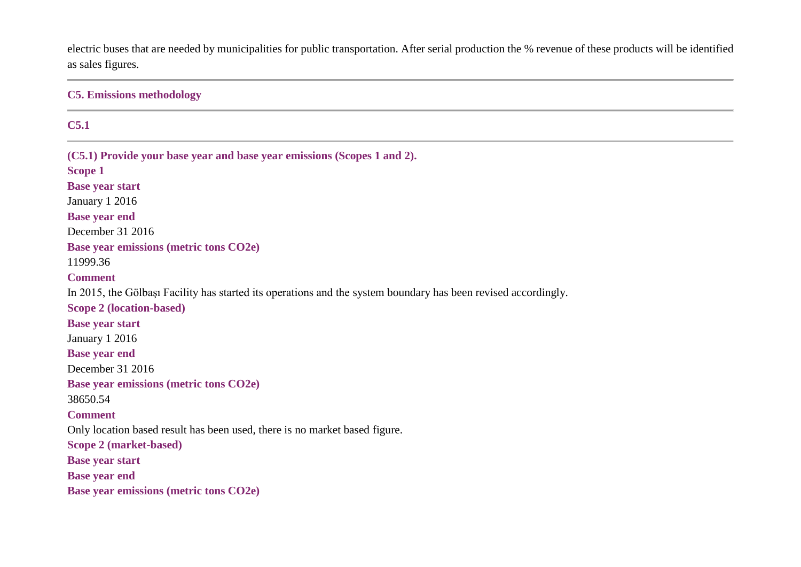electric buses that are needed by municipalities for public transportation. After serial production the % revenue of these products will be identified as sales figures.

**C5. Emissions methodology**

### **C5.1**

**(C5.1) Provide your base year and base year emissions (Scopes 1 and 2). Scope 1 Base year start** January 1 2016 **Base year end** December 31 2016 **Base year emissions (metric tons CO2e)** 11999.36 **Comment** In 2015, the Gölbaşı Facility has started its operations and the system boundary has been revised accordingly. **Scope 2 (location-based) Base year start** January 1 2016 **Base year end** December 31 2016 **Base year emissions (metric tons CO2e)** 38650.54 **Comment** Only location based result has been used, there is no market based figure. **Scope 2 (market-based) Base year start Base year end Base year emissions (metric tons CO2e)**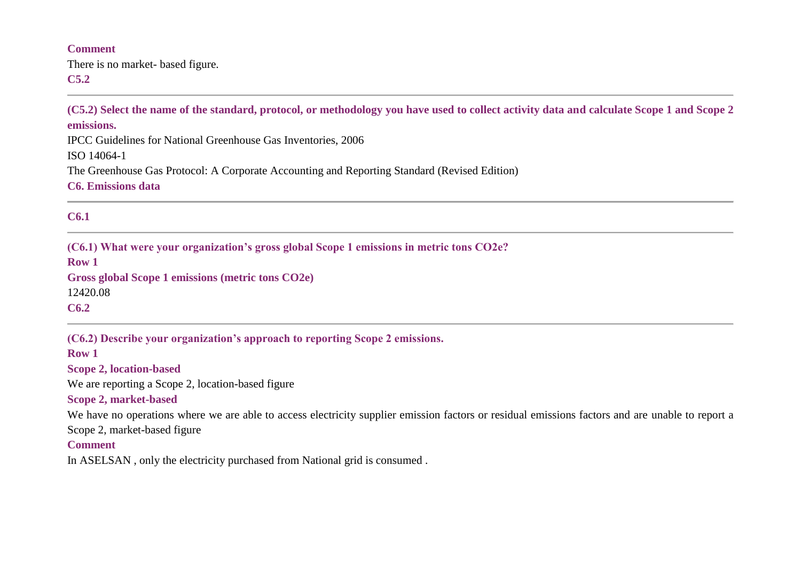### **Comment**

There is no market- based figure. **C5.2**

**(C5.2) Select the name of the standard, protocol, or methodology you have used to collect activity data and calculate Scope 1 and Scope 2 emissions.**

IPCC Guidelines for National Greenhouse Gas Inventories, 2006

ISO 14064-1

The Greenhouse Gas Protocol: A Corporate Accounting and Reporting Standard (Revised Edition)

**C6. Emissions data**

## **C6.1**

**(C6.1) What were your organization's gross global Scope 1 emissions in metric tons CO2e?**

**Row 1**

**Gross global Scope 1 emissions (metric tons CO2e)** 12420.08

**C6.2**

**(C6.2) Describe your organization's approach to reporting Scope 2 emissions.**

**Row 1**

**Scope 2, location-based**

We are reporting a Scope 2, location-based figure

### **Scope 2, market-based**

We have no operations where we are able to access electricity supplier emission factors or residual emissions factors and are unable to report a Scope 2, market-based figure

## **Comment**

In ASELSAN , only the electricity purchased from National grid is consumed .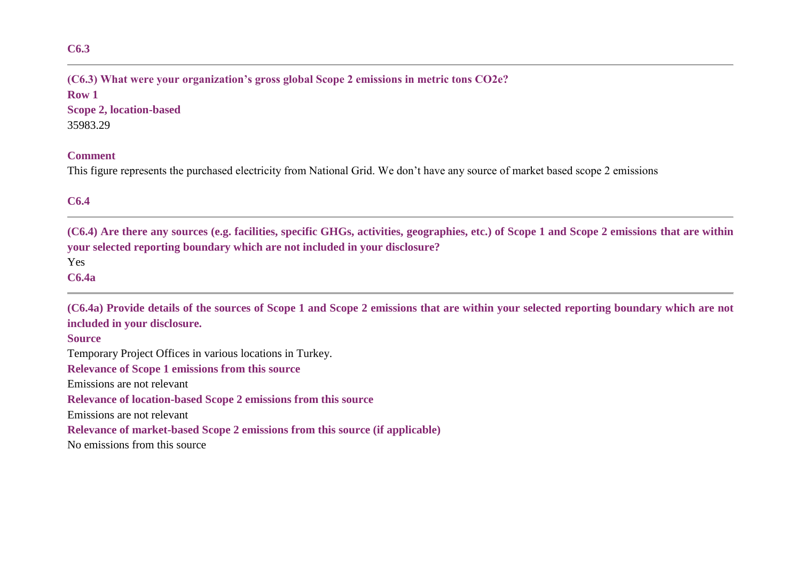# **(C6.3) What were your organization's gross global Scope 2 emissions in metric tons CO2e?**

**Row 1 Scope 2, location-based** 35983.29

#### **Comment**

This figure represents the purchased electricity from National Grid. We don't have any source of market based scope 2 emissions

# **C6.4**

**(C6.4) Are there any sources (e.g. facilities, specific GHGs, activities, geographies, etc.) of Scope 1 and Scope 2 emissions that are within your selected reporting boundary which are not included in your disclosure?**

Yes

**C6.4a**

**(C6.4a) Provide details of the sources of Scope 1 and Scope 2 emissions that are within your selected reporting boundary which are not included in your disclosure.**

**Source**

Temporary Project Offices in various locations in Turkey.

**Relevance of Scope 1 emissions from this source**

Emissions are not relevant

**Relevance of location-based Scope 2 emissions from this source**

Emissions are not relevant

**Relevance of market-based Scope 2 emissions from this source (if applicable)**

No emissions from this source

**C6.3**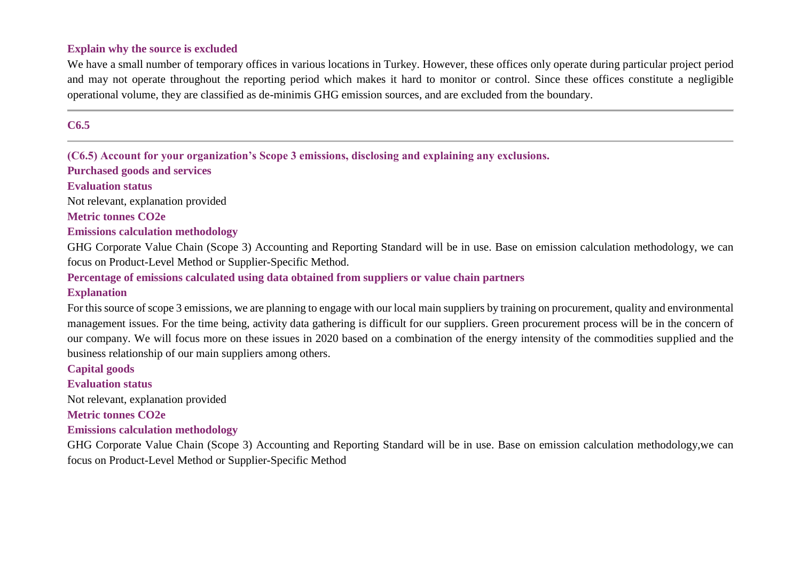### **Explain why the source is excluded**

We have a small number of temporary offices in various locations in Turkey. However, these offices only operate during particular project period and may not operate throughout the reporting period which makes it hard to monitor or control. Since these offices constitute a negligible operational volume, they are classified as de-minimis GHG emission sources, and are excluded from the boundary.

### **C6.5**

**(C6.5) Account for your organization's Scope 3 emissions, disclosing and explaining any exclusions.**

**Purchased goods and services**

### **Evaluation status**

Not relevant, explanation provided

**Metric tonnes CO2e**

### **Emissions calculation methodology**

GHG Corporate Value Chain (Scope 3) Accounting and Reporting Standard will be in use. Base on emission calculation methodology, we can focus on Product-Level Method or Supplier-Specific Method.

### **Percentage of emissions calculated using data obtained from suppliers or value chain partners**

### **Explanation**

For this source of scope 3 emissions, we are planning to engage with our local main suppliers by training on procurement, quality and environmental management issues. For the time being, activity data gathering is difficult for our suppliers. Green procurement process will be in the concern of our company. We will focus more on these issues in 2020 based on a combination of the energy intensity of the commodities supplied and the business relationship of our main suppliers among others.

#### **Capital goods**

#### **Evaluation status**

Not relevant, explanation provided

### **Metric tonnes CO2e**

### **Emissions calculation methodology**

GHG Corporate Value Chain (Scope 3) Accounting and Reporting Standard will be in use. Base on emission calculation methodology,we can focus on Product-Level Method or Supplier-Specific Method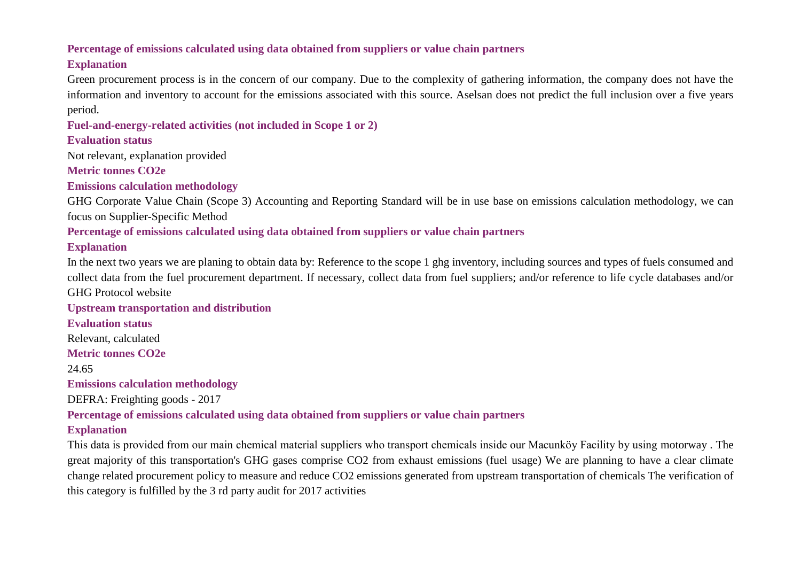## **Percentage of emissions calculated using data obtained from suppliers or value chain partners**

# **Explanation**

Green procurement process is in the concern of our company. Due to the complexity of gathering information, the company does not have the information and inventory to account for the emissions associated with this source. Aselsan does not predict the full inclusion over a five years period.

# **Fuel-and-energy-related activities (not included in Scope 1 or 2)**

# **Evaluation status**

Not relevant, explanation provided

**Metric tonnes CO2e**

**Emissions calculation methodology**

GHG Corporate Value Chain (Scope 3) Accounting and Reporting Standard will be in use base on emissions calculation methodology, we can focus on Supplier-Specific Method

# **Percentage of emissions calculated using data obtained from suppliers or value chain partners**

# **Explanation**

In the next two years we are planing to obtain data by: Reference to the scope 1 ghg inventory, including sources and types of fuels consumed and collect data from the fuel procurement department. If necessary, collect data from fuel suppliers; and/or reference to life cycle databases and/or GHG Protocol website

# **Upstream transportation and distribution**

**Evaluation status** Relevant, calculated **Metric tonnes CO2e** 24.65 **Emissions calculation methodology** DEFRA: Freighting goods - 2017 **Percentage of emissions calculated using data obtained from suppliers or value chain partners**

# **Explanation**

This data is provided from our main chemical material suppliers who transport chemicals inside our Macunköy Facility by using motorway . The great majority of this transportation's GHG gases comprise CO2 from exhaust emissions (fuel usage) We are planning to have a clear climate change related procurement policy to measure and reduce CO2 emissions generated from upstream transportation of chemicals The verification of this category is fulfilled by the 3 rd party audit for 2017 activities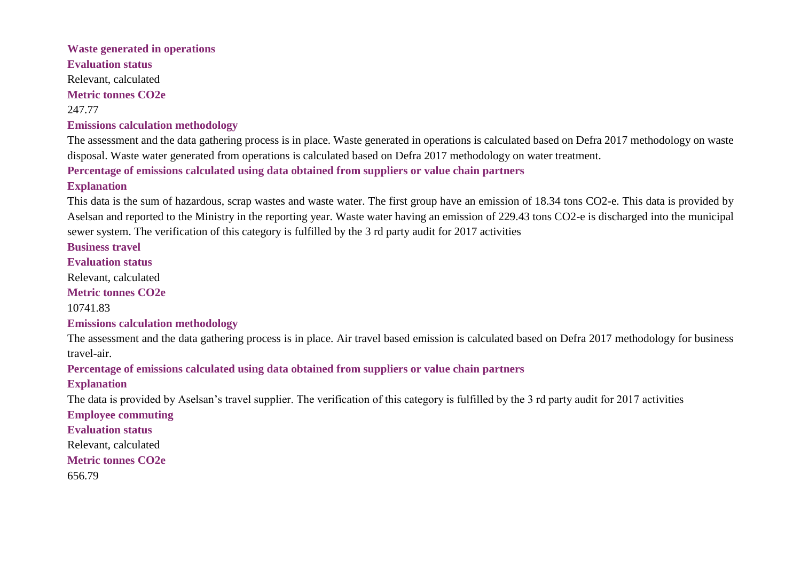# **Waste generated in operations Evaluation status** Relevant, calculated **Metric tonnes CO2e** 247.77 **Emissions calculation methodology**

The assessment and the data gathering process is in place. Waste generated in operations is calculated based on Defra 2017 methodology on waste disposal. Waste water generated from operations is calculated based on Defra 2017 methodology on water treatment.

**Percentage of emissions calculated using data obtained from suppliers or value chain partners**

## **Explanation**

This data is the sum of hazardous, scrap wastes and waste water. The first group have an emission of 18.34 tons CO2-e. This data is provided by Aselsan and reported to the Ministry in the reporting year. Waste water having an emission of 229.43 tons CO2-e is discharged into the municipal sewer system. The verification of this category is fulfilled by the 3 rd party audit for 2017 activities

**Business travel**

**Evaluation status**

Relevant, calculated

**Metric tonnes CO2e**

10741.83

**Emissions calculation methodology**

The assessment and the data gathering process is in place. Air travel based emission is calculated based on Defra 2017 methodology for business travel-air.

**Percentage of emissions calculated using data obtained from suppliers or value chain partners**

**Explanation**

The data is provided by Aselsan's travel supplier. The verification of this category is fulfilled by the 3 rd party audit for 2017 activities

**Employee commuting**

**Evaluation status**

Relevant, calculated

**Metric tonnes CO2e**

656.79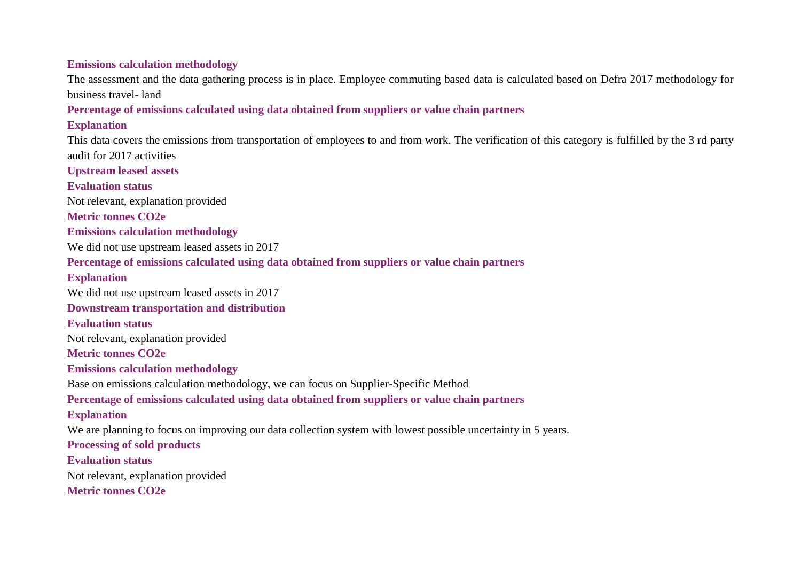**Emissions calculation methodology**

The assessment and the data gathering process is in place. Employee commuting based data is calculated based on Defra 2017 methodology for business travel- land

**Percentage of emissions calculated using data obtained from suppliers or value chain partners**

**Explanation**

This data covers the emissions from transportation of employees to and from work. The verification of this category is fulfilled by the 3 rd party audit for 2017 activities

**Upstream leased assets**

**Evaluation status** Not relevant, explanation provided

**Metric tonnes CO2e**

**Emissions calculation methodology**

We did not use upstream leased assets in 2017

**Percentage of emissions calculated using data obtained from suppliers or value chain partners**

**Explanation**

We did not use upstream leased assets in 2017

**Downstream transportation and distribution**

**Evaluation status**

Not relevant, explanation provided

**Metric tonnes CO2e**

**Emissions calculation methodology**

Base on emissions calculation methodology, we can focus on Supplier-Specific Method

**Percentage of emissions calculated using data obtained from suppliers or value chain partners**

**Explanation**

We are planning to focus on improving our data collection system with lowest possible uncertainty in 5 years.

**Processing of sold products**

**Evaluation status**

Not relevant, explanation provided

**Metric tonnes CO2e**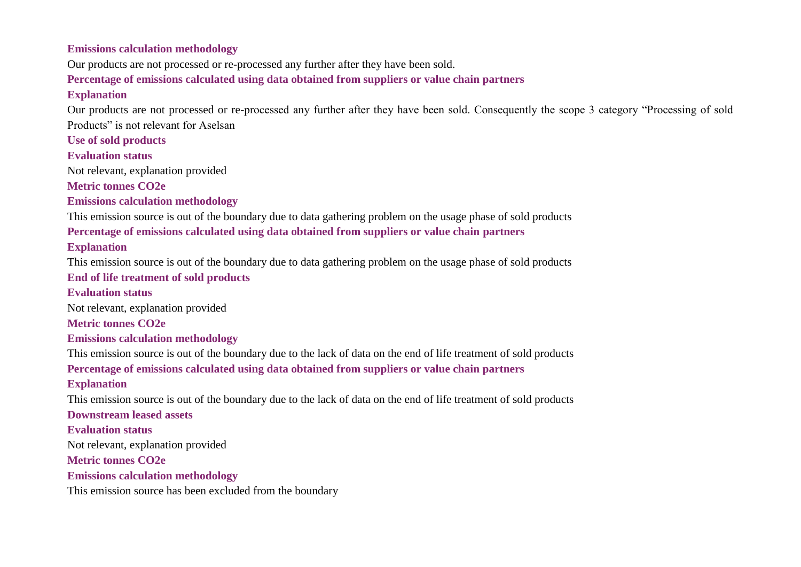### **Emissions calculation methodology**

Our products are not processed or re-processed any further after they have been sold.

### **Percentage of emissions calculated using data obtained from suppliers or value chain partners**

### **Explanation**

Our products are not processed or re-processed any further after they have been sold. Consequently the scope 3 category "Processing of sold Products" is not relevant for Aselsan

**Use of sold products**

### **Evaluation status**

Not relevant, explanation provided

**Metric tonnes CO2e**

## **Emissions calculation methodology**

This emission source is out of the boundary due to data gathering problem on the usage phase of sold products **Percentage of emissions calculated using data obtained from suppliers or value chain partners Explanation**

This emission source is out of the boundary due to data gathering problem on the usage phase of sold products

## **End of life treatment of sold products**

## **Evaluation status**

Not relevant, explanation provided

**Metric tonnes CO2e**

## **Emissions calculation methodology**

This emission source is out of the boundary due to the lack of data on the end of life treatment of sold products **Percentage of emissions calculated using data obtained from suppliers or value chain partners Explanation**

This emission source is out of the boundary due to the lack of data on the end of life treatment of sold products

### **Downstream leased assets**

**Evaluation status**

Not relevant, explanation provided

**Metric tonnes CO2e**

### **Emissions calculation methodology**

This emission source has been excluded from the boundary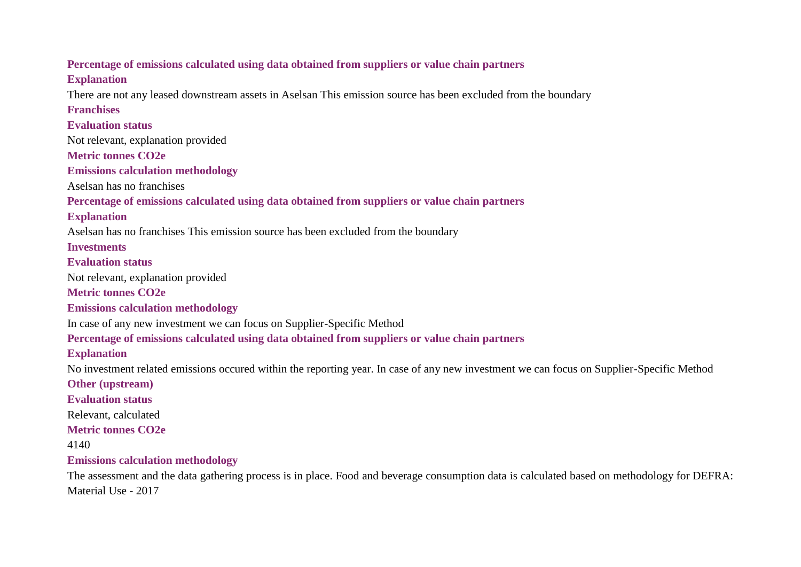# **Percentage of emissions calculated using data obtained from suppliers or value chain partners Explanation** There are not any leased downstream assets in Aselsan This emission source has been excluded from the boundary **Franchises Evaluation status** Not relevant, explanation provided **Metric tonnes CO2e Emissions calculation methodology** Aselsan has no franchises **Percentage of emissions calculated using data obtained from suppliers or value chain partners Explanation** Aselsan has no franchises This emission source has been excluded from the boundary **Investments Evaluation status** Not relevant, explanation provided **Metric tonnes CO2e Emissions calculation methodology** In case of any new investment we can focus on Supplier-Specific Method **Percentage of emissions calculated using data obtained from suppliers or value chain partners Explanation** No investment related emissions occured within the reporting year. In case of any new investment we can focus on Supplier-Specific Method **Other (upstream) Evaluation status** Relevant, calculated **Metric tonnes CO2e** 4140 **Emissions calculation methodology** The assessment and the data gathering process is in place. Food and beverage consumption data is calculated based on methodology for DEFRA: Material Use - 2017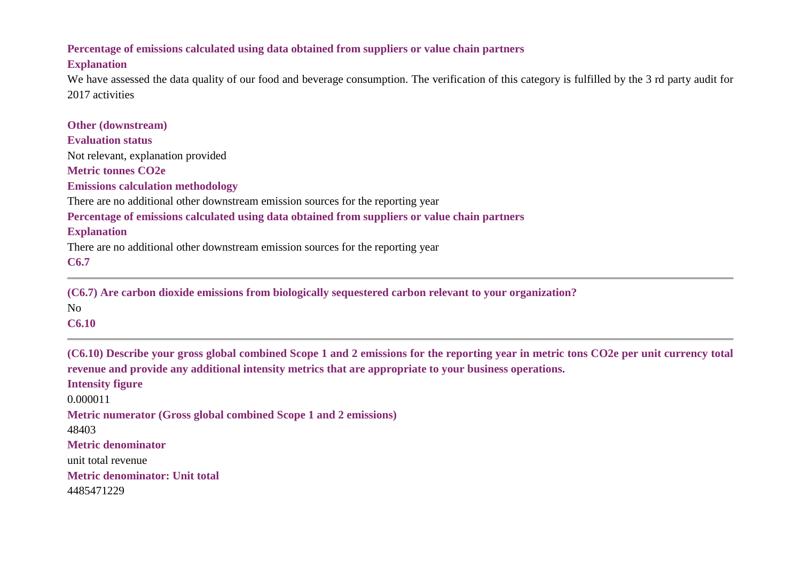### **Percentage of emissions calculated using data obtained from suppliers or value chain partners**

### **Explanation**

We have assessed the data quality of our food and beverage consumption. The verification of this category is fulfilled by the 3 rd party audit for 2017 activities

| <b>Other (downstream)</b>                                                                     |
|-----------------------------------------------------------------------------------------------|
| <b>Evaluation status</b>                                                                      |
| Not relevant, explanation provided                                                            |
| <b>Metric tonnes CO2e</b>                                                                     |
| <b>Emissions calculation methodology</b>                                                      |
| There are no additional other downstream emission sources for the reporting year              |
| Percentage of emissions calculated using data obtained from suppliers or value chain partners |
| <b>Explanation</b>                                                                            |
| There are no additional other downstream emission sources for the reporting year              |
| C6.7                                                                                          |
|                                                                                               |

**(C6.7) Are carbon dioxide emissions from biologically sequestered carbon relevant to your organization?** No **C6.10**

**(C6.10) Describe your gross global combined Scope 1 and 2 emissions for the reporting year in metric tons CO2e per unit currency total revenue and provide any additional intensity metrics that are appropriate to your business operations. Intensity figure** 0.000011 **Metric numerator (Gross global combined Scope 1 and 2 emissions)** 48403 **Metric denominator** unit total revenue **Metric denominator: Unit total** 4485471229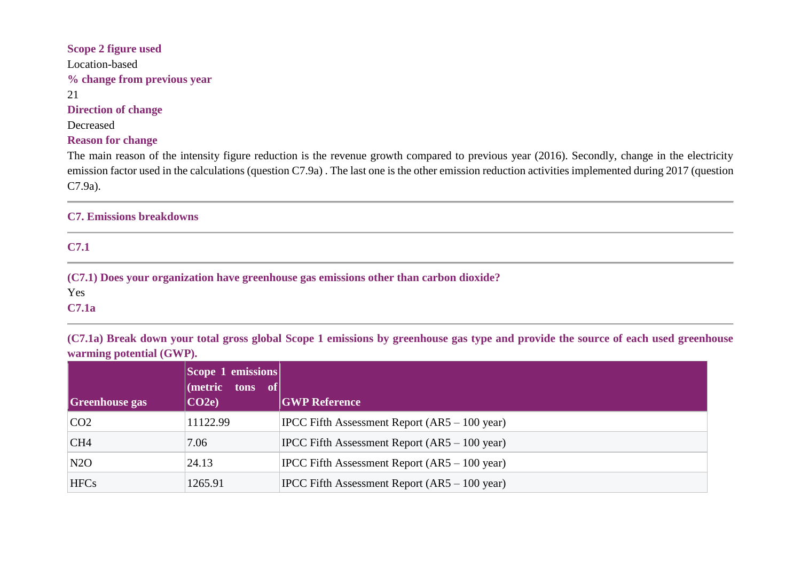# **Scope 2 figure used** Location-based **% change from previous year** 21 **Direction of change** Decreased

### **Reason for change**

The main reason of the intensity figure reduction is the revenue growth compared to previous year (2016). Secondly, change in the electricity emission factor used in the calculations (question C7.9a) . The last one is the other emission reduction activities implemented during 2017 (question C7.9a).

## **C7. Emissions breakdowns**

**C7.1**

**(C7.1) Does your organization have greenhouse gas emissions other than carbon dioxide?**

Yes

**C7.1a**

**(C7.1a) Break down your total gross global Scope 1 emissions by greenhouse gas type and provide the source of each used greenhouse warming potential (GWP).**

| <b>Greenhouse gas</b> | $\vert$ Scope 1 emissions $\vert$<br>$(metric \ttons \tof)$<br>CO2e | <b>GWP Reference</b>                                    |
|-----------------------|---------------------------------------------------------------------|---------------------------------------------------------|
| CO2                   | 11122.99                                                            | $ PCC$ Fifth Assessment Report $(AR5 – 100$ year)       |
| CH4                   | 7.06                                                                | IPCC Fifth Assessment Report $(AR5 – 100 \text{ year})$ |
| N2O                   | 24.13                                                               | $ PCC$ Fifth Assessment Report $(AR5 – 100$ year)       |
| <b>HFCs</b>           | 1265.91                                                             | $ PCC$ Fifth Assessment Report $(AR5 – 100$ year)       |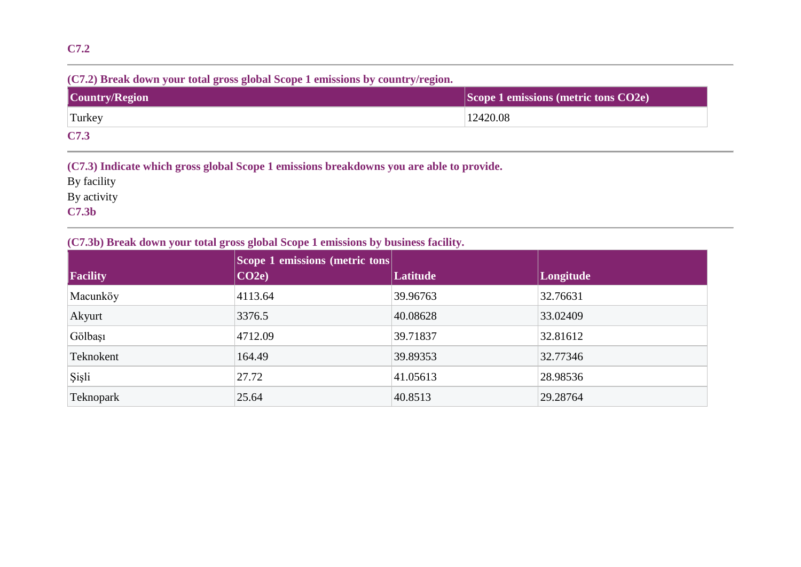# **C7.2**

### **(C7.2) Break down your total gross global Scope 1 emissions by country/region.**

| Country/Region | Scope 1 emissions (metric tons CO2e) |
|----------------|--------------------------------------|
| Turkey         | 12420.08                             |
| C7.3           |                                      |

### **(C7.3) Indicate which gross global Scope 1 emissions breakdowns you are able to provide.**

By facility

By activity

**C7.3b**

## **(C7.3b) Break down your total gross global Scope 1 emissions by business facility.**

| Facility     | Scope 1 emissions (metric tons<br>CO2e | Latitude | Longitude |
|--------------|----------------------------------------|----------|-----------|
| Macunköy     | 4113.64                                | 39.96763 | 32.76631  |
| Akyurt       | 3376.5                                 | 40.08628 | 33.02409  |
| Gölbaşı      | 4712.09                                | 39.71837 | 32.81612  |
| Teknokent    | 164.49                                 | 39.89353 | 32.77346  |
| <b>Sişli</b> | 27.72                                  | 41.05613 | 28.98536  |
| Teknopark    | 25.64                                  | 40.8513  | 29.28764  |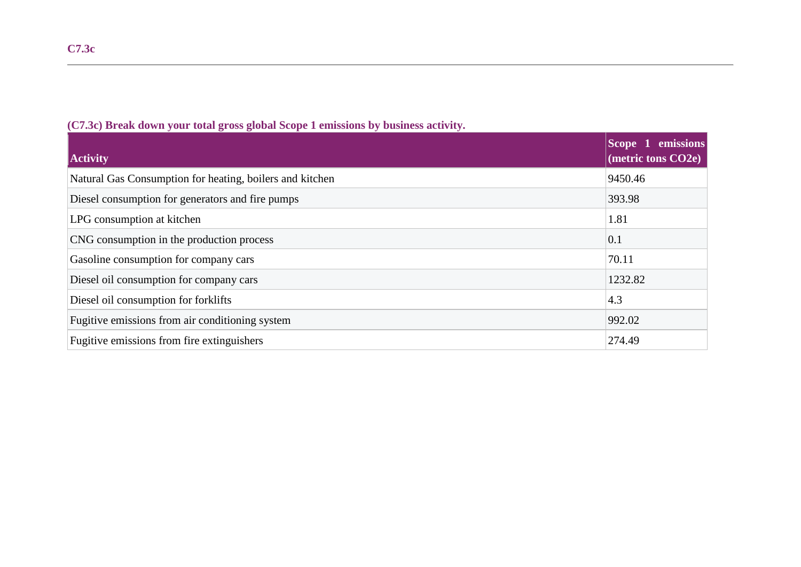| <b>Activity</b>                                          | Scope 1 emissions<br>(metric tons CO2e) |
|----------------------------------------------------------|-----------------------------------------|
| Natural Gas Consumption for heating, boilers and kitchen | 9450.46                                 |
| Diesel consumption for generators and fire pumps         | 393.98                                  |
| LPG consumption at kitchen                               | 1.81                                    |
| CNG consumption in the production process                | 0.1                                     |
| Gasoline consumption for company cars                    | 70.11                                   |
| Diesel oil consumption for company cars                  | 1232.82                                 |
| Diesel oil consumption for forklifts                     | 4.3                                     |
| Fugitive emissions from air conditioning system          | 992.02                                  |
| Fugitive emissions from fire extinguishers               | 274.49                                  |

**(C7.3c) Break down your total gross global Scope 1 emissions by business activity.**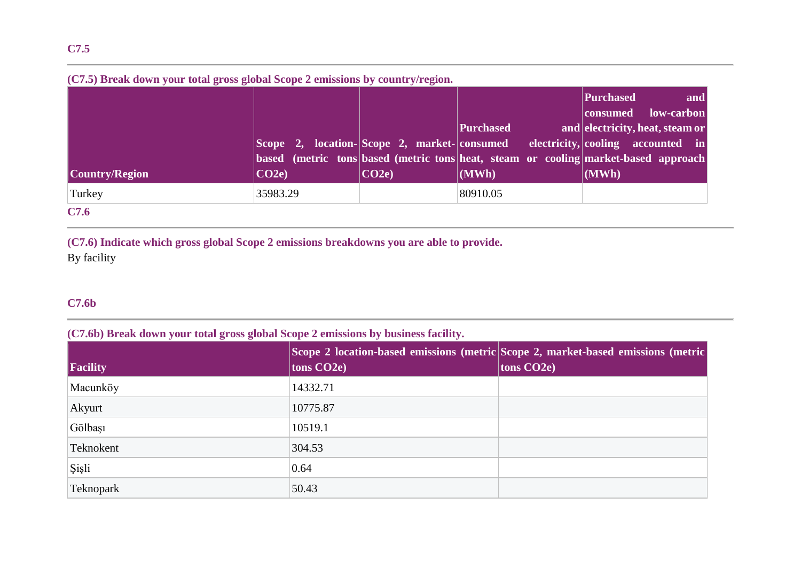# **(C7.5) Break down your total gross global Scope 2 emissions by country/region.**

| <b>Country/Region</b> | Scope 2, location-Scope 2, market-consumed<br>CO2e | CO2e | Purchased<br>(MWh) | Purchased<br>and<br>low-carbon<br> consumed<br>and electricity, heat, steam or<br>electricity, cooling accounted in<br>based (metric tons based (metric tons heat, steam or cooling market-based approach<br>(MWh) |
|-----------------------|----------------------------------------------------|------|--------------------|--------------------------------------------------------------------------------------------------------------------------------------------------------------------------------------------------------------------|
| Turkey                | 35983.29                                           |      | 80910.05           |                                                                                                                                                                                                                    |
| C7.6                  |                                                    |      |                    |                                                                                                                                                                                                                    |

**(C7.6) Indicate which gross global Scope 2 emissions breakdowns you are able to provide.** By facility

## **C7.6b**

## **(C7.6b) Break down your total gross global Scope 2 emissions by business facility.**

| Facility  | tons $CO2e$ ) | Scope 2 location-based emissions (metric Scope 2, market-based emissions (metric<br>$\vert$ tons CO2e) |
|-----------|---------------|--------------------------------------------------------------------------------------------------------|
| Macunköy  | 14332.71      |                                                                                                        |
| Akyurt    | 10775.87      |                                                                                                        |
| Gölbaşı   | 10519.1       |                                                                                                        |
| Teknokent | 304.53        |                                                                                                        |
| Sişli     | 0.64          |                                                                                                        |
| Teknopark | 50.43         |                                                                                                        |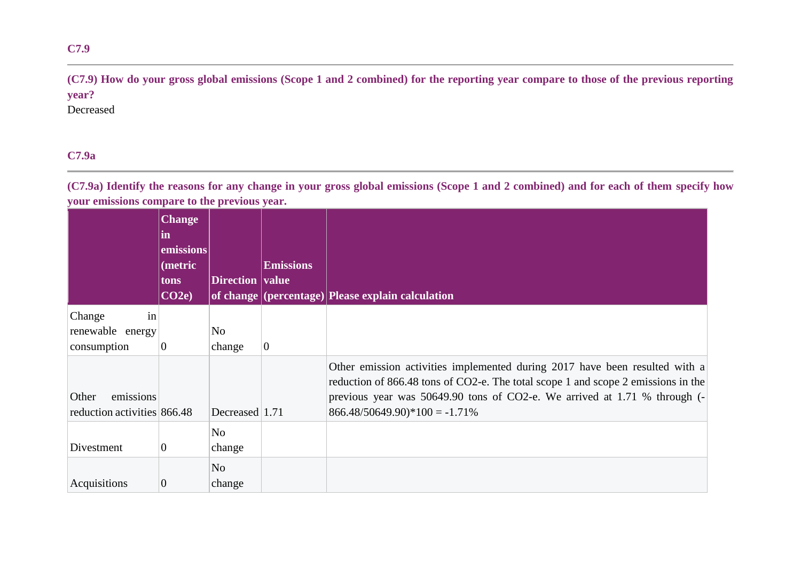# **(C7.9) How do your gross global emissions (Scope 1 and 2 combined) for the reporting year compare to those of the previous reporting year?**

Decreased

# **C7.9a**

**(C7.9a) Identify the reasons for any change in your gross global emissions (Scope 1 and 2 combined) and for each of them specify how your emissions compare to the previous year.**

|                             | <b>Change</b><br>in<br>emissions<br>(metric<br>tons | <b>Direction</b> value | <b>Emissions</b> |                                                                                                                                                                  |
|-----------------------------|-----------------------------------------------------|------------------------|------------------|------------------------------------------------------------------------------------------------------------------------------------------------------------------|
|                             | CO2e                                                |                        |                  | of change (percentage) Please explain calculation                                                                                                                |
| in<br>Change                |                                                     |                        |                  |                                                                                                                                                                  |
| renewable energy            |                                                     | No                     |                  |                                                                                                                                                                  |
| consumption                 | $\boldsymbol{0}$                                    | change                 | $\overline{0}$   |                                                                                                                                                                  |
|                             |                                                     |                        |                  | Other emission activities implemented during 2017 have been resulted with a<br>reduction of 866.48 tons of CO2-e. The total scope 1 and scope 2 emissions in the |
| emissions<br>Other          |                                                     |                        |                  | previous year was 50649.90 tons of CO2-e. We arrived at 1.71 % through $(-1)$                                                                                    |
| reduction activities 866.48 |                                                     | Decreased 1.71         |                  | $866.48/50649.90)*100 = -1.71%$                                                                                                                                  |
|                             |                                                     | No                     |                  |                                                                                                                                                                  |
| Divestment                  | $\overline{0}$                                      | change                 |                  |                                                                                                                                                                  |
|                             |                                                     | N <sub>o</sub>         |                  |                                                                                                                                                                  |
| Acquisitions                | $\overline{0}$                                      | change                 |                  |                                                                                                                                                                  |

## **C7.9**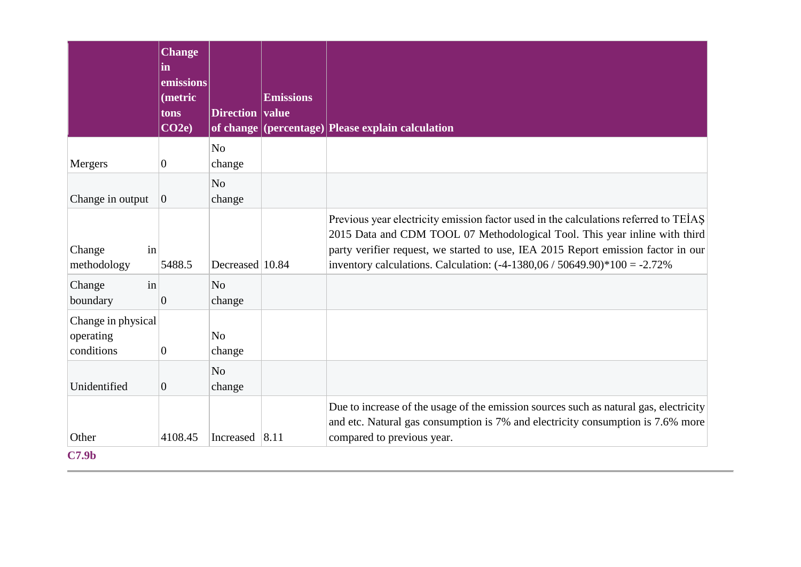|                                               | <b>Change</b><br>$\mathbf{in}$<br>emissions |                                            |                  |                                                                                                                                                                                                                                                                                                                                        |
|-----------------------------------------------|---------------------------------------------|--------------------------------------------|------------------|----------------------------------------------------------------------------------------------------------------------------------------------------------------------------------------------------------------------------------------------------------------------------------------------------------------------------------------|
|                                               | (metric<br>tons<br>CO2e                     | Direction value                            | <b>Emissions</b> | of change (percentage) Please explain calculation                                                                                                                                                                                                                                                                                      |
| Mergers                                       | $\mathbf{0}$                                | N <sub>o</sub><br>change                   |                  |                                                                                                                                                                                                                                                                                                                                        |
| Change in output                              | $\vert 0 \vert$                             | N <sub>o</sub><br>change                   |                  |                                                                                                                                                                                                                                                                                                                                        |
| in<br>Change<br>methodology                   | 5488.5                                      | Decreased 10.84                            |                  | Previous year electricity emission factor used in the calculations referred to TEİAŞ<br>2015 Data and CDM TOOL 07 Methodological Tool. This year inline with third<br>party verifier request, we started to use, IEA 2015 Report emission factor in our<br>inventory calculations. Calculation: $(-4-1380,06 / 50649.90)*100 = -2.72%$ |
| Change<br>in<br>boundary                      | $\overline{0}$                              | N <sub>o</sub><br>change                   |                  |                                                                                                                                                                                                                                                                                                                                        |
| Change in physical<br>operating<br>conditions | $\mathbf{0}$                                | N <sub>o</sub><br>change<br>N <sub>o</sub> |                  |                                                                                                                                                                                                                                                                                                                                        |
| Unidentified                                  | $\overline{0}$                              | change                                     |                  |                                                                                                                                                                                                                                                                                                                                        |
| Other                                         | 4108.45                                     | Increased $ 8.11$                          |                  | Due to increase of the usage of the emission sources such as natural gas, electricity<br>and etc. Natural gas consumption is 7% and electricity consumption is 7.6% more<br>compared to previous year.                                                                                                                                 |
| C7.9 <sub>b</sub>                             |                                             |                                            |                  |                                                                                                                                                                                                                                                                                                                                        |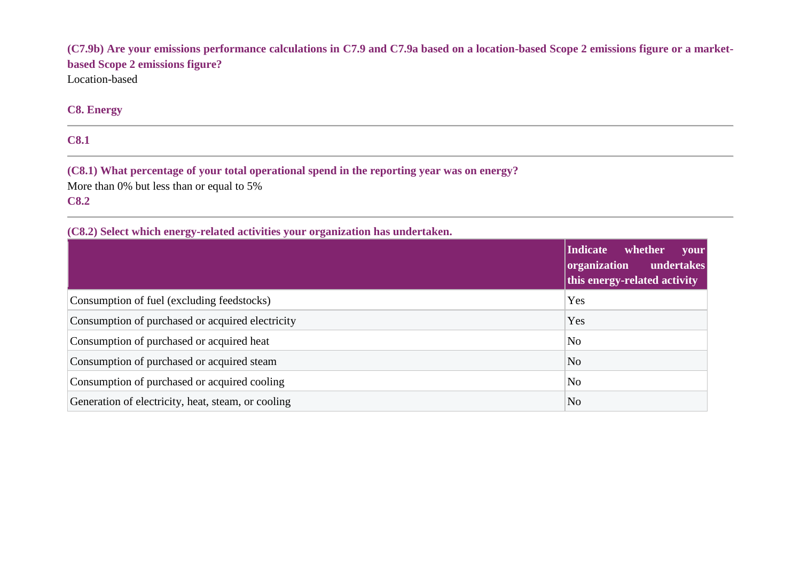**(C7.9b) Are your emissions performance calculations in C7.9 and C7.9a based on a location-based Scope 2 emissions figure or a marketbased Scope 2 emissions figure?** Location-based

## **C8. Energy**

**C8.1**

**(C8.1) What percentage of your total operational spend in the reporting year was on energy?** More than 0% but less than or equal to 5% **C8.2**

## **(C8.2) Select which energy-related activities your organization has undertaken.**

|                                                    | Indicate whether<br>your<br>undertakes<br>organization<br>this energy-related activity |
|----------------------------------------------------|----------------------------------------------------------------------------------------|
| Consumption of fuel (excluding feedstocks)         | Yes                                                                                    |
| Consumption of purchased or acquired electricity   | Yes                                                                                    |
| Consumption of purchased or acquired heat          | N <sub>o</sub>                                                                         |
| Consumption of purchased or acquired steam         | N <sub>o</sub>                                                                         |
| Consumption of purchased or acquired cooling       | N <sub>o</sub>                                                                         |
| Generation of electricity, heat, steam, or cooling | N <sub>o</sub>                                                                         |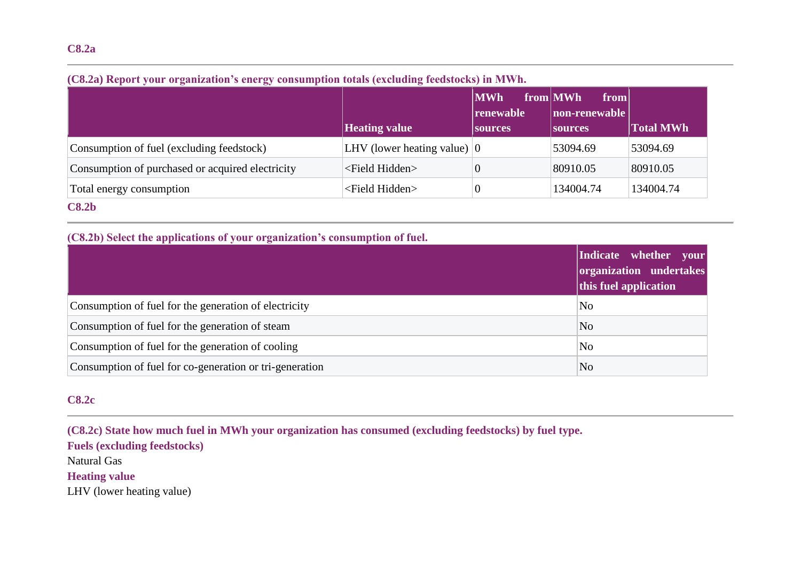## **(C8.2a) Report your organization's energy consumption totals (excluding feedstocks) in MWh.**

|                                                  |                                       | <b>MWh</b><br> renewable | from MWh<br>from<br> non-renewable |                  |
|--------------------------------------------------|---------------------------------------|--------------------------|------------------------------------|------------------|
|                                                  | <b>Heating value</b>                  | <b>Sources</b>           | <b>Sources</b>                     | <b>Total MWh</b> |
| Consumption of fuel (excluding feedstock)        | LHV (lower heating value) $ 0\rangle$ |                          | 53094.69                           | 53094.69         |
| Consumption of purchased or acquired electricity | <field hidden=""></field>             |                          | 80910.05                           | 80910.05         |
| Total energy consumption                         | <field hidden=""></field>             |                          | 134004.74                          | 134004.74        |
| C8.2 <sub>b</sub>                                |                                       |                          |                                    |                  |

## **(C8.2b) Select the applications of your organization's consumption of fuel.**

|                                                         | Indicate whether your<br>organization undertakes<br>this fuel application |
|---------------------------------------------------------|---------------------------------------------------------------------------|
| Consumption of fuel for the generation of electricity   | N <sub>0</sub>                                                            |
| Consumption of fuel for the generation of steam         | N <sub>o</sub>                                                            |
| Consumption of fuel for the generation of cooling       | N <sub>0</sub>                                                            |
| Consumption of fuel for co-generation or tri-generation | N <sub>o</sub>                                                            |

# **C8.2c**

**(C8.2c) State how much fuel in MWh your organization has consumed (excluding feedstocks) by fuel type. Fuels (excluding feedstocks)** Natural Gas **Heating value** LHV (lower heating value)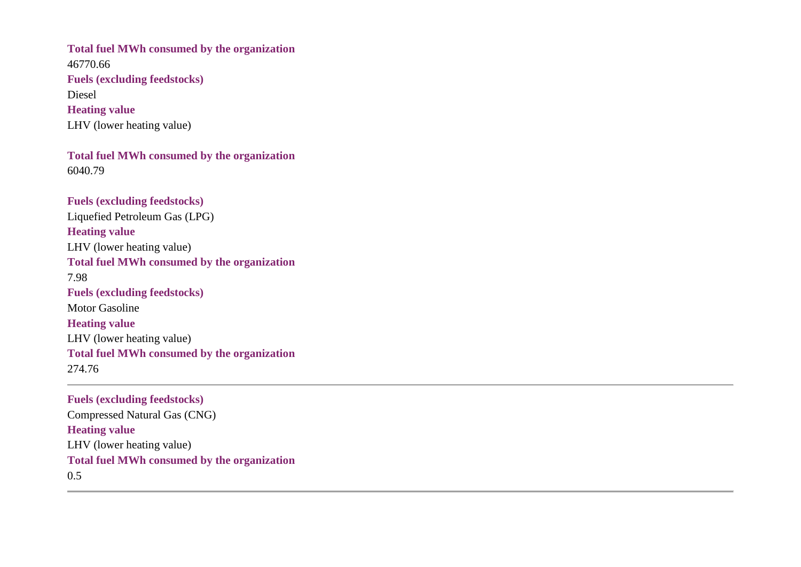**Total fuel MWh consumed by the organization** 46770.66 **Fuels (excluding feedstocks)** Diesel **Heating value** LHV (lower heating value)

**Total fuel MWh consumed by the organization** 6040.79

**Fuels (excluding feedstocks)** Liquefied Petroleum Gas (LPG) **Heating value** LHV (lower heating value) **Total fuel MWh consumed by the organization** 7.98 **Fuels (excluding feedstocks)** Motor Gasoline **Heating value** LHV (lower heating value) **Total fuel MWh consumed by the organization** 274.76

**Fuels (excluding feedstocks)** Compressed Natural Gas (CNG) **Heating value** LHV (lower heating value) **Total fuel MWh consumed by the organization** 0.5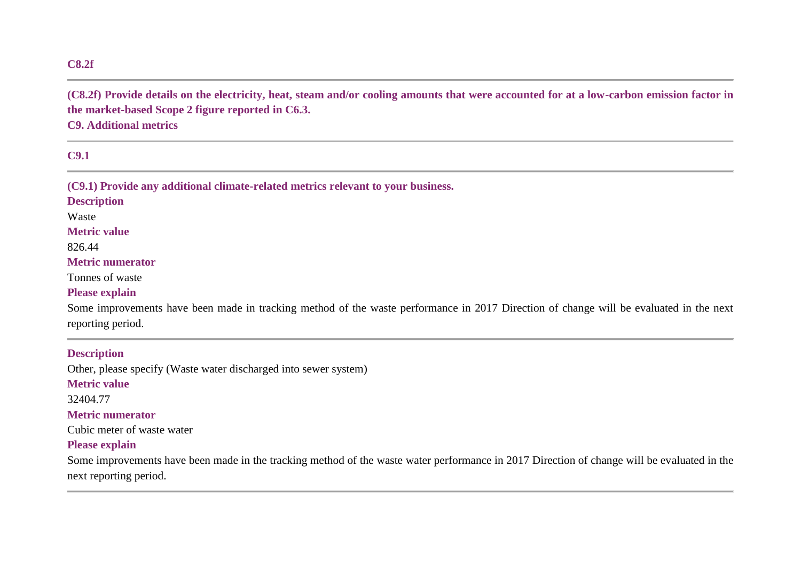### **C8.2f**

**(C8.2f) Provide details on the electricity, heat, steam and/or cooling amounts that were accounted for at a low-carbon emission factor in the market-based Scope 2 figure reported in C6.3.**

**C9. Additional metrics**

**C9.1**

**(C9.1) Provide any additional climate-related metrics relevant to your business.**

### **Description**

Waste

**Metric value**

826.44

#### **Metric numerator**

Tonnes of waste

### **Please explain**

Some improvements have been made in tracking method of the waste performance in 2017 Direction of change will be evaluated in the next reporting period.

**Description**

Other, please specify (Waste water discharged into sewer system)

#### **Metric value**

32404.77

#### **Metric numerator**

Cubic meter of waste water

### **Please explain**

Some improvements have been made in the tracking method of the waste water performance in 2017 Direction of change will be evaluated in the next reporting period.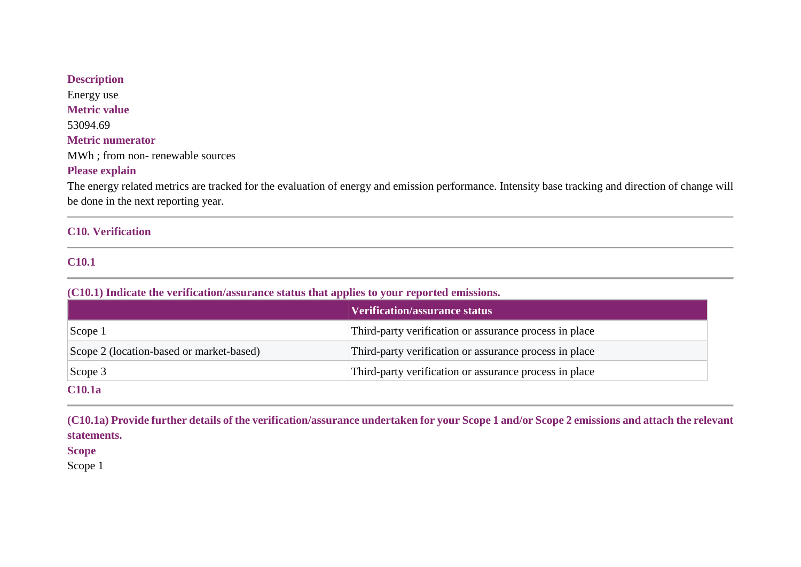**Description** Energy use **Metric value** 53094.69 **Metric numerator** MWh ; from non- renewable sources **Please explain**

The energy related metrics are tracked for the evaluation of energy and emission performance. Intensity base tracking and direction of change will be done in the next reporting year.

### **C10. Verification**

## **C10.1**

**(C10.1) Indicate the verification/assurance status that applies to your reported emissions.**

|                                          | Verification/assurance status                          |
|------------------------------------------|--------------------------------------------------------|
| Scope 1                                  | Third-party verification or assurance process in place |
| Scope 2 (location-based or market-based) | Third-party verification or assurance process in place |
| Scope $3$                                | Third-party verification or assurance process in place |
| <b>C10.1a</b>                            |                                                        |

**(C10.1a) Provide further details of the verification/assurance undertaken for your Scope 1 and/or Scope 2 emissions and attach the relevant statements.**

**Scope**

Scope 1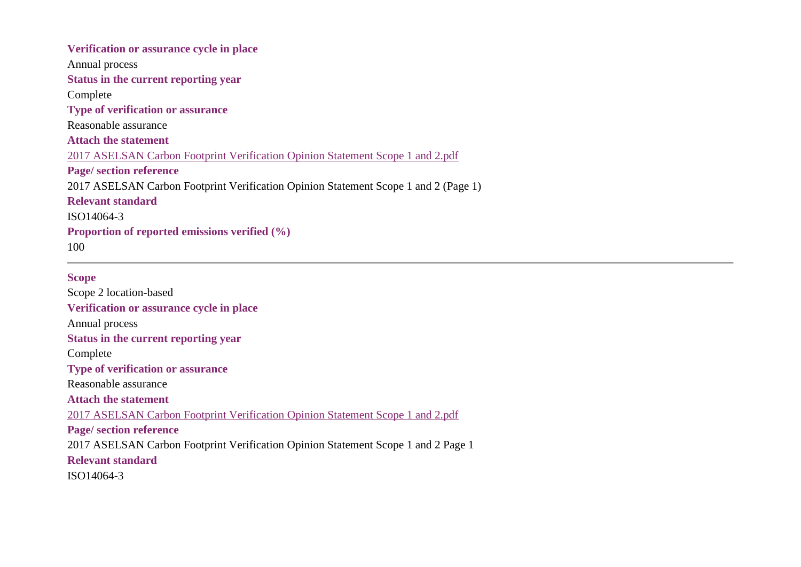**Verification or assurance cycle in place** Annual process **Status in the current reporting year** Complete **Type of verification or assurance** Reasonable assurance **Attach the statement** 2017 ASELSAN Carbon Footprint [Verification](https://www.cdp.net/en/formatted_responses/files?file_path=k9me76vz7u2sozvqoi2gbw-cdp-credit360-com/y22pZPpJ5kOhpkZ19mvjVQ/2017ASELSANCarbonFootprintVerificationOpinionStatementScope1and2.pdf) Opinion Statement Scope 1 and 2.pdf **Page/ section reference** 2017 ASELSAN Carbon Footprint Verification Opinion Statement Scope 1 and 2 (Page 1) **Relevant standard** ISO14064-3 **Proportion of reported emissions verified (%)** 100

#### **Scope**

Scope 2 location-based **Verification or assurance cycle in place** Annual process **Status in the current reporting year** Complete **Type of verification or assurance** Reasonable assurance **Attach the statement** 2017 ASELSAN Carbon Footprint [Verification](https://www.cdp.net/en/formatted_responses/files?file_path=k9me76vz7u2sozvqoi2gbw-cdp-credit360-com/y22pZPpJ5kOhpkZ19mvjVQ/2017ASELSANCarbonFootprintVerificationOpinionStatementScope1and2.pdf) Opinion Statement Scope 1 and 2.pdf **Page/ section reference** 2017 ASELSAN Carbon Footprint Verification Opinion Statement Scope 1 and 2 Page 1 **Relevant standard** ISO14064-3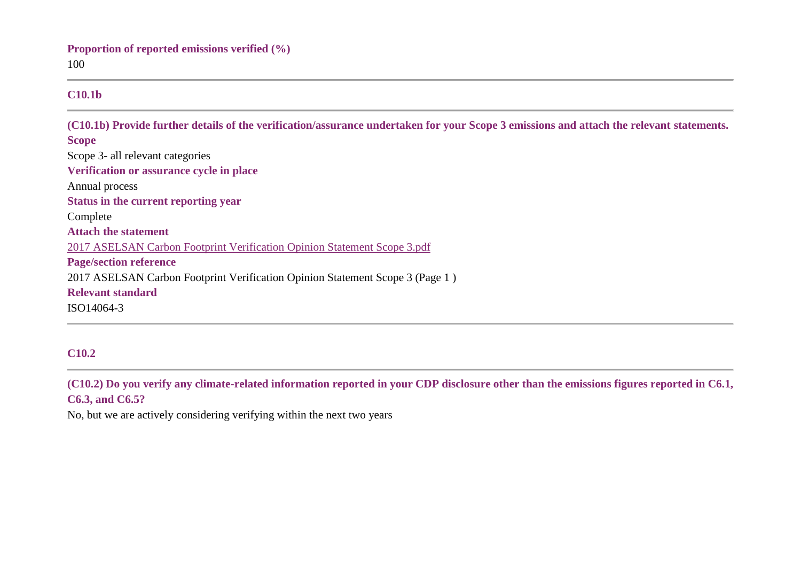## **C10.1b**

**(C10.1b) Provide further details of the verification/assurance undertaken for your Scope 3 emissions and attach the relevant statements. Scope** Scope 3- all relevant categories **Verification or assurance cycle in place** Annual process **Status in the current reporting year** Complete **Attach the statement** 2017 ASELSAN Carbon Footprint [Verification](https://www.cdp.net/en/formatted_responses/files?file_path=k9me76vz7u2sozvqoi2gbw-cdp-credit360-com/zUj7py0GW06VN-bJeoXATg/2017ASELSANCarbonFootprintVerificationOpinionStatementScope3.pdf) Opinion Statement Scope 3.pdf **Page/section reference** 2017 ASELSAN Carbon Footprint Verification Opinion Statement Scope 3 (Page 1 ) **Relevant standard** ISO14064-3

# **C10.2**

**(C10.2) Do you verify any climate-related information reported in your CDP disclosure other than the emissions figures reported in C6.1, C6.3, and C6.5?**

No, but we are actively considering verifying within the next two years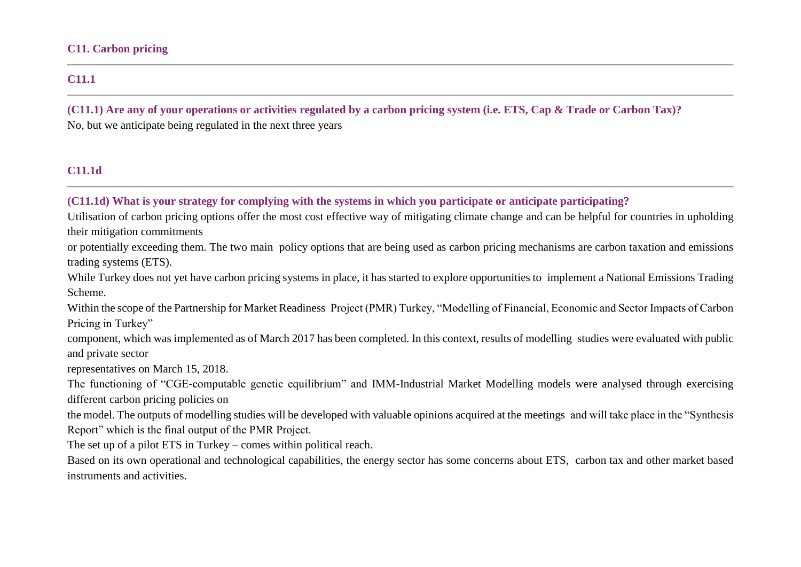### **C11. Carbon pricing**

# **C11.1**

**(C11.1) Are any of your operations or activities regulated by a carbon pricing system (i.e. ETS, Cap & Trade or Carbon Tax)?** No, but we anticipate being regulated in the next three years

## **C11.1d**

**(C11.1d) What is your strategy for complying with the systems in which you participate or anticipate participating?**

Utilisation of carbon pricing options offer the most cost effective way of mitigating climate change and can be helpful for countries in upholding their mitigation commitments

or potentially exceeding them. The two main policy options that are being used as carbon pricing mechanisms are carbon taxation and emissions trading systems (ETS).

While Turkey does not yet have carbon pricing systems in place, it has started to explore opportunities to implement a National Emissions Trading Scheme.

Within the scope of the Partnership for Market Readiness Project (PMR) Turkey, "Modelling of Financial, Economic and Sector Impacts of Carbon Pricing in Turkey"

component, which was implemented as of March 2017 has been completed. In this context, results of modelling studies were evaluated with public and private sector

representatives on March 15, 2018.

The functioning of "CGE-computable genetic equilibrium" and IMM-Industrial Market Modelling models were analysed through exercising different carbon pricing policies on

the model. The outputs of modelling studies will be developed with valuable opinions acquired at the meetings and will take place in the "Synthesis Report" which is the final output of the PMR Project.

The set up of a pilot ETS in Turkey – comes within political reach.

Based on its own operational and technological capabilities, the energy sector has some concerns about ETS, carbon tax and other market based instruments and activities.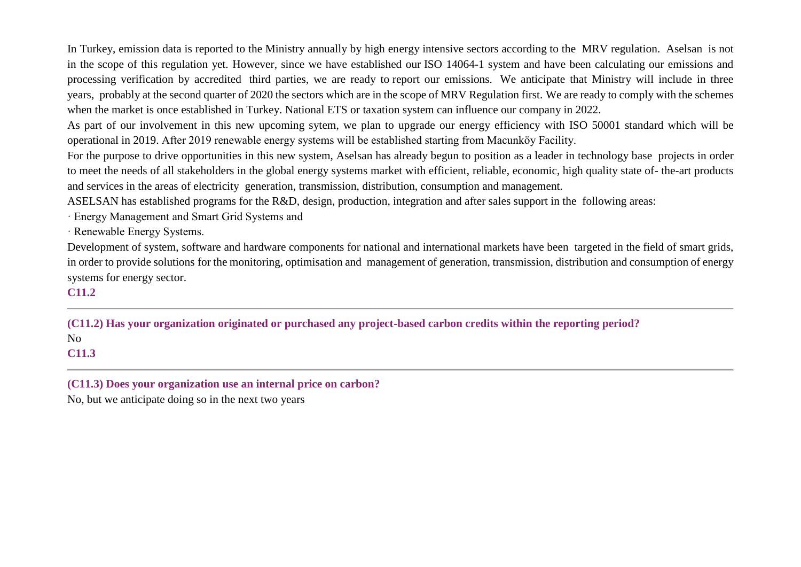In Turkey, emission data is reported to the Ministry annually by high energy intensive sectors according to the MRV regulation. Aselsan is not in the scope of this regulation yet. However, since we have established our ISO 14064-1 system and have been calculating our emissions and processing verification by accredited third parties, we are ready to report our emissions. We anticipate that Ministry will include in three years, probably at the second quarter of 2020 the sectors which are in the scope of MRV Regulation first. We are ready to comply with the schemes when the market is once established in Turkey. National ETS or taxation system can influence our company in 2022.

As part of our involvement in this new upcoming sytem, we plan to upgrade our energy efficiency with ISO 50001 standard which will be operational in 2019. After 2019 renewable energy systems will be established starting from Macunköy Facility.

For the purpose to drive opportunities in this new system, Aselsan has already begun to position as a leader in technology base projects in order to meet the needs of all stakeholders in the global energy systems market with efficient, reliable, economic, high quality state of- the-art products and services in the areas of electricity generation, transmission, distribution, consumption and management.

ASELSAN has established programs for the R&D, design, production, integration and after sales support in the following areas:

· Energy Management and Smart Grid Systems and

· Renewable Energy Systems.

Development of system, software and hardware components for national and international markets have been targeted in the field of smart grids, in order to provide solutions for the monitoring, optimisation and management of generation, transmission, distribution and consumption of energy systems for energy sector.

## **C11.2**

**(C11.2) Has your organization originated or purchased any project-based carbon credits within the reporting period?** No **C11.3**

**(C11.3) Does your organization use an internal price on carbon?**

No, but we anticipate doing so in the next two years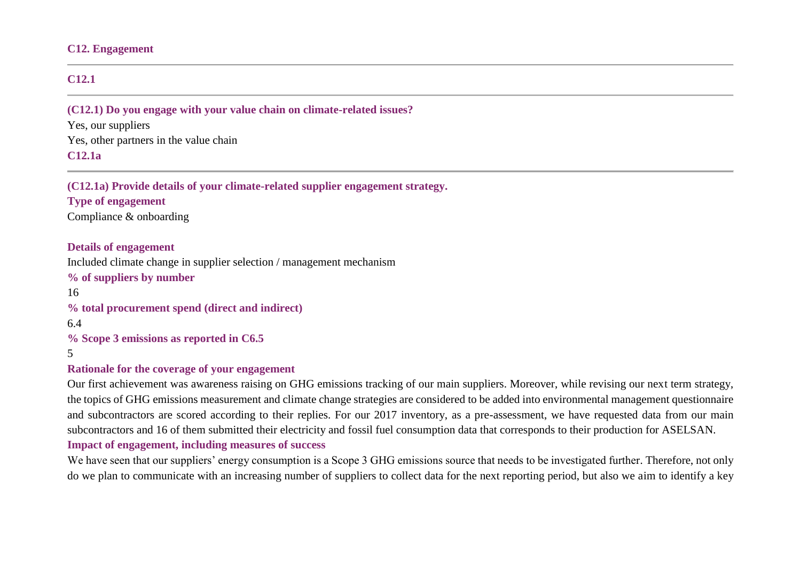#### **C12. Engagement**

## **C12.1**

#### **(C12.1) Do you engage with your value chain on climate-related issues?**

Yes, our suppliers Yes, other partners in the value chain **C12.1a**

#### **(C12.1a) Provide details of your climate-related supplier engagement strategy.**

# **Type of engagement**

Compliance & onboarding

### **Details of engagement**

Included climate change in supplier selection / management mechanism

#### **% of suppliers by number**

16

**% total procurement spend (direct and indirect)**

6.4

**% Scope 3 emissions as reported in C6.5**

5

#### **Rationale for the coverage of your engagement**

Our first achievement was awareness raising on GHG emissions tracking of our main suppliers. Moreover, while revising our next term strategy, the topics of GHG emissions measurement and climate change strategies are considered to be added into environmental management questionnaire and subcontractors are scored according to their replies. For our 2017 inventory, as a pre-assessment, we have requested data from our main subcontractors and 16 of them submitted their electricity and fossil fuel consumption data that corresponds to their production for ASELSAN.

#### **Impact of engagement, including measures of success**

We have seen that our suppliers' energy consumption is a Scope 3 GHG emissions source that needs to be investigated further. Therefore, not only do we plan to communicate with an increasing number of suppliers to collect data for the next reporting period, but also we aim to identify a key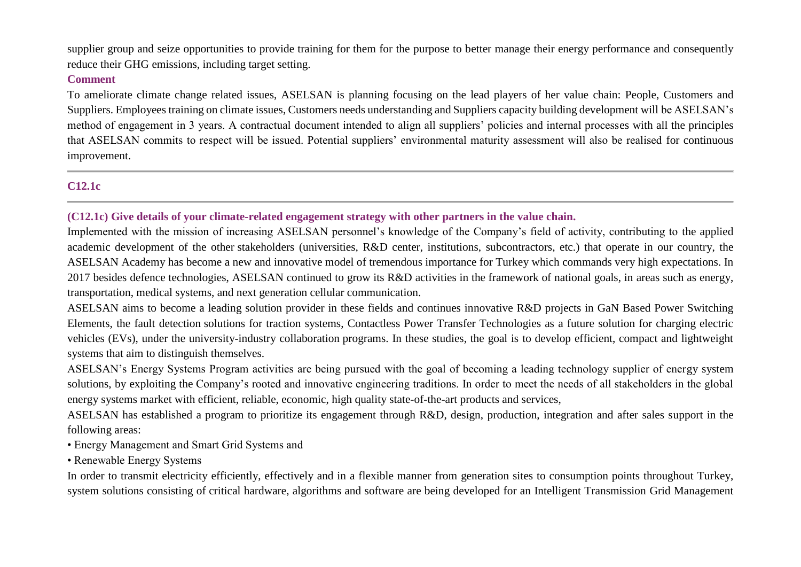supplier group and seize opportunities to provide training for them for the purpose to better manage their energy performance and consequently reduce their GHG emissions, including target setting.

#### **Comment**

To ameliorate climate change related issues, ASELSAN is planning focusing on the lead players of her value chain: People, Customers and Suppliers. Employees training on climate issues, Customers needs understanding and Suppliers capacity building development will be ASELSAN's method of engagement in 3 years. A contractual document intended to align all suppliers' policies and internal processes with all the principles that ASELSAN commits to respect will be issued. Potential suppliers' environmental maturity assessment will also be realised for continuous improvement.

## **C12.1c**

### **(C12.1c) Give details of your climate-related engagement strategy with other partners in the value chain.**

Implemented with the mission of increasing ASELSAN personnel's knowledge of the Company's field of activity, contributing to the applied academic development of the other stakeholders (universities, R&D center, institutions, subcontractors, etc.) that operate in our country, the ASELSAN Academy has become a new and innovative model of tremendous importance for Turkey which commands very high expectations. In 2017 besides defence technologies, ASELSAN continued to grow its R&D activities in the framework of national goals, in areas such as energy, transportation, medical systems, and next generation cellular communication.

ASELSAN aims to become a leading solution provider in these fields and continues innovative R&D projects in GaN Based Power Switching Elements, the fault detection solutions for traction systems, Contactless Power Transfer Technologies as a future solution for charging electric vehicles (EVs), under the university-industry collaboration programs. In these studies, the goal is to develop efficient, compact and lightweight systems that aim to distinguish themselves.

ASELSAN's Energy Systems Program activities are being pursued with the goal of becoming a leading technology supplier of energy system solutions, by exploiting the Company's rooted and innovative engineering traditions. In order to meet the needs of all stakeholders in the global energy systems market with efficient, reliable, economic, high quality state-of-the-art products and services,

ASELSAN has established a program to prioritize its engagement through R&D, design, production, integration and after sales support in the following areas:

- Energy Management and Smart Grid Systems and
- Renewable Energy Systems

In order to transmit electricity efficiently, effectively and in a flexible manner from generation sites to consumption points throughout Turkey, system solutions consisting of critical hardware, algorithms and software are being developed for an Intelligent Transmission Grid Management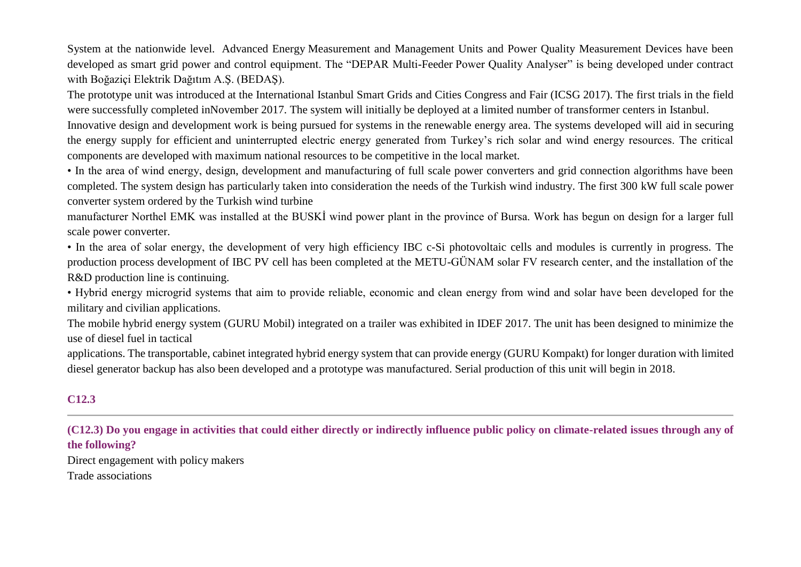System at the nationwide level. Advanced Energy Measurement and Management Units and Power Quality Measurement Devices have been developed as smart grid power and control equipment. The "DEPAR Multi-Feeder Power Quality Analyser" is being developed under contract with Boğaziçi Elektrik Dağıtım A.Ş. (BEDAŞ).

The prototype unit was introduced at the International Istanbul Smart Grids and Cities Congress and Fair (ICSG 2017). The first trials in the field were successfully completed inNovember 2017. The system will initially be deployed at a limited number of transformer centers in Istanbul.

Innovative design and development work is being pursued for systems in the renewable energy area. The systems developed will aid in securing the energy supply for efficient and uninterrupted electric energy generated from Turkey's rich solar and wind energy resources. The critical components are developed with maximum national resources to be competitive in the local market.

• In the area of wind energy, design, development and manufacturing of full scale power converters and grid connection algorithms have been completed. The system design has particularly taken into consideration the needs of the Turkish wind industry. The first 300 kW full scale power converter system ordered by the Turkish wind turbine

manufacturer Northel EMK was installed at the BUSKİ wind power plant in the province of Bursa. Work has begun on design for a larger full scale power converter.

• In the area of solar energy, the development of very high efficiency IBC c-Si photovoltaic cells and modules is currently in progress. The production process development of IBC PV cell has been completed at the METU-GÜNAM solar FV research center, and the installation of the R&D production line is continuing.

• Hybrid energy microgrid systems that aim to provide reliable, economic and clean energy from wind and solar have been developed for the military and civilian applications.

The mobile hybrid energy system (GURU Mobil) integrated on a trailer was exhibited in IDEF 2017. The unit has been designed to minimize the use of diesel fuel in tactical

applications. The transportable, cabinet integrated hybrid energy system that can provide energy (GURU Kompakt) for longer duration with limited diesel generator backup has also been developed and a prototype was manufactured. Serial production of this unit will begin in 2018.

# **C12.3**

**(C12.3) Do you engage in activities that could either directly or indirectly influence public policy on climate-related issues through any of the following?**

Direct engagement with policy makers Trade associations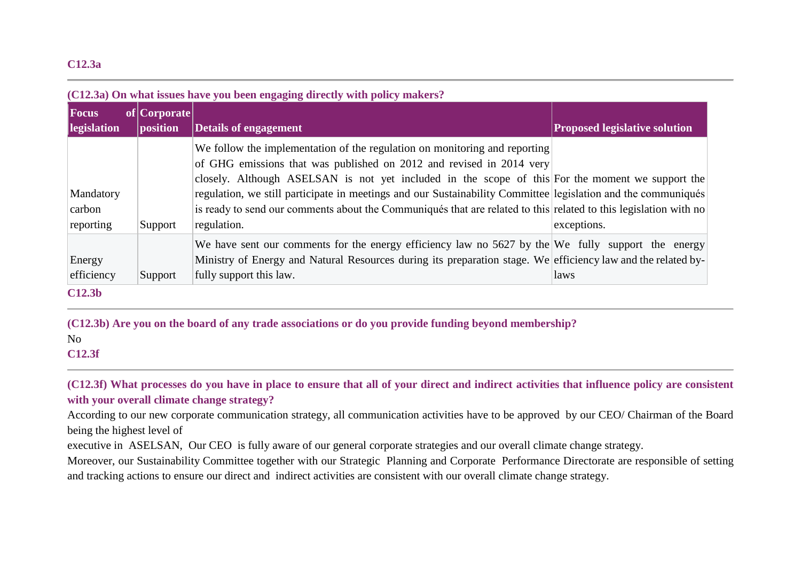#### **C12.3a**

| Focus<br>legislation             | of Corporate<br>position | <b>Details of engagement</b>                                                                                                                                                                                                                                                                                                                                                                                                                                                                               | <b>Proposed legislative solution</b> |
|----------------------------------|--------------------------|------------------------------------------------------------------------------------------------------------------------------------------------------------------------------------------------------------------------------------------------------------------------------------------------------------------------------------------------------------------------------------------------------------------------------------------------------------------------------------------------------------|--------------------------------------|
| Mandatory<br>carbon<br>reporting | Support                  | We follow the implementation of the regulation on monitoring and reporting<br>of GHG emissions that was published on 2012 and revised in 2014 very<br>closely. Although ASELSAN is not yet included in the scope of this For the moment we support the<br>regulation, we still participate in meetings and our Sustainability Committee legislation and the communiqués<br>is ready to send our comments about the Communiqués that are related to this related to this legislation with no<br>regulation. | exceptions.                          |
| Energy<br>efficiency             | Support                  | We have sent our comments for the energy efficiency law no 5627 by the We fully support the energy<br>Ministry of Energy and Natural Resources during its preparation stage. We efficiency law and the related by-<br>fully support this law.                                                                                                                                                                                                                                                              | laws                                 |

**(C12.3b) Are you on the board of any trade associations or do you provide funding beyond membership?** No **C12.3f**

**(C12.3f) What processes do you have in place to ensure that all of your direct and indirect activities that influence policy are consistent with your overall climate change strategy?**

According to our new corporate communication strategy, all communication activities have to be approved by our CEO/ Chairman of the Board being the highest level of

executive in ASELSAN, Our CEO is fully aware of our general corporate strategies and our overall climate change strategy.

Moreover, our Sustainability Committee together with our Strategic Planning and Corporate Performance Directorate are responsible of setting and tracking actions to ensure our direct and indirect activities are consistent with our overall climate change strategy.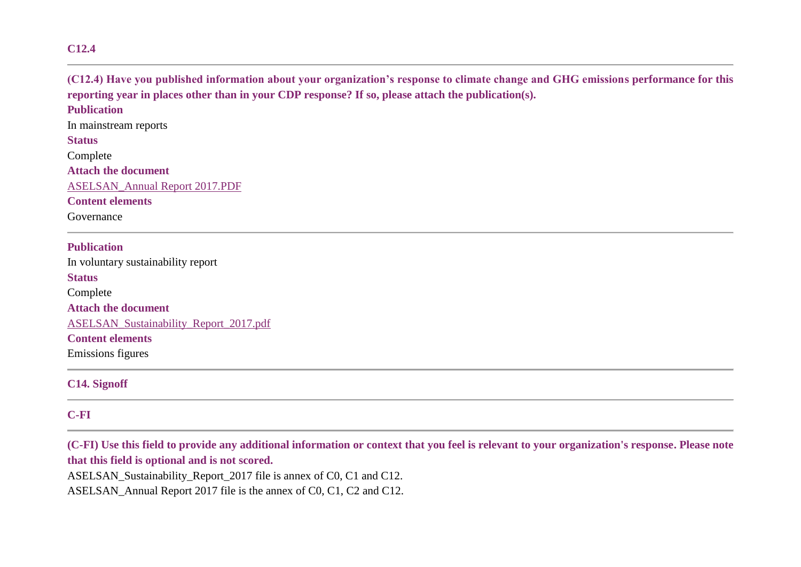#### **C12.4**

# **(C12.4) Have you published information about your organization's response to climate change and GHG emissions performance for this reporting year in places other than in your CDP response? If so, please attach the publication(s). Publication** In mainstream reports **Status**

Complete **Attach the document** [ASELSAN\\_Annual](https://www.cdp.net/en/formatted_responses/files?file_path=k9me76vz7u2sozvqoi2gbw-cdp-credit360-com/n0hFjfrlaESIf0I9f_m0nw/ASELSANAnnualReport2017.PDF) Report 2017.PDF **Content elements**

Governance

# **Publication** In voluntary sustainability report **Status** Complete **Attach the document** [ASELSAN\\_Sustainability\\_Report\\_2017.pdf](https://www.cdp.net/en/formatted_responses/files?file_path=k9me76vz7u2sozvqoi2gbw-cdp-credit360-com/31b-jSxtAUyPYC7wUUM4Gw/ASELSANSustainabilityReport2017.pdf) **Content elements** Emissions figures

**C14. Signoff**

### **C-FI**

**(C-FI) Use this field to provide any additional information or context that you feel is relevant to your organization's response. Please note that this field is optional and is not scored.**

ASELSAN\_Sustainability\_Report\_2017 file is annex of C0, C1 and C12.

ASELSAN\_Annual Report 2017 file is the annex of C0, C1, C2 and C12.